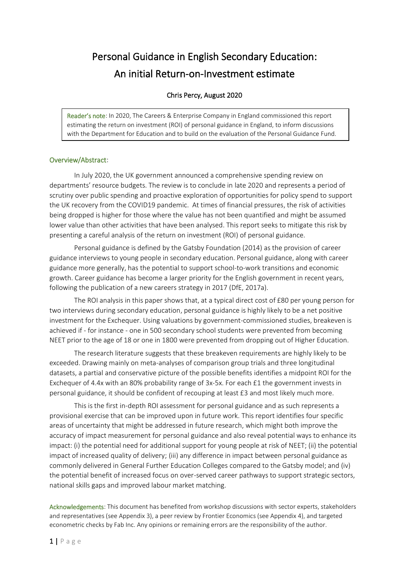# Personal Guidance in English Secondary Education: An initial Return-on-Investment estimate

#### Chris Percy, August 2020

Reader's note: In 2020, The Careers & Enterprise Company in England commissioned this report estimating the return on investment (ROI) of personal guidance in England, to inform discussions with the Department for Education and to build on the evaluation of the Personal Guidance Fund.

#### Overview/Abstract:

In July 2020, the UK government announced a comprehensive spending review on departments' resource budgets. The review is to conclude in late 2020 and represents a period of scrutiny over public spending and proactive exploration of opportunities for policy spend to support the UK recovery from the COVID19 pandemic. At times of financial pressures, the risk of activities being dropped is higher for those where the value has not been quantified and might be assumed lower value than other activities that have been analysed. This report seeks to mitigate this risk by presenting a careful analysis of the return on investment (ROI) of personal guidance.

Personal guidance is defined by the Gatsby Foundation (2014) as the provision of career guidance interviews to young people in secondary education. Personal guidance, along with career guidance more generally, has the potential to support school-to-work transitions and economic growth. Career guidance has become a larger priority for the English government in recent years, following the publication of a new careers strategy in 2017 (DfE, 2017a).

The ROI analysis in this paper shows that, at a typical direct cost of £80 per young person for two interviews during secondary education, personal guidance is highly likely to be a net positive investment for the Exchequer. Using valuations by government-commissioned studies, breakeven is achieved if - for instance - one in 500 secondary school students were prevented from becoming NEET prior to the age of 18 or one in 1800 were prevented from dropping out of Higher Education.

The research literature suggests that these breakeven requirements are highly likely to be exceeded. Drawing mainly on meta-analyses of comparison group trials and three longitudinal datasets, a partial and conservative picture of the possible benefits identifies a midpoint ROI for the Exchequer of 4.4x with an 80% probability range of 3x-5x. For each £1 the government invests in personal guidance, it should be confident of recouping at least £3 and most likely much more.

This is the first in-depth ROI assessment for personal guidance and as such represents a provisional exercise that can be improved upon in future work. This report identifies four specific areas of uncertainty that might be addressed in future research, which might both improve the accuracy of impact measurement for personal guidance and also reveal potential ways to enhance its impact: (i) the potential need for additional support for young people at risk of NEET; (ii) the potential impact of increased quality of delivery; (iii) any difference in impact between personal guidance as commonly delivered in General Further Education Colleges compared to the Gatsby model; and (iv) the potential benefit of increased focus on over-served career pathways to support strategic sectors, national skills gaps and improved labour market matching.

Acknowledgements: This document has benefited from workshop discussions with sector experts, stakeholders and representatives (see Appendix 3), a peer review by Frontier Economics (see Appendix 4), and targeted econometric checks by Fab Inc. Any opinions or remaining errors are the responsibility of the author.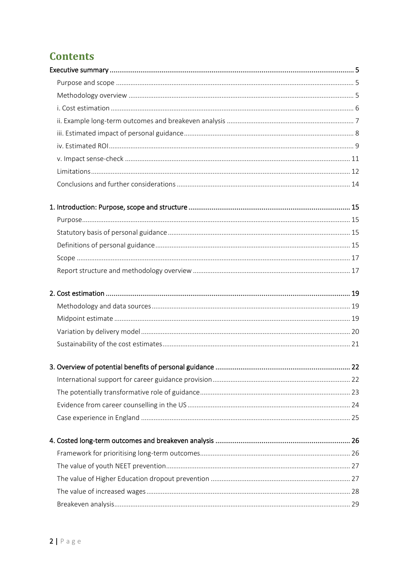# **Contents**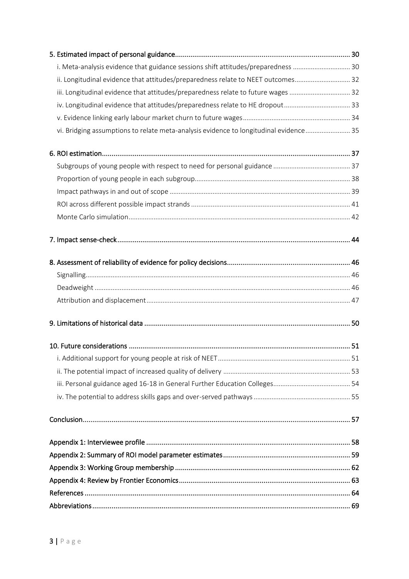| i. Meta-analysis evidence that guidance sessions shift attitudes/preparedness  30     |  |
|---------------------------------------------------------------------------------------|--|
| ii. Longitudinal evidence that attitudes/preparedness relate to NEET outcomes 32      |  |
| iii. Longitudinal evidence that attitudes/preparedness relate to future wages  32     |  |
|                                                                                       |  |
|                                                                                       |  |
| vi. Bridging assumptions to relate meta-analysis evidence to longitudinal evidence 35 |  |
|                                                                                       |  |
|                                                                                       |  |
|                                                                                       |  |
|                                                                                       |  |
|                                                                                       |  |
|                                                                                       |  |
|                                                                                       |  |
|                                                                                       |  |
|                                                                                       |  |
|                                                                                       |  |
|                                                                                       |  |
|                                                                                       |  |
|                                                                                       |  |
|                                                                                       |  |
|                                                                                       |  |
|                                                                                       |  |
|                                                                                       |  |
|                                                                                       |  |
|                                                                                       |  |
|                                                                                       |  |
|                                                                                       |  |
|                                                                                       |  |
|                                                                                       |  |
|                                                                                       |  |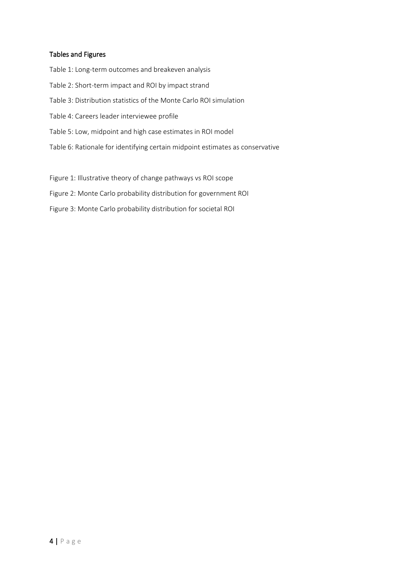#### Tables and Figures

Table 1: Long-term outcomes and breakeven analysis Table 2: Short-term impact and ROI by impact strand Table 3: Distribution statistics of the Monte Carlo ROI simulation Table 4: Careers leader interviewee profile Table 5: Low, midpoint and high case estimates in ROI model Table 6: Rationale for identifying certain midpoint estimates as conservative Figure 1: Illustrative theory of change pathways vs ROI scope

Figure 2: Monte Carlo probability distribution for government ROI

Figure 3: Monte Carlo probability distribution for societal ROI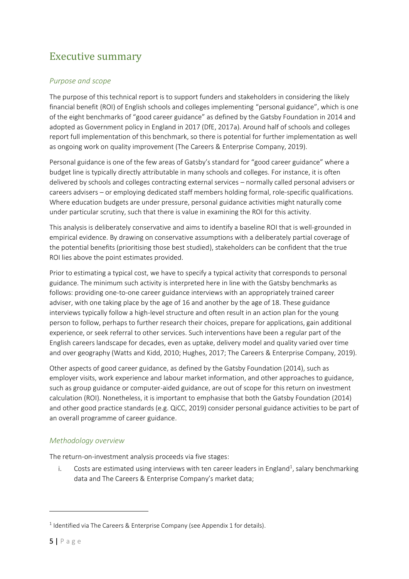## <span id="page-4-0"></span>Executive summary

## <span id="page-4-1"></span>*Purpose and scope*

The purpose of this technical report is to support funders and stakeholders in considering the likely financial benefit (ROI) of English schools and colleges implementing "personal guidance", which is one of the eight benchmarks of "good career guidance" as defined by the Gatsby Foundation in 2014 and adopted as Government policy in England in 2017 (DfE, 2017a). Around half of schools and colleges report full implementation of this benchmark, so there is potential for further implementation as well as ongoing work on quality improvement (The Careers & Enterprise Company, 2019).

Personal guidance is one of the few areas of Gatsby's standard for "good career guidance" where a budget line is typically directly attributable in many schools and colleges. For instance, it is often delivered by schools and colleges contracting external services – normally called personal advisers or careers advisers – or employing dedicated staff members holding formal, role-specific qualifications. Where education budgets are under pressure, personal guidance activities might naturally come under particular scrutiny, such that there is value in examining the ROI for this activity.

This analysis is deliberately conservative and aims to identify a baseline ROI that is well-grounded in empirical evidence. By drawing on conservative assumptions with a deliberately partial coverage of the potential benefits (prioritising those best studied), stakeholders can be confident that the true ROI lies above the point estimates provided.

Prior to estimating a typical cost, we have to specify a typical activity that corresponds to personal guidance. The minimum such activity is interpreted here in line with the Gatsby benchmarks as follows: providing one-to-one career guidance interviews with an appropriately trained career adviser, with one taking place by the age of 16 and another by the age of 18. These guidance interviews typically follow a high-level structure and often result in an action plan for the young person to follow, perhaps to further research their choices, prepare for applications, gain additional experience, or seek referral to other services. Such interventions have been a regular part of the English careers landscape for decades, even as uptake, delivery model and quality varied over time and over geography (Watts and Kidd, 2010; Hughes, 2017; The Careers & Enterprise Company, 2019).

Other aspects of good career guidance, as defined by the Gatsby Foundation (2014), such as employer visits, work experience and labour market information, and other approaches to guidance, such as group guidance or computer-aided guidance, are out of scope for this return on investment calculation (ROI). Nonetheless, it is important to emphasise that both the Gatsby Foundation (2014) and other good practice standards (e.g. QiCC, 2019) consider personal guidance activities to be part of an overall programme of career guidance.

## <span id="page-4-2"></span>*Methodology overview*

The return-on-investment analysis proceeds via five stages:

i. Costs are estimated using interviews with ten career leaders in England<sup>1</sup>, salary benchmarking data and The Careers & Enterprise Company's market data;

 $<sup>1</sup>$  Identified via The Careers & Enterprise Company (see Appendix 1 for details).</sup>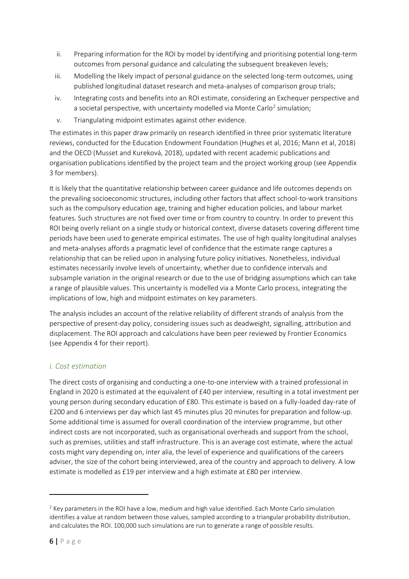- ii. Preparing information for the ROI by model by identifying and prioritising potential long-term outcomes from personal guidance and calculating the subsequent breakeven levels;
- iii. Modelling the likely impact of personal guidance on the selected long-term outcomes, using published longitudinal dataset research and meta-analyses of comparison group trials;
- iv. Integrating costs and benefits into an ROI estimate, considering an Exchequer perspective and a societal perspective, with uncertainty modelled via Monte Carlo<sup>2</sup> simulation;
- v. Triangulating midpoint estimates against other evidence.

The estimates in this paper draw primarily on research identified in three prior systematic literature reviews, conducted for the Education Endowment Foundation (Hughes et al, 2016; Mann et al, 2018) and the OECD (Musset and Kureková, 2018), updated with recent academic publications and organisation publications identified by the project team and the project working group (see Appendix 3 for members).

It is likely that the quantitative relationship between career guidance and life outcomes depends on the prevailing socioeconomic structures, including other factors that affect school-to-work transitions such as the compulsory education age, training and higher education policies, and labour market features. Such structures are not fixed over time or from country to country. In order to prevent this ROI being overly reliant on a single study or historical context, diverse datasets covering different time periods have been used to generate empirical estimates. The use of high quality longitudinal analyses and meta-analyses affords a pragmatic level of confidence that the estimate range captures a relationship that can be relied upon in analysing future policy initiatives. Nonetheless, individual estimates necessarily involve levels of uncertainty, whether due to confidence intervals and subsample variation in the original research or due to the use of bridging assumptions which can take a range of plausible values. This uncertainty is modelled via a Monte Carlo process, integrating the implications of low, high and midpoint estimates on key parameters.

The analysis includes an account of the relative reliability of different strands of analysis from the perspective of present-day policy, considering issues such as deadweight, signalling, attribution and displacement. The ROI approach and calculations have been peer reviewed by Frontier Economics (see Appendix 4 for their report).

## <span id="page-5-0"></span>*i. Cost estimation*

The direct costs of organising and conducting a one-to-one interview with a trained professional in England in 2020 is estimated at the equivalent of £40 per interview, resulting in a total investment per young person during secondary education of £80. This estimate is based on a fully-loaded day-rate of £200 and 6 interviews per day which last 45 minutes plus 20 minutes for preparation and follow-up. Some additional time is assumed for overall coordination of the interview programme, but other indirect costs are not incorporated, such as organisational overheads and support from the school, such as premises, utilities and staff infrastructure. This is an average cost estimate, where the actual costs might vary depending on, inter alia, the level of experience and qualifications of the careers adviser, the size of the cohort being interviewed, area of the country and approach to delivery. A low estimate is modelled as £19 per interview and a high estimate at £80 per interview.

 $2$  Key parameters in the ROI have a low, medium and high value identified. Each Monte Carlo simulation identifies a value at random between those values, sampled according to a triangular probability distribution, and calculates the ROI. 100,000 such simulations are run to generate a range of possible results.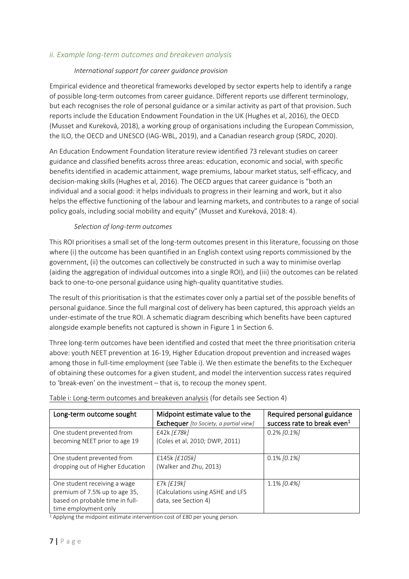### <span id="page-6-0"></span>*ii. Example long-term outcomes and breakeven analysis*

#### *International support for career guidance provision*

Empirical evidence and theoretical frameworks developed by sector experts help to identify a range of possible long-term outcomes from career guidance. Different reports use different terminology, but each recognises the role of personal guidance or a similar activity as part of that provision. Such reports include the Education Endowment Foundation in the UK (Hughes et al, 2016), the OECD (Musset and Kureková, 2018), a working group of organisations including the European Commission, the ILO, the OECD and UNESCO (IAG-WBL, 2019), and a Canadian research group (SRDC, 2020).

An Education Endowment Foundation literature review identified 73 relevant studies on career guidance and classified benefits across three areas: education, economic and social, with specific benefits identified in academic attainment, wage premiums, labour market status, self-efficacy, and decision-making skills (Hughes et al, 2016). The OECD argues that career guidance is "both an individual and a social good: it helps individuals to progress in their learning and work, but it also helps the effective functioning of the labour and learning markets, and contributes to a range of social policy goals, including social mobility and equity" (Musset and Kureková, 2018: 4).

#### *Selection of long-term outcomes*

This ROI prioritises a small set of the long-term outcomes present in this literature, focussing on those where (i) the outcome has been quantified in an English context using reports commissioned by the government, (ii) the outcomes can collectively be constructed in such a way to minimise overlap (aiding the aggregation of individual outcomes into a single ROI), and (iii) the outcomes can be related back to one-to-one personal guidance using high-quality quantitative studies.

The result of this prioritisation is that the estimates cover only a partial set of the possible benefits of personal guidance. Since the full marginal cost of delivery has been captured, this approach yields an under-estimate of the true ROI. A schematic diagram describing which benefits have been captured alongside example benefits not captured is shown in Figure 1 in Section 6.

Three long-term outcomes have been identified and costed that meet the three prioritisation criteria above: youth NEET prevention at 16-19, Higher Education dropout prevention and increased wages among those in full-time employment (see Table i). We then estimate the benefits to the Exchequer of obtaining these outcomes for a given student, and model the intervention success rates required to 'break-even' on the investment – that is, to recoup the money spent.

| Long-term outcome sought                                                                                                 | Midpoint estimate value to the<br>Exchequer [to Society, a partial view]     | Required personal guidance<br>success rate to break even <sup>1</sup> |
|--------------------------------------------------------------------------------------------------------------------------|------------------------------------------------------------------------------|-----------------------------------------------------------------------|
| One student prevented from<br>becoming NEET prior to age 19                                                              | £42k [£78k]<br>(Coles et al, 2010; DWP, 2011)                                | $0.2\%$ [0.1%]                                                        |
| One student prevented from<br>dropping out of Higher Education                                                           | £145k [£105k]<br>(Walker and Zhu, 2013)                                      | $0.1\%$ [0.1%]                                                        |
| One student receiving a wage<br>premium of 7.5% up to age 35,<br>based on probable time in full-<br>time employment only | $E7k$ [ $E19k$ ]<br>(Calculations using ASHE and LFS<br>data, see Section 4) | $1.1\%$ [0.4%]                                                        |

Table i: Long-term outcomes and breakeven analysis (for details see Section 4)

<sup>1</sup> Applying the midpoint estimate intervention cost of £80 per young person.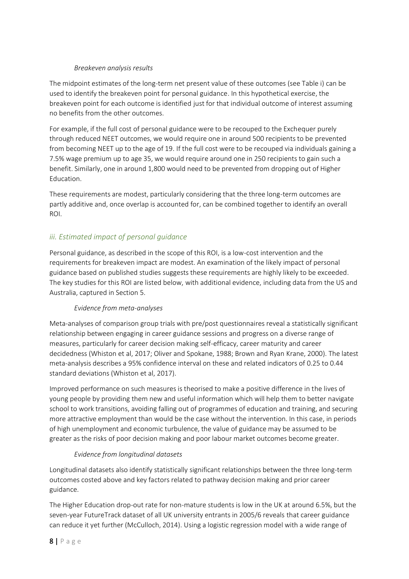### *Breakeven analysis results*

The midpoint estimates of the long-term net present value of these outcomes (see Table i) can be used to identify the breakeven point for personal guidance. In this hypothetical exercise, the breakeven point for each outcome is identified just for that individual outcome of interest assuming no benefits from the other outcomes.

For example, if the full cost of personal guidance were to be recouped to the Exchequer purely through reduced NEET outcomes, we would require one in around 500 recipients to be prevented from becoming NEET up to the age of 19. If the full cost were to be recouped via individuals gaining a 7.5% wage premium up to age 35, we would require around one in 250 recipients to gain such a benefit. Similarly, one in around 1,800 would need to be prevented from dropping out of Higher Education.

These requirements are modest, particularly considering that the three long-term outcomes are partly additive and, once overlap is accounted for, can be combined together to identify an overall ROI.

## <span id="page-7-0"></span>*iii. Estimated impact of personal guidance*

Personal guidance, as described in the scope of this ROI, is a low-cost intervention and the requirements for breakeven impact are modest. An examination of the likely impact of personal guidance based on published studies suggests these requirements are highly likely to be exceeded. The key studies for this ROI are listed below, with additional evidence, including data from the US and Australia, captured in Section 5.

#### *Evidence from meta-analyses*

Meta-analyses of comparison group trials with pre/post questionnaires reveal a statistically significant relationship between engaging in career guidance sessions and progress on a diverse range of measures, particularly for career decision making self-efficacy, career maturity and career decidedness (Whiston et al, 2017; Oliver and Spokane, 1988; Brown and Ryan Krane, 2000). The latest meta-analysis describes a 95% confidence interval on these and related indicators of 0.25 to 0.44 standard deviations (Whiston et al, 2017).

Improved performance on such measures is theorised to make a positive difference in the lives of young people by providing them new and useful information which will help them to better navigate school to work transitions, avoiding falling out of programmes of education and training, and securing more attractive employment than would be the case without the intervention. In this case, in periods of high unemployment and economic turbulence, the value of guidance may be assumed to be greater as the risks of poor decision making and poor labour market outcomes become greater.

## *Evidence from longitudinal datasets*

Longitudinal datasets also identify statistically significant relationships between the three long-term outcomes costed above and key factors related to pathway decision making and prior career guidance.

The Higher Education drop-out rate for non-mature students is low in the UK at around 6.5%, but the seven-year FutureTrack dataset of all UK university entrants in 2005/6 reveals that career guidance can reduce it yet further (McCulloch, 2014). Using a logistic regression model with a wide range of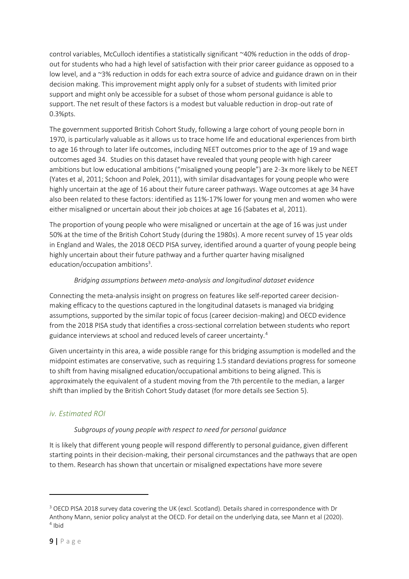control variables, McCulloch identifies a statistically significant ~40% reduction in the odds of dropout for students who had a high level of satisfaction with their prior career guidance as opposed to a low level, and a ~3% reduction in odds for each extra source of advice and guidance drawn on in their decision making. This improvement might apply only for a subset of students with limited prior support and might only be accessible for a subset of those whom personal guidance is able to support. The net result of these factors is a modest but valuable reduction in drop-out rate of 0.3%pts.

The government supported British Cohort Study, following a large cohort of young people born in 1970, is particularly valuable as it allows us to trace home life and educational experiences from birth to age 16 through to later life outcomes, including NEET outcomes prior to the age of 19 and wage outcomes aged 34. Studies on this dataset have revealed that young people with high career ambitions but low educational ambitions ("misaligned young people") are 2-3x more likely to be NEET (Yates et al, 2011; Schoon and Polek, 2011), with similar disadvantages for young people who were highly uncertain at the age of 16 about their future career pathways. Wage outcomes at age 34 have also been related to these factors: identified as 11%-17% lower for young men and women who were either misaligned or uncertain about their job choices at age 16 (Sabates et al, 2011).

The proportion of young people who were misaligned or uncertain at the age of 16 was just under 50% at the time of the British Cohort Study (during the 1980s). A more recent survey of 15 year olds in England and Wales, the 2018 OECD PISA survey, identified around a quarter of young people being highly uncertain about their future pathway and a further quarter having misaligned education/occupation ambitions<sup>3</sup>.

### *Bridging assumptions between meta-analysis and longitudinal dataset evidence*

Connecting the meta-analysis insight on progress on features like self-reported career decisionmaking efficacy to the questions captured in the longitudinal datasets is managed via bridging assumptions, supported by the similar topic of focus (career decision-making) and OECD evidence from the 2018 PISA study that identifies a cross-sectional correlation between students who report guidance interviews at school and reduced levels of career uncertainty.<sup>4</sup>

Given uncertainty in this area, a wide possible range for this bridging assumption is modelled and the midpoint estimates are conservative, such as requiring 1.5 standard deviations progress for someone to shift from having misaligned education/occupational ambitions to being aligned. This is approximately the equivalent of a student moving from the 7th percentile to the median, a larger shift than implied by the British Cohort Study dataset (for more details see Section 5).

## <span id="page-8-0"></span>*iv. Estimated ROI*

#### *Subgroups of young people with respect to need for personal guidance*

It is likely that different young people will respond differently to personal guidance, given different starting points in their decision-making, their personal circumstances and the pathways that are open to them. Research has shown that uncertain or misaligned expectations have more severe

<sup>&</sup>lt;sup>3</sup> OECD PISA 2018 survey data covering the UK (excl. Scotland). Details shared in correspondence with Dr Anthony Mann, senior policy analyst at the OECD. For detail on the underlying data, see Mann et al (2020). 4 Ibid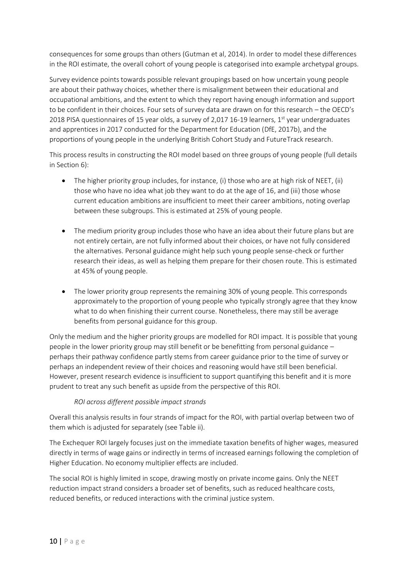consequences for some groups than others (Gutman et al, 2014). In order to model these differences in the ROI estimate, the overall cohort of young people is categorised into example archetypal groups.

Survey evidence points towards possible relevant groupings based on how uncertain young people are about their pathway choices, whether there is misalignment between their educational and occupational ambitions, and the extent to which they report having enough information and support to be confident in their choices. Four sets of survey data are drawn on for this research – the OECD's 2018 PISA questionnaires of 15 year olds, a survey of 2,017 16-19 learners,  $1<sup>st</sup>$  year undergraduates and apprentices in 2017 conducted for the Department for Education (DfE, 2017b), and the proportions of young people in the underlying British Cohort Study and FutureTrack research.

This process results in constructing the ROI model based on three groups of young people (full details in Section 6):

- The higher priority group includes, for instance, (i) those who are at high risk of NEET, (ii) those who have no idea what job they want to do at the age of 16, and (iii) those whose current education ambitions are insufficient to meet their career ambitions, noting overlap between these subgroups. This is estimated at 25% of young people.
- The medium priority group includes those who have an idea about their future plans but are not entirely certain, are not fully informed about their choices, or have not fully considered the alternatives. Personal guidance might help such young people sense-check or further research their ideas, as well as helping them prepare for their chosen route. This is estimated at 45% of young people.
- The lower priority group represents the remaining 30% of young people. This corresponds approximately to the proportion of young people who typically strongly agree that they know what to do when finishing their current course. Nonetheless, there may still be average benefits from personal guidance for this group.

Only the medium and the higher priority groups are modelled for ROI impact. It is possible that young people in the lower priority group may still benefit or be benefitting from personal guidance – perhaps their pathway confidence partly stems from career guidance prior to the time of survey or perhaps an independent review of their choices and reasoning would have still been beneficial. However, present research evidence is insufficient to support quantifying this benefit and it is more prudent to treat any such benefit as upside from the perspective of this ROI.

#### *ROI across different possible impact strands*

Overall this analysis results in four strands of impact for the ROI, with partial overlap between two of them which is adjusted for separately (see Table ii).

The Exchequer ROI largely focuses just on the immediate taxation benefits of higher wages, measured directly in terms of wage gains or indirectly in terms of increased earnings following the completion of Higher Education. No economy multiplier effects are included.

The social ROI is highly limited in scope, drawing mostly on private income gains. Only the NEET reduction impact strand considers a broader set of benefits, such as reduced healthcare costs, reduced benefits, or reduced interactions with the criminal justice system.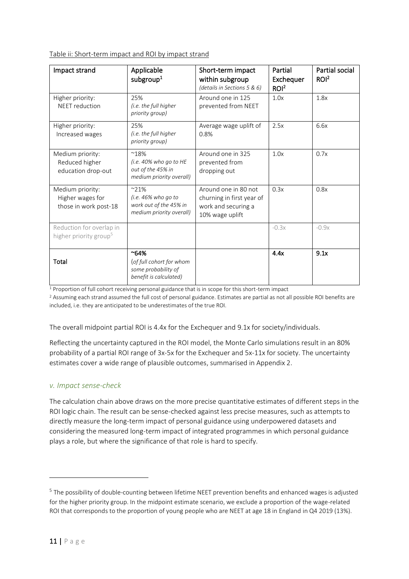Table ii: Short-term impact and ROI by impact strand

| Impact strand                                                  | Applicable<br>subgroup <sup>1</sup>                                                        | Short-term impact<br>within subgroup<br>(details in Sections 5 & 6)                         | Partial<br>Exchequer<br>ROI <sup>2</sup> | <b>Partial social</b><br>ROI <sup>2</sup> |
|----------------------------------------------------------------|--------------------------------------------------------------------------------------------|---------------------------------------------------------------------------------------------|------------------------------------------|-------------------------------------------|
| Higher priority:<br><b>NEET</b> reduction                      | 25%<br>(i.e. the full higher<br>priority group)                                            | Around one in 125<br>prevented from NEET                                                    | 1.0x                                     | 1.8x                                      |
| Higher priority:<br>Increased wages                            | 25%<br>(i.e. the full higher<br>priority group)                                            | Average wage uplift of<br>0.8%                                                              | 2.5x                                     | 6.6x                                      |
| Medium priority:<br>Reduced higher<br>education drop-out       | $^{\sim}18\%$<br>(i.e. 40% who go to HE<br>out of the 45% in<br>medium priority overall)   | Around one in 325<br>prevented from<br>dropping out                                         | 1.0x                                     | 0.7x                                      |
| Medium priority:<br>Higher wages for<br>those in work post-18  | $~21\%$<br>(i.e. $46\%$ who go to<br>work out of the 45% in<br>medium priority overall)    | Around one in 80 not<br>churning in first year of<br>work and securing a<br>10% wage uplift | 0.3x                                     | 0.8x                                      |
| Reduction for overlap in<br>higher priority group <sup>5</sup> |                                                                                            |                                                                                             | $-0.3x$                                  | $-0.9x$                                   |
| <b>Total</b>                                                   | $^{\sim}64\%$<br>(of full cohort for whom<br>some probability of<br>benefit is calculated) |                                                                                             | 4.4x                                     | 9.1x                                      |

<sup>1</sup> Proportion of full cohort receiving personal guidance that is in scope for this short-term impact

<sup>2</sup> Assuming each strand assumed the full cost of personal guidance. Estimates are partial as not all possible ROI benefits are included, i.e. they are anticipated to be underestimates of the true ROI.

The overall midpoint partial ROI is 4.4x for the Exchequer and 9.1x for society/individuals.

Reflecting the uncertainty captured in the ROI model, the Monte Carlo simulations result in an 80% probability of a partial ROI range of 3x-5x for the Exchequer and 5x-11x for society. The uncertainty estimates cover a wide range of plausible outcomes, summarised in Appendix 2.

#### <span id="page-10-0"></span>*v. Impact sense-check*

The calculation chain above draws on the more precise quantitative estimates of different steps in the ROI logic chain. The result can be sense-checked against less precise measures, such as attempts to directly measure the long-term impact of personal guidance using underpowered datasets and considering the measured long-term impact of integrated programmes in which personal guidance plays a role, but where the significance of that role is hard to specify.

<sup>&</sup>lt;sup>5</sup> The possibility of double-counting between lifetime NEET prevention benefits and enhanced wages is adjusted for the higher priority group. In the midpoint estimate scenario, we exclude a proportion of the wage-related ROI that corresponds to the proportion of young people who are NEET at age 18 in England in Q4 2019 (13%).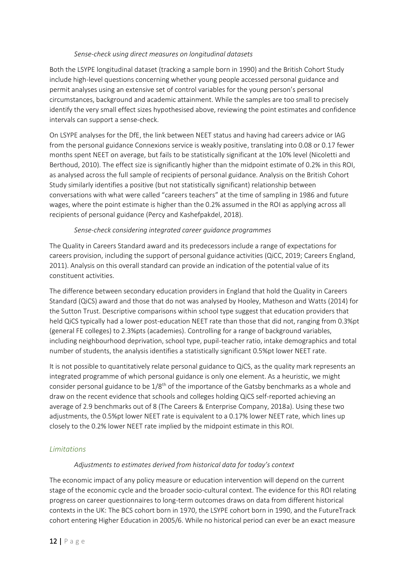#### *Sense-check using direct measures on longitudinal datasets*

Both the LSYPE longitudinal dataset (tracking a sample born in 1990) and the British Cohort Study include high-level questions concerning whether young people accessed personal guidance and permit analyses using an extensive set of control variables for the young person's personal circumstances, background and academic attainment. While the samples are too small to precisely identify the very small effect sizes hypothesised above, reviewing the point estimates and confidence intervals can support a sense-check.

On LSYPE analyses for the DfE, the link between NEET status and having had careers advice or IAG from the personal guidance Connexions service is weakly positive, translating into 0.08 or 0.17 fewer months spent NEET on average, but fails to be statistically significant at the 10% level (Nicoletti and Berthoud, 2010). The effect size is significantly higher than the midpoint estimate of 0.2% in this ROI, as analysed across the full sample of recipients of personal guidance. Analysis on the British Cohort Study similarly identifies a positive (but not statistically significant) relationship between conversations with what were called "careers teachers" at the time of sampling in 1986 and future wages, where the point estimate is higher than the 0.2% assumed in the ROI as applying across all recipients of personal guidance (Percy and Kashefpakdel, 2018).

#### *Sense-check considering integrated career guidance programmes*

The Quality in Careers Standard award and its predecessors include a range of expectations for careers provision, including the support of personal guidance activities (QiCC, 2019; Careers England, 2011). Analysis on this overall standard can provide an indication of the potential value of its constituent activities.

The difference between secondary education providers in England that hold the Quality in Careers Standard (QiCS) award and those that do not was analysed by Hooley, Matheson and Watts (2014) for the Sutton Trust. Descriptive comparisons within school type suggest that education providers that held QiCS typically had a lower post-education NEET rate than those that did not, ranging from 0.3%pt (general FE colleges) to 2.3%pts (academies). Controlling for a range of background variables, including neighbourhood deprivation, school type, pupil-teacher ratio, intake demographics and total number of students, the analysis identifies a statistically significant 0.5%pt lower NEET rate.

It is not possible to quantitatively relate personal guidance to QiCS, as the quality mark represents an integrated programme of which personal guidance is only one element. As a heuristic, we might consider personal guidance to be  $1/8^{th}$  of the importance of the Gatsby benchmarks as a whole and draw on the recent evidence that schools and colleges holding QiCS self-reported achieving an average of 2.9 benchmarks out of 8 (The Careers & Enterprise Company, 2018a). Using these two adjustments, the 0.5%pt lower NEET rate is equivalent to a 0.17% lower NEET rate, which lines up closely to the 0.2% lower NEET rate implied by the midpoint estimate in this ROI.

#### <span id="page-11-0"></span>*Limitations*

#### *Adjustments to estimates derived from historical data for today's context*

The economic impact of any policy measure or education intervention will depend on the current stage of the economic cycle and the broader socio-cultural context. The evidence for this ROI relating progress on career questionnaires to long-term outcomes draws on data from different historical contexts in the UK: The BCS cohort born in 1970, the LSYPE cohort born in 1990, and the FutureTrack cohort entering Higher Education in 2005/6. While no historical period can ever be an exact measure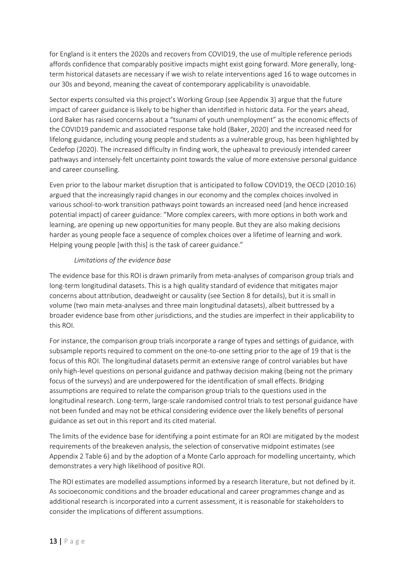for England is it enters the 2020s and recovers from COVID19, the use of multiple reference periods affords confidence that comparably positive impacts might exist going forward. More generally, longterm historical datasets are necessary if we wish to relate interventions aged 16 to wage outcomes in our 30s and beyond, meaning the caveat of contemporary applicability is unavoidable.

Sector experts consulted via this project's Working Group (see Appendix 3) argue that the future impact of career guidance is likely to be higher than identified in historic data. For the years ahead, Lord Baker has raised concerns about a "tsunami of youth unemployment" as the economic effects of the COVID19 pandemic and associated response take hold (Baker, 2020) and the increased need for lifelong guidance, including young people and students as a vulnerable group, has been highlighted by Cedefop (2020). The increased difficulty in finding work, the upheaval to previously intended career pathways and intensely-felt uncertainty point towards the value of more extensive personal guidance and career counselling.

Even prior to the labour market disruption that is anticipated to follow COVID19, the OECD (2010:16) argued that the increasingly rapid changes in our economy and the complex choices involved in various school-to-work transition pathways point towards an increased need (and hence increased potential impact) of career guidance: "More complex careers, with more options in both work and learning, are opening up new opportunities for many people. But they are also making decisions harder as young people face a sequence of complex choices over a lifetime of learning and work. Helping young people [with this] is the task of career guidance."

#### *Limitations of the evidence base*

The evidence base for this ROI is drawn primarily from meta-analyses of comparison group trials and long-term longitudinal datasets. This is a high quality standard of evidence that mitigates major concerns about attribution, deadweight or causality (see Section 8 for details), but it is small in volume (two main meta-analyses and three main longitudinal datasets), albeit buttressed by a broader evidence base from other jurisdictions, and the studies are imperfect in their applicability to this ROI.

For instance, the comparison group trials incorporate a range of types and settings of guidance, with subsample reports required to comment on the one-to-one setting prior to the age of 19 that is the focus of this ROI. The longitudinal datasets permit an extensive range of control variables but have only high-level questions on personal guidance and pathway decision making (being not the primary focus of the surveys) and are underpowered for the identification of small effects. Bridging assumptions are required to relate the comparison group trials to the questions used in the longitudinal research. Long-term, large-scale randomised control trials to test personal guidance have not been funded and may not be ethical considering evidence over the likely benefits of personal guidance as set out in this report and its cited material.

The limits of the evidence base for identifying a point estimate for an ROI are mitigated by the modest requirements of the breakeven analysis, the selection of conservative midpoint estimates (see Appendix 2 Table 6) and by the adoption of a Monte Carlo approach for modelling uncertainty, which demonstrates a very high likelihood of positive ROI.

The ROI estimates are modelled assumptions informed by a research literature, but not defined by it. As socioeconomic conditions and the broader educational and career programmes change and as additional research is incorporated into a current assessment, it is reasonable for stakeholders to consider the implications of different assumptions.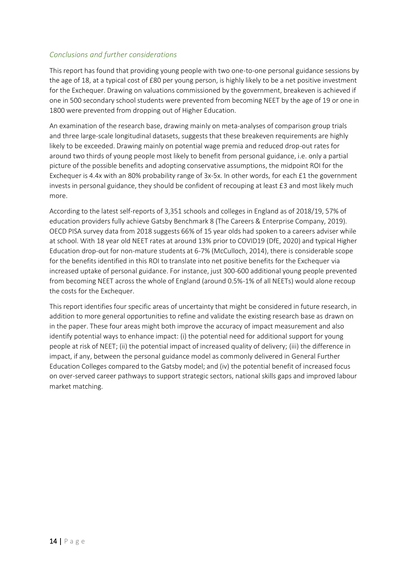### <span id="page-13-0"></span>*Conclusions and further considerations*

This report has found that providing young people with two one-to-one personal guidance sessions by the age of 18, at a typical cost of £80 per young person, is highly likely to be a net positive investment for the Exchequer. Drawing on valuations commissioned by the government, breakeven is achieved if one in 500 secondary school students were prevented from becoming NEET by the age of 19 or one in 1800 were prevented from dropping out of Higher Education.

An examination of the research base, drawing mainly on meta-analyses of comparison group trials and three large-scale longitudinal datasets, suggests that these breakeven requirements are highly likely to be exceeded. Drawing mainly on potential wage premia and reduced drop-out rates for around two thirds of young people most likely to benefit from personal guidance, i.e. only a partial picture of the possible benefits and adopting conservative assumptions, the midpoint ROI for the Exchequer is 4.4x with an 80% probability range of 3x-5x. In other words, for each £1 the government invests in personal guidance, they should be confident of recouping at least  $E_3$  and most likely much more.

According to the latest self-reports of 3,351 schools and colleges in England as of 2018/19, 57% of education providers fully achieve Gatsby Benchmark 8 (The Careers & Enterprise Company, 2019). OECD PISA survey data from 2018 suggests 66% of 15 year olds had spoken to a careers adviser while at school. With 18 year old NEET rates at around 13% prior to COVID19 (DfE, 2020) and typical Higher Education drop-out for non-mature students at 6-7% (McCulloch, 2014), there is considerable scope for the benefits identified in this ROI to translate into net positive benefits for the Exchequer via increased uptake of personal guidance. For instance, just 300-600 additional young people prevented from becoming NEET across the whole of England (around 0.5%-1% of all NEETs) would alone recoup the costs for the Exchequer.

This report identifies four specific areas of uncertainty that might be considered in future research, in addition to more general opportunities to refine and validate the existing research base as drawn on in the paper. These four areas might both improve the accuracy of impact measurement and also identify potential ways to enhance impact: (i) the potential need for additional support for young people at risk of NEET; (ii) the potential impact of increased quality of delivery; (iii) the difference in impact, if any, between the personal guidance model as commonly delivered in General Further Education Colleges compared to the Gatsby model; and (iv) the potential benefit of increased focus on over-served career pathways to support strategic sectors, national skills gaps and improved labour market matching.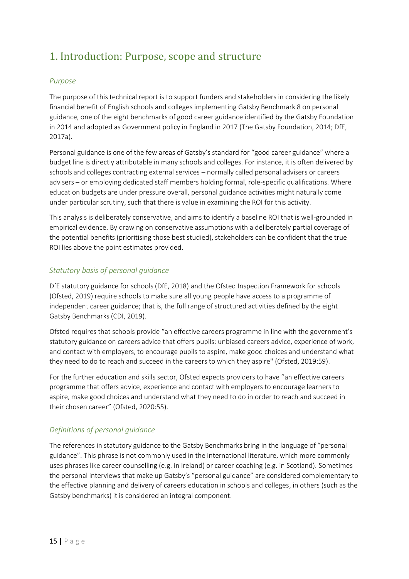## <span id="page-14-0"></span>1. Introduction: Purpose, scope and structure

### <span id="page-14-1"></span>*Purpose*

The purpose of this technical report is to support funders and stakeholders in considering the likely financial benefit of English schools and colleges implementing Gatsby Benchmark 8 on personal guidance, one of the eight benchmarks of good career guidance identified by the Gatsby Foundation in 2014 and adopted as Government policy in England in 2017 (The Gatsby Foundation, 2014; DfE, 2017a).

Personal guidance is one of the few areas of Gatsby's standard for "good career guidance" where a budget line is directly attributable in many schools and colleges. For instance, it is often delivered by schools and colleges contracting external services – normally called personal advisers or careers advisers – or employing dedicated staff members holding formal, role-specific qualifications. Where education budgets are under pressure overall, personal guidance activities might naturally come under particular scrutiny, such that there is value in examining the ROI for this activity.

This analysis is deliberately conservative, and aims to identify a baseline ROI that is well-grounded in empirical evidence. By drawing on conservative assumptions with a deliberately partial coverage of the potential benefits (prioritising those best studied), stakeholders can be confident that the true ROI lies above the point estimates provided.

### <span id="page-14-2"></span>*Statutory basis of personal guidance*

DfE statutory guidance for schools (DfE, 2018) and the Ofsted Inspection Framework for schools (Ofsted, 2019) require schools to make sure all young people have access to a programme of independent career guidance; that is, the full range of structured activities defined by the eight Gatsby Benchmarks (CDI, 2019).

Ofsted requires that schools provide "an effective careers programme in line with the government's statutory guidance on careers advice that offers pupils: unbiased careers advice, experience of work, and contact with employers, to encourage pupils to aspire, make good choices and understand what they need to do to reach and succeed in the careers to which they aspire" (Ofsted, 2019:59).

For the further education and skills sector, Ofsted expects providers to have "an effective careers programme that offers advice, experience and contact with employers to encourage learners to aspire, make good choices and understand what they need to do in order to reach and succeed in their chosen career" (Ofsted, 2020:55).

## <span id="page-14-3"></span>*Definitions of personal guidance*

The references in statutory guidance to the Gatsby Benchmarks bring in the language of "personal guidance". This phrase is not commonly used in the international literature, which more commonly uses phrases like career counselling (e.g. in Ireland) or career coaching (e.g. in Scotland). Sometimes the personal interviews that make up Gatsby's "personal guidance" are considered complementary to the effective planning and delivery of careers education in schools and colleges, in others (such as the Gatsby benchmarks) it is considered an integral component.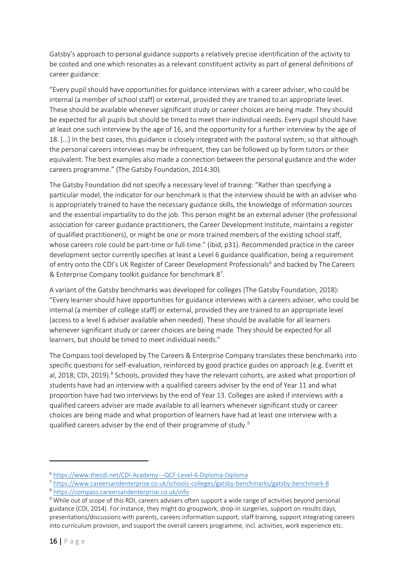Gatsby's approach to personal guidance supports a relatively precise identification of the activity to be costed and one which resonates as a relevant constituent activity as part of general definitions of career guidance:

"Every pupil should have opportunities for guidance interviews with a career adviser, who could be internal (a member of school staff) or external, provided they are trained to an appropriate level. These should be available whenever significant study or career choices are being made. They should be expected for all pupils but should be timed to meet their individual needs. Every pupil should have at least one such interview by the age of 16, and the opportunity for a further interview by the age of 18. […] In the best cases, this guidance is closely integrated with the pastoral system, so that although the personal careers interviews may be infrequent, they can be followed up by form tutors or their equivalent. The best examples also made a connection between the personal guidance and the wider careers programme." (The Gatsby Foundation, 2014:30).

The Gatsby Foundation did not specify a necessary level of training: "Rather than specifying a particular model, the indicator for our benchmark is that the interview should be with an adviser who is appropriately trained to have the necessary guidance skills, the knowledge of information sources and the essential impartiality to do the job. This person might be an external adviser (the professional association for career guidance practitioners, the Career Development Institute, maintains a register of qualified practitioners), or might be one or more trained members of the existing school staff, whose careers role could be part-time or full-time." (ibid, p31). Recommended practice in the career development sector currently specifies at least a Level 6 guidance qualification, being a requirement of entry onto the CDI's UK Register of Career Development Professionals<sup>6</sup> and backed by The Careers & Enterprise Company toolkit guidance for benchmark 8<sup>7</sup> .

A variant of the Gatsby benchmarks was developed for colleges (The Gatsby Foundation, 2018): "Every learner should have opportunities for guidance interviews with a careers adviser, who could be internal (a member of college staff) or external, provided they are trained to an appropriate level (access to a level 6 adviser available when needed). These should be available for all learners whenever significant study or career choices are being made. They should be expected for all learners, but should be timed to meet individual needs."

The Compass tool developed by The Careers & Enterprise Company translates these benchmarks into specific questions for self-evaluation, reinforced by good practice guides on approach (e.g. Everitt et al, 2018; CDI, 2019).<sup>8</sup> Schools, provided they have the relevant cohorts, are asked what proportion of students have had an interview with a qualified careers adviser by the end of Year 11 and what proportion have had two interviews by the end of Year 13. Colleges are asked if interviews with a qualified careers adviser are made available to all learners whenever significant study or career choices are being made and what proportion of learners have had at least one interview with a qualified careers adviser by the end of their programme of study.<sup>9</sup>

<sup>6</sup> <https://www.thecdi.net/CDI-Academy---QCF-Level-6-Diploma-Diploma>

<sup>7</sup> <https://www.careersandenterprise.co.uk/schools-colleges/gatsby-benchmarks/gatsby-benchmark-8>

<sup>8</sup> <https://compass.careersandenterprise.co.uk/info>

<sup>&</sup>lt;sup>9</sup> While out of scope of this ROI, careers advisers often support a wide range of activities beyond personal guidance (CDI, 2014). For instance, they might do groupwork, drop-in surgeries, support on results days, presentations/discussions with parents, careers information support, staff training, support integrating careers into curriculum provision, and support the overall careers programme, incl. activities, work experience etc.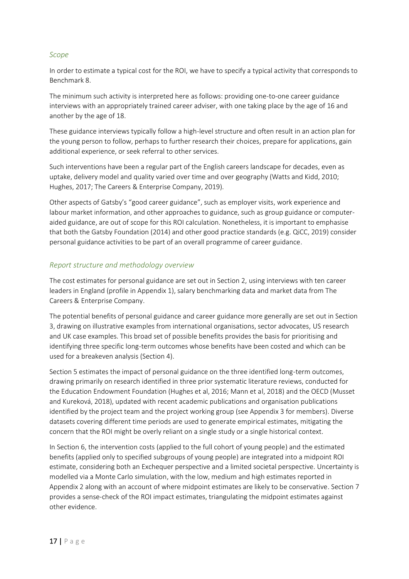#### <span id="page-16-0"></span>*Scope*

In order to estimate a typical cost for the ROI, we have to specify a typical activity that corresponds to Benchmark 8.

The minimum such activity is interpreted here as follows: providing one-to-one career guidance interviews with an appropriately trained career adviser, with one taking place by the age of 16 and another by the age of 18.

These guidance interviews typically follow a high-level structure and often result in an action plan for the young person to follow, perhaps to further research their choices, prepare for applications, gain additional experience, or seek referral to other services.

Such interventions have been a regular part of the English careers landscape for decades, even as uptake, delivery model and quality varied over time and over geography (Watts and Kidd, 2010; Hughes, 2017; The Careers & Enterprise Company, 2019).

Other aspects of Gatsby's "good career guidance", such as employer visits, work experience and labour market information, and other approaches to guidance, such as group guidance or computeraided guidance, are out of scope for this ROI calculation. Nonetheless, it is important to emphasise that both the Gatsby Foundation (2014) and other good practice standards (e.g. QiCC, 2019) consider personal guidance activities to be part of an overall programme of career guidance.

#### <span id="page-16-1"></span>*Report structure and methodology overview*

The cost estimates for personal guidance are set out in Section 2, using interviews with ten career leaders in England (profile in Appendix 1), salary benchmarking data and market data from The Careers & Enterprise Company.

The potential benefits of personal guidance and career guidance more generally are set out in Section 3, drawing on illustrative examples from international organisations, sector advocates, US research and UK case examples. This broad set of possible benefits provides the basis for prioritising and identifying three specific long-term outcomes whose benefits have been costed and which can be used for a breakeven analysis (Section 4).

Section 5 estimates the impact of personal guidance on the three identified long-term outcomes, drawing primarily on research identified in three prior systematic literature reviews, conducted for the Education Endowment Foundation (Hughes et al, 2016; Mann et al, 2018) and the OECD (Musset and Kureková, 2018), updated with recent academic publications and organisation publications identified by the project team and the project working group (see Appendix 3 for members). Diverse datasets covering different time periods are used to generate empirical estimates, mitigating the concern that the ROI might be overly reliant on a single study or a single historical context.

In Section 6, the intervention costs (applied to the full cohort of young people) and the estimated benefits (applied only to specified subgroups of young people) are integrated into a midpoint ROI estimate, considering both an Exchequer perspective and a limited societal perspective. Uncertainty is modelled via a Monte Carlo simulation, with the low, medium and high estimates reported in Appendix 2 along with an account of where midpoint estimates are likely to be conservative. Section 7 provides a sense-check of the ROI impact estimates, triangulating the midpoint estimates against other evidence.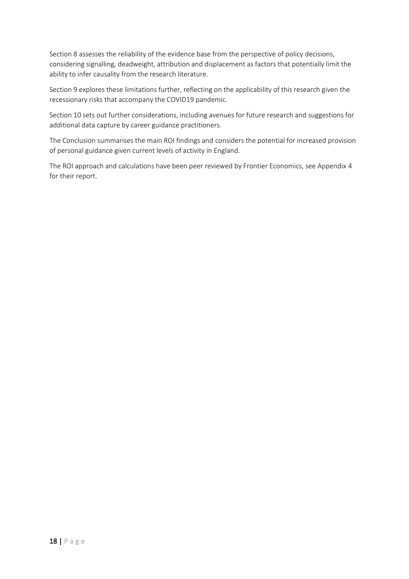Section 8 assesses the reliability of the evidence base from the perspective of policy decisions, considering signalling, deadweight, attribution and displacement as factors that potentially limit the ability to infer causality from the research literature.

Section 9 explores these limitations further, reflecting on the applicability of this research given the recessionary risks that accompany the COVID19 pandemic.

Section 10 sets out further considerations, including avenues for future research and suggestions for additional data capture by career guidance practitioners.

The Conclusion summarises the main ROI findings and considers the potential for increased provision of personal guidance given current levels of activity in England.

The ROI approach and calculations have been peer reviewed by Frontier Economics, see Appendix 4 for their report.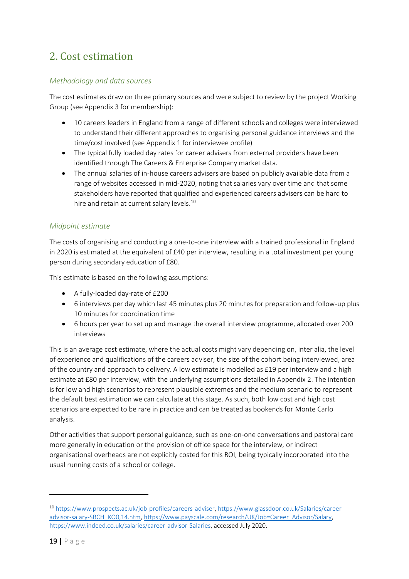## <span id="page-18-0"></span>2. Cost estimation

### <span id="page-18-1"></span>*Methodology and data sources*

The cost estimates draw on three primary sources and were subject to review by the project Working Group (see Appendix 3 for membership):

- 10 careers leaders in England from a range of different schools and colleges were interviewed to understand their different approaches to organising personal guidance interviews and the time/cost involved (see Appendix 1 for interviewee profile)
- The typical fully loaded day rates for career advisers from external providers have been identified through The Careers & Enterprise Company market data.
- The annual salaries of in-house careers advisers are based on publicly available data from a range of websites accessed in mid-2020, noting that salaries vary over time and that some stakeholders have reported that qualified and experienced careers advisers can be hard to hire and retain at current salary levels.<sup>10</sup>

### <span id="page-18-2"></span>*Midpoint estimate*

The costs of organising and conducting a one-to-one interview with a trained professional in England in 2020 is estimated at the equivalent of £40 per interview, resulting in a total investment per young person during secondary education of £80.

This estimate is based on the following assumptions:

- A fully-loaded day-rate of £200
- 6 interviews per day which last 45 minutes plus 20 minutes for preparation and follow-up plus 10 minutes for coordination time
- 6 hours per year to set up and manage the overall interview programme, allocated over 200 interviews

This is an average cost estimate, where the actual costs might vary depending on, inter alia, the level of experience and qualifications of the careers adviser, the size of the cohort being interviewed, area of the country and approach to delivery. A low estimate is modelled as £19 per interview and a high estimate at £80 per interview, with the underlying assumptions detailed in Appendix 2. The intention is for low and high scenarios to represent plausible extremes and the medium scenario to represent the default best estimation we can calculate at this stage. As such, both low cost and high cost scenarios are expected to be rare in practice and can be treated as bookends for Monte Carlo analysis.

Other activities that support personal guidance, such as one-on-one conversations and pastoral care more generally in education or the provision of office space for the interview, or indirect organisational overheads are not explicitly costed for this ROI, being typically incorporated into the usual running costs of a school or college.

<sup>10</sup> [https://www.prospects.ac.uk/job-profiles/careers-adviser,](https://www.prospects.ac.uk/job-profiles/careers-adviser) [https://www.glassdoor.co.uk/Salaries/career](https://www.glassdoor.co.uk/Salaries/career-advisor-salary-SRCH_KO0,14.htm)[advisor-salary-SRCH\\_KO0,14.htm,](https://www.glassdoor.co.uk/Salaries/career-advisor-salary-SRCH_KO0,14.htm) [https://www.payscale.com/research/UK/Job=Career\\_Advisor/Salary,](https://www.payscale.com/research/UK/Job=Career_Advisor/Salary) [https://www.indeed.co.uk/salaries/career-advisor-Salaries,](https://www.indeed.co.uk/salaries/career-advisor-Salaries) accessed July 2020.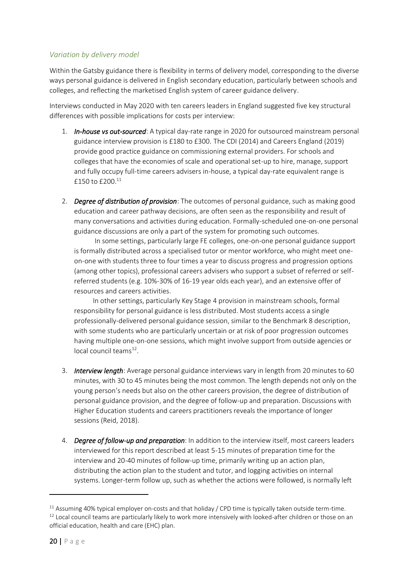### <span id="page-19-0"></span>*Variation by delivery model*

Within the Gatsby guidance there is flexibility in terms of delivery model, corresponding to the diverse ways personal guidance is delivered in English secondary education, particularly between schools and colleges, and reflecting the marketised English system of career guidance delivery.

Interviews conducted in May 2020 with ten careers leaders in England suggested five key structural differences with possible implications for costs per interview:

- 1. *In-house vs out-sourced*: A typical day-rate range in 2020 for outsourced mainstream personal guidance interview provision is £180 to £300. The CDI (2014) and Careers England (2019) provide good practice guidance on commissioning external providers. For schools and colleges that have the economies of scale and operational set-up to hire, manage, support and fully occupy full-time careers advisers in-house, a typical day-rate equivalent range is £150 to £200.<sup>11</sup>
- 2. *Degree of distribution of provision*: The outcomes of personal guidance, such as making good education and career pathway decisions, are often seen as the responsibility and result of many conversations and activities during education. Formally-scheduled one-on-one personal guidance discussions are only a part of the system for promoting such outcomes.

 In some settings, particularly large FE colleges, one-on-one personal guidance support is formally distributed across a specialised tutor or mentor workforce, who might meet oneon-one with students three to four times a year to discuss progress and progression options (among other topics), professional careers advisers who support a subset of referred or selfreferred students (e.g. 10%-30% of 16-19 year olds each year), and an extensive offer of resources and careers activities.

 In other settings, particularly Key Stage 4 provision in mainstream schools, formal responsibility for personal guidance is less distributed. Most students access a single professionally-delivered personal guidance session, similar to the Benchmark 8 description, with some students who are particularly uncertain or at risk of poor progression outcomes having multiple one-on-one sessions, which might involve support from outside agencies or local council teams<sup>12</sup>.

- 3. *Interview length*: Average personal guidance interviews vary in length from 20 minutes to 60 minutes, with 30 to 45 minutes being the most common. The length depends not only on the young person's needs but also on the other careers provision, the degree of distribution of personal guidance provision, and the degree of follow-up and preparation. Discussions with Higher Education students and careers practitioners reveals the importance of longer sessions (Reid, 2018).
- 4. *Degree of follow-up and preparation*: In addition to the interview itself, most careers leaders interviewed for this report described at least 5-15 minutes of preparation time for the interview and 20-40 minutes of follow-up time, primarily writing up an action plan, distributing the action plan to the student and tutor, and logging activities on internal systems. Longer-term follow up, such as whether the actions were followed, is normally left

 $11$  Assuming 40% typical employer on-costs and that holiday / CPD time is typically taken outside term-time.  $12$  Local council teams are particularly likely to work more intensively with looked-after children or those on an official education, health and care (EHC) plan.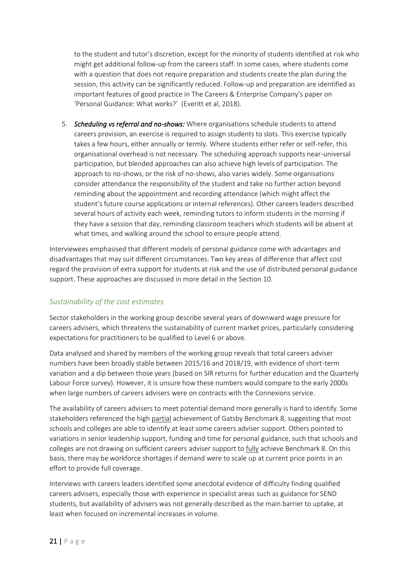to the student and tutor's discretion, except for the minority of students identified at risk who might get additional follow-up from the careers staff. In some cases, where students come with a question that does not require preparation and students create the plan during the session, this activity can be significantly reduced. Follow-up and preparation are identified as important features of good practice in The Careers & Enterprise Company's paper on 'Personal Guidance: What works?' (Everitt et al, 2018).

5. *Scheduling vs referral and no-shows:* Where organisations schedule students to attend careers provision, an exercise is required to assign students to slots. This exercise typically takes a few hours, either annually or termly. Where students either refer or self-refer, this organisational overhead is not necessary. The scheduling approach supports near-universal participation, but blended approaches can also achieve high levels of participation. The approach to no-shows, or the risk of no-shows, also varies widely. Some organisations consider attendance the responsibility of the student and take no further action beyond reminding about the appointment and recording attendance (which might affect the student's future course applications or internal references). Other careers leaders described several hours of activity each week, reminding tutors to inform students in the morning if they have a session that day, reminding classroom teachers which students will be absent at what times, and walking around the school to ensure people attend.

Interviewees emphasised that different models of personal guidance come with advantages and disadvantages that may suit different circumstances. Two key areas of difference that affect cost regard the provision of extra support for students at risk and the use of distributed personal guidance support. These approaches are discussed in more detail in the Section 10.

#### <span id="page-20-0"></span>*Sustainability of the cost estimates*

Sector stakeholders in the working group describe several years of downward wage pressure for careers advisers, which threatens the sustainability of current market prices, particularly considering expectations for practitioners to be qualified to Level 6 or above.

Data analysed and shared by members of the working group reveals that total careers adviser numbers have been broadly stable between 2015/16 and 2018/19, with evidence of short-term variation and a dip between those years (based on SIR returns for further education and the Quarterly Labour Force survey). However, it is unsure how these numbers would compare to the early 2000s when large numbers of careers advisers were on contracts with the Connexions service.

The availability of careers advisers to meet potential demand more generally is hard to identify. Some stakeholders referenced the high partial achievement of Gatsby Benchmark 8, suggesting that most schools and colleges are able to identify at least some careers adviser support. Others pointed to variations in senior leadership support, funding and time for personal guidance, such that schools and colleges are not drawing on sufficient careers adviser support to fully achieve Benchmark 8. On this basis, there may be workforce shortages if demand were to scale up at current price points in an effort to provide full coverage.

Interviews with careers leaders identified some anecdotal evidence of difficulty finding qualified careers advisers, especially those with experience in specialist areas such as guidance for SEND students, but availability of advisers was not generally described as the main barrier to uptake, at least when focused on incremental increases in volume.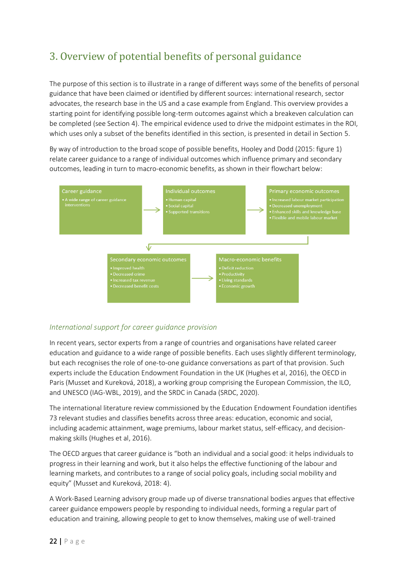# <span id="page-21-0"></span>3. Overview of potential benefits of personal guidance

The purpose of this section is to illustrate in a range of different ways some of the benefits of personal guidance that have been claimed or identified by different sources: international research, sector advocates, the research base in the US and a case example from England. This overview provides a starting point for identifying possible long-term outcomes against which a breakeven calculation can be completed (see Section 4). The empirical evidence used to drive the midpoint estimates in the ROI, which uses only a subset of the benefits identified in this section, is presented in detail in Section 5.

By way of introduction to the broad scope of possible benefits, Hooley and Dodd (2015: figure 1) relate career guidance to a range of individual outcomes which influence primary and secondary outcomes, leading in turn to macro-economic benefits, as shown in their flowchart below:



## <span id="page-21-1"></span>*International support for career guidance provision*

In recent years, sector experts from a range of countries and organisations have related career education and guidance to a wide range of possible benefits. Each uses slightly different terminology, but each recognises the role of one-to-one guidance conversations as part of that provision. Such experts include the Education Endowment Foundation in the UK (Hughes et al, 2016), the OECD in Paris (Musset and Kureková, 2018), a working group comprising the European Commission, the ILO, and UNESCO (IAG-WBL, 2019), and the SRDC in Canada (SRDC, 2020).

The international literature review commissioned by the Education Endowment Foundation identifies 73 relevant studies and classifies benefits across three areas: education, economic and social, including academic attainment, wage premiums, labour market status, self-efficacy, and decisionmaking skills (Hughes et al, 2016).

The OECD argues that career guidance is "both an individual and a social good: it helps individuals to progress in their learning and work, but it also helps the effective functioning of the labour and learning markets, and contributes to a range of social policy goals, including social mobility and equity" (Musset and Kureková, 2018: 4).

A Work-Based Learning advisory group made up of diverse transnational bodies argues that effective career guidance empowers people by responding to individual needs, forming a regular part of education and training, allowing people to get to know themselves, making use of well-trained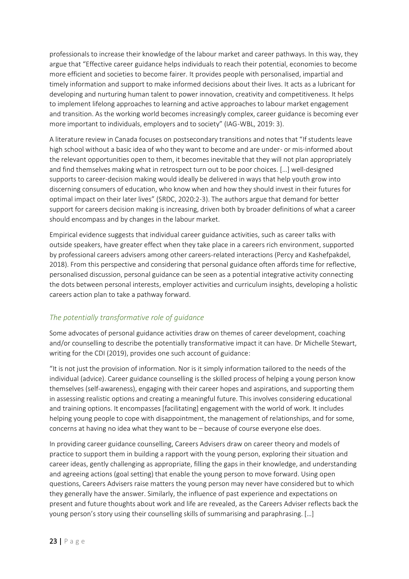professionals to increase their knowledge of the labour market and career pathways. In this way, they argue that "Effective career guidance helps individuals to reach their potential, economies to become more efficient and societies to become fairer. It provides people with personalised, impartial and timely information and support to make informed decisions about their lives. It acts as a lubricant for developing and nurturing human talent to power innovation, creativity and competitiveness. It helps to implement lifelong approaches to learning and active approaches to labour market engagement and transition. As the working world becomes increasingly complex, career guidance is becoming ever more important to individuals, employers and to society" (IAG-WBL, 2019: 3).

A literature review in Canada focuses on postsecondary transitions and notes that "If students leave high school without a basic idea of who they want to become and are under- or mis-informed about the relevant opportunities open to them, it becomes inevitable that they will not plan appropriately and find themselves making what in retrospect turn out to be poor choices. […] well-designed supports to career-decision making would ideally be delivered in ways that help youth grow into discerning consumers of education, who know when and how they should invest in their futures for optimal impact on their later lives" (SRDC, 2020:2-3). The authors argue that demand for better support for careers decision making is increasing, driven both by broader definitions of what a career should encompass and by changes in the labour market.

Empirical evidence suggests that individual career guidance activities, such as career talks with outside speakers, have greater effect when they take place in a careers rich environment, supported by professional careers advisers among other careers-related interactions (Percy and Kashefpakdel, 2018). From this perspective and considering that personal guidance often affords time for reflective, personalised discussion, personal guidance can be seen as a potential integrative activity connecting the dots between personal interests, employer activities and curriculum insights, developing a holistic careers action plan to take a pathway forward.

## <span id="page-22-0"></span>*The potentially transformative role of guidance*

Some advocates of personal guidance activities draw on themes of career development, coaching and/or counselling to describe the potentially transformative impact it can have. Dr Michelle Stewart, writing for the CDI (2019), provides one such account of guidance:

"It is not just the provision of information. Nor is it simply information tailored to the needs of the individual (advice). Career guidance counselling is the skilled process of helping a young person know themselves (self-awareness), engaging with their career hopes and aspirations, and supporting them in assessing realistic options and creating a meaningful future. This involves considering educational and training options. It encompasses [facilitating] engagement with the world of work. It includes helping young people to cope with disappointment, the management of relationships, and for some, concerns at having no idea what they want to be – because of course everyone else does.

In providing career guidance counselling, Careers Advisers draw on career theory and models of practice to support them in building a rapport with the young person, exploring their situation and career ideas, gently challenging as appropriate, filling the gaps in their knowledge, and understanding and agreeing actions (goal setting) that enable the young person to move forward. Using open questions, Careers Advisers raise matters the young person may never have considered but to which they generally have the answer. Similarly, the influence of past experience and expectations on present and future thoughts about work and life are revealed, as the Careers Adviser reflects back the young person's story using their counselling skills of summarising and paraphrasing. […]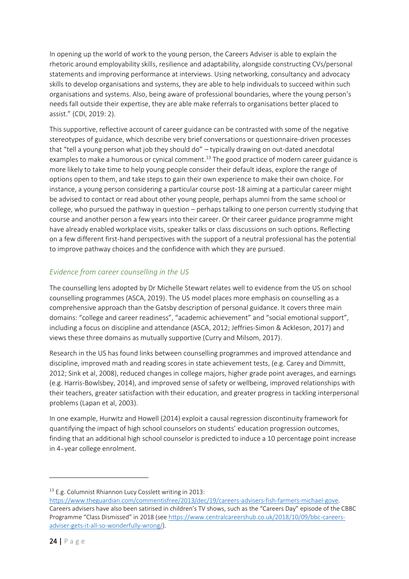In opening up the world of work to the young person, the Careers Adviser is able to explain the rhetoric around employability skills, resilience and adaptability, alongside constructing CVs/personal statements and improving performance at interviews. Using networking, consultancy and advocacy skills to develop organisations and systems, they are able to help individuals to succeed within such organisations and systems. Also, being aware of professional boundaries, where the young person's needs fall outside their expertise, they are able make referrals to organisations better placed to assist." (CDI, 2019: 2).

This supportive, reflective account of career guidance can be contrasted with some of the negative stereotypes of guidance, which describe very brief conversations or questionnaire-driven processes that "tell a young person what job they should do" – typically drawing on out-dated anecdotal examples to make a humorous or cynical comment.<sup>13</sup> The good practice of modern career guidance is more likely to take time to help young people consider their default ideas, explore the range of options open to them, and take steps to gain their own experience to make their own choice. For instance, a young person considering a particular course post-18 aiming at a particular career might be advised to contact or read about other young people, perhaps alumni from the same school or college, who pursued the pathway in question – perhaps talking to one person currently studying that course and another person a few years into their career. Or their career guidance programme might have already enabled workplace visits, speaker talks or class discussions on such options. Reflecting on a few different first-hand perspectives with the support of a neutral professional has the potential to improve pathway choices and the confidence with which they are pursued.

## <span id="page-23-0"></span>*Evidence from career counselling in the US*

The counselling lens adopted by Dr Michelle Stewart relates well to evidence from the US on school counselling programmes (ASCA, 2019). The US model places more emphasis on counselling as a comprehensive approach than the Gatsby description of personal guidance. It covers three main domains: "college and career readiness", "academic achievement" and "social emotional support", including a focus on discipline and attendance (ASCA, 2012; Jeffries-Simon & Ackleson, 2017) and views these three domains as mutually supportive (Curry and Milsom, 2017).

Research in the US has found links between counselling programmes and improved attendance and discipline, improved math and reading scores in state achievement tests, (e.g. Carey and Dimmitt, 2012; Sink et al, 2008), reduced changes in college majors, higher grade point averages, and earnings (e.g. Harris-Bowlsbey, 2014), and improved sense of safety or wellbeing, improved relationships with their teachers, greater satisfaction with their education, and greater progress in tackling interpersonal problems (Lapan et al, 2003).

In one example, Hurwitz and Howell (2014) exploit a causal regression discontinuity framework for quantifying the impact of high school counselors on students' education progression outcomes, finding that an additional high school counselor is predicted to induce a 10 percentage point increase in 4‐year college enrolment.

<sup>13</sup> E.g. Columnist Rhiannon Lucy Cosslett writing in 2013:

[https://www.theguardian.com/commentisfree/2013/dec/19/careers-advisers-fish-farmers-michael-gove.](https://www.theguardian.com/commentisfree/2013/dec/19/careers-advisers-fish-farmers-michael-gove)  Careers advisers have also been satirised in children's TV shows, such as the "Careers Day" episode of the CBBC Programme "Class Dismissed" in 2018 (see [https://www.centralcareershub.co.uk/2018/10/09/bbc-careers](https://www.centralcareershub.co.uk/2018/10/09/bbc-careers-adviser-gets-it-all-so-wonderfully-wrong/)[adviser-gets-it-all-so-wonderfully-wrong/\)](https://www.centralcareershub.co.uk/2018/10/09/bbc-careers-adviser-gets-it-all-so-wonderfully-wrong/).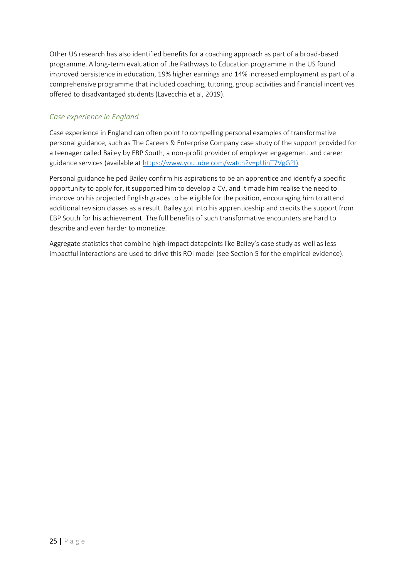Other US research has also identified benefits for a coaching approach as part of a broad-based programme. A long-term evaluation of the Pathways to Education programme in the US found improved persistence in education, 19% higher earnings and 14% increased employment as part of a comprehensive programme that included coaching, tutoring, group activities and financial incentives offered to disadvantaged students (Lavecchia et al, 2019).

## <span id="page-24-0"></span>*Case experience in England*

Case experience in England can often point to compelling personal examples of transformative personal guidance, such as The Careers & Enterprise Company case study of the support provided for a teenager called Bailey by EBP South, a non-profit provider of employer engagement and career guidance services (available at [https://www.youtube.com/watch?v=pUinT7VgGPI\)](https://www.youtube.com/watch?v=pUinT7VgGPI).

Personal guidance helped Bailey confirm his aspirations to be an apprentice and identify a specific opportunity to apply for, it supported him to develop a CV, and it made him realise the need to improve on his projected English grades to be eligible for the position, encouraging him to attend additional revision classes as a result. Bailey got into his apprenticeship and credits the support from EBP South for his achievement. The full benefits of such transformative encounters are hard to describe and even harder to monetize.

<span id="page-24-1"></span>Aggregate statistics that combine high-impact datapoints like Bailey's case study as well as less impactful interactions are used to drive this ROI model (see Section 5 for the empirical evidence).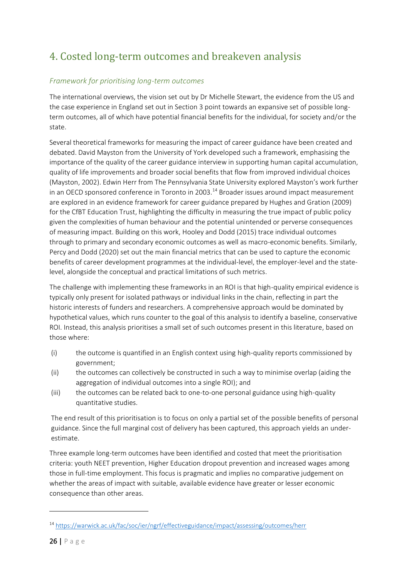# 4. Costed long-term outcomes and breakeven analysis

## <span id="page-25-0"></span>*Framework for prioritising long-term outcomes*

The international overviews, the vision set out by Dr Michelle Stewart, the evidence from the US and the case experience in England set out in Section 3 point towards an expansive set of possible longterm outcomes, all of which have potential financial benefits for the individual, for society and/or the state.

Several theoretical frameworks for measuring the impact of career guidance have been created and debated. David Mayston from the University of York developed such a framework, emphasising the importance of the quality of the career guidance interview in supporting human capital accumulation, quality of life improvements and broader social benefits that flow from improved individual choices (Mayston, 2002). Edwin Herr from The Pennsylvania State University explored Mayston's work further in an OECD sponsored conference in Toronto in 2003.<sup>14</sup> Broader issues around impact measurement are explored in an evidence framework for career guidance prepared by Hughes and Gration (2009) for the CfBT Education Trust, highlighting the difficulty in measuring the true impact of public policy given the complexities of human behaviour and the potential unintended or perverse consequences of measuring impact. Building on this work, Hooley and Dodd (2015) trace individual outcomes through to primary and secondary economic outcomes as well as macro-economic benefits. Similarly, Percy and Dodd (2020) set out the main financial metrics that can be used to capture the economic benefits of career development programmes at the individual-level, the employer-level and the statelevel, alongside the conceptual and practical limitations of such metrics.

The challenge with implementing these frameworks in an ROI is that high-quality empirical evidence is typically only present for isolated pathways or individual links in the chain, reflecting in part the historic interests of funders and researchers. A comprehensive approach would be dominated by hypothetical values, which runs counter to the goal of this analysis to identify a baseline, conservative ROI. Instead, this analysis prioritises a small set of such outcomes present in this literature, based on those where:

- (i) the outcome is quantified in an English context using high-quality reports commissioned by government;
- (ii) the outcomes can collectively be constructed in such a way to minimise overlap (aiding the aggregation of individual outcomes into a single ROI); and
- (iii) the outcomes can be related back to one-to-one personal guidance using high-quality quantitative studies.

The end result of this prioritisation is to focus on only a partial set of the possible benefits of personal guidance. Since the full marginal cost of delivery has been captured, this approach yields an underestimate.

Three example long-term outcomes have been identified and costed that meet the prioritisation criteria: youth NEET prevention, Higher Education dropout prevention and increased wages among those in full-time employment. This focus is pragmatic and implies no comparative judgement on whether the areas of impact with suitable, available evidence have greater or lesser economic consequence than other areas.

<sup>14</sup> <https://warwick.ac.uk/fac/soc/ier/ngrf/effectiveguidance/impact/assessing/outcomes/herr>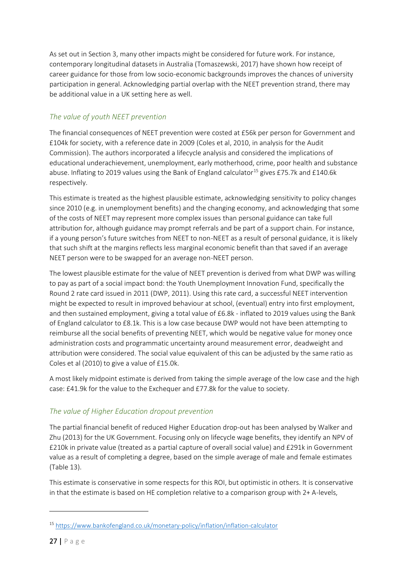As set out in Section 3, many other impacts might be considered for future work. For instance, contemporary longitudinal datasets in Australia (Tomaszewski, 2017) have shown how receipt of career guidance for those from low socio-economic backgrounds improves the chances of university participation in general. Acknowledging partial overlap with the NEET prevention strand, there may be additional value in a UK setting here as well.

## <span id="page-26-0"></span>*The value of youth NEET prevention*

The financial consequences of NEET prevention were costed at £56k per person for Government and £104k for society, with a reference date in 2009 (Coles et al, 2010, in analysis for the Audit Commission). The authors incorporated a lifecycle analysis and considered the implications of educational underachievement, unemployment, early motherhood, crime, poor health and substance abuse. Inflating to 2019 values using the Bank of England calculator<sup>15</sup> gives £75.7k and £140.6k respectively.

This estimate is treated as the highest plausible estimate, acknowledging sensitivity to policy changes since 2010 (e.g. in unemployment benefits) and the changing economy, and acknowledging that some of the costs of NEET may represent more complex issues than personal guidance can take full attribution for, although guidance may prompt referrals and be part of a support chain. For instance, if a young person's future switches from NEET to non-NEET as a result of personal guidance, it is likely that such shift at the margins reflects less marginal economic benefit than that saved if an average NEET person were to be swapped for an average non-NEET person.

The lowest plausible estimate for the value of NEET prevention is derived from what DWP was willing to pay as part of a social impact bond: the Youth Unemployment Innovation Fund, specifically the Round 2 rate card issued in 2011 (DWP, 2011). Using this rate card, a successful NEET intervention might be expected to result in improved behaviour at school, (eventual) entry into first employment, and then sustained employment, giving a total value of £6.8k - inflated to 2019 values using the Bank of England calculator to £8.1k. This is a low case because DWP would not have been attempting to reimburse all the social benefits of preventing NEET, which would be negative value for money once administration costs and programmatic uncertainty around measurement error, deadweight and attribution were considered. The social value equivalent of this can be adjusted by the same ratio as Coles et al (2010) to give a value of £15.0k.

A most likely midpoint estimate is derived from taking the simple average of the low case and the high case: £41.9k for the value to the Exchequer and £77.8k for the value to society.

## <span id="page-26-1"></span>*The value of Higher Education dropout prevention*

The partial financial benefit of reduced Higher Education drop-out has been analysed by Walker and Zhu (2013) for the UK Government. Focusing only on lifecycle wage benefits, they identify an NPV of £210k in private value (treated as a partial capture of overall social value) and £291k in Government value as a result of completing a degree, based on the simple average of male and female estimates (Table 13).

This estimate is conservative in some respects for this ROI, but optimistic in others. It is conservative in that the estimate is based on HE completion relative to a comparison group with 2+ A-levels,

<sup>15</sup> <https://www.bankofengland.co.uk/monetary-policy/inflation/inflation-calculator>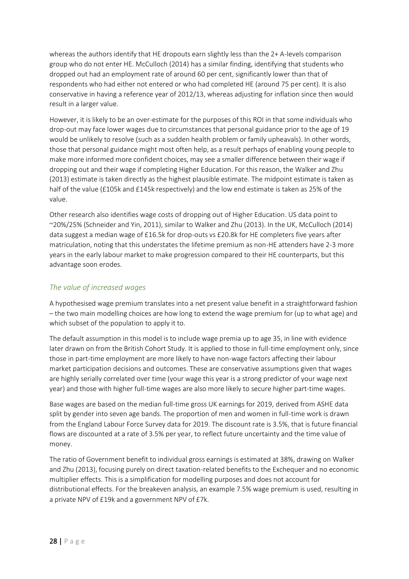whereas the authors identify that HE dropouts earn slightly less than the 2+ A-levels comparison group who do not enter HE. McCulloch (2014) has a similar finding, identifying that students who dropped out had an employment rate of around 60 per cent, significantly lower than that of respondents who had either not entered or who had completed HE (around 75 per cent). It is also conservative in having a reference year of 2012/13, whereas adjusting for inflation since then would result in a larger value.

However, it is likely to be an over-estimate for the purposes of this ROI in that some individuals who drop-out may face lower wages due to circumstances that personal guidance prior to the age of 19 would be unlikely to resolve (such as a sudden health problem or family upheavals). In other words, those that personal guidance might most often help, as a result perhaps of enabling young people to make more informed more confident choices, may see a smaller difference between their wage if dropping out and their wage if completing Higher Education. For this reason, the Walker and Zhu (2013) estimate is taken directly as the highest plausible estimate. The midpoint estimate is taken as half of the value (£105k and £145k respectively) and the low end estimate is taken as 25% of the value.

Other research also identifies wage costs of dropping out of Higher Education. US data point to ~20%/25% (Schneider and Yin, 2011), similar to Walker and Zhu (2013). In the UK, McCulloch (2014) data suggest a median wage of £16.5k for drop-outs vs £20.8k for HE completers five years after matriculation, noting that this understates the lifetime premium as non-HE attenders have 2-3 more years in the early labour market to make progression compared to their HE counterparts, but this advantage soon erodes.

### <span id="page-27-0"></span>*The value of increased wages*

A hypothesised wage premium translates into a net present value benefit in a straightforward fashion – the two main modelling choices are how long to extend the wage premium for (up to what age) and which subset of the population to apply it to.

The default assumption in this model is to include wage premia up to age 35, in line with evidence later drawn on from the British Cohort Study. It is applied to those in full-time employment only, since those in part-time employment are more likely to have non-wage factors affecting their labour market participation decisions and outcomes. These are conservative assumptions given that wages are highly serially correlated over time (your wage this year is a strong predictor of your wage next year) and those with higher full-time wages are also more likely to secure higher part-time wages.

Base wages are based on the median full-time gross UK earnings for 2019, derived from ASHE data split by gender into seven age bands. The proportion of men and women in full-time work is drawn from the England Labour Force Survey data for 2019. The discount rate is 3.5%, that is future financial flows are discounted at a rate of 3.5% per year, to reflect future uncertainty and the time value of money.

The ratio of Government benefit to individual gross earnings is estimated at 38%, drawing on Walker and Zhu (2013), focusing purely on direct taxation-related benefits to the Exchequer and no economic multiplier effects. This is a simplification for modelling purposes and does not account for distributional effects. For the breakeven analysis, an example 7.5% wage premium is used, resulting in a private NPV of £19k and a government NPV of £7k.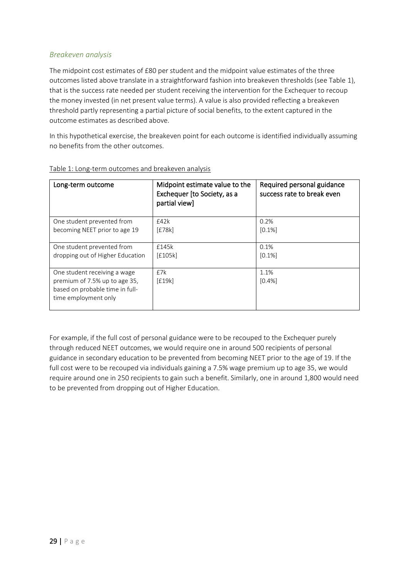### <span id="page-28-0"></span>*Breakeven analysis*

The midpoint cost estimates of £80 per student and the midpoint value estimates of the three outcomes listed above translate in a straightforward fashion into breakeven thresholds (see Table 1), that is the success rate needed per student receiving the intervention for the Exchequer to recoup the money invested (in net present value terms). A value is also provided reflecting a breakeven threshold partly representing a partial picture of social benefits, to the extent captured in the outcome estimates as described above.

In this hypothetical exercise, the breakeven point for each outcome is identified individually assuming no benefits from the other outcomes.

| Long-term outcome                                                                                                        | Midpoint estimate value to the<br>Exchequer [to Society, as a<br>partial view] | Required personal guidance<br>success rate to break even |
|--------------------------------------------------------------------------------------------------------------------------|--------------------------------------------------------------------------------|----------------------------------------------------------|
| One student prevented from                                                                                               | £42k                                                                           | 0.2%                                                     |
| becoming NEET prior to age 19                                                                                            | [£78k]                                                                         | [0.1%]                                                   |
| One student prevented from                                                                                               | £145k                                                                          | 0.1%                                                     |
| dropping out of Higher Education                                                                                         | [£105k]                                                                        | [0.1%]                                                   |
| One student receiving a wage<br>premium of 7.5% up to age 35,<br>based on probable time in full-<br>time employment only | £7k<br>[£19k]                                                                  | 1.1%<br>[0.4%]                                           |

#### Table 1: Long-term outcomes and breakeven analysis

For example, if the full cost of personal guidance were to be recouped to the Exchequer purely through reduced NEET outcomes, we would require one in around 500 recipients of personal guidance in secondary education to be prevented from becoming NEET prior to the age of 19. If the full cost were to be recouped via individuals gaining a 7.5% wage premium up to age 35, we would require around one in 250 recipients to gain such a benefit. Similarly, one in around 1,800 would need to be prevented from dropping out of Higher Education.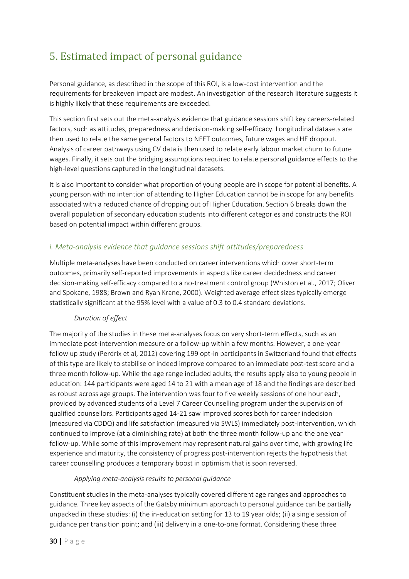## <span id="page-29-0"></span>5. Estimated impact of personal guidance

Personal guidance, as described in the scope of this ROI, is a low-cost intervention and the requirements for breakeven impact are modest. An investigation of the research literature suggests it is highly likely that these requirements are exceeded.

This section first sets out the meta-analysis evidence that guidance sessions shift key careers-related factors, such as attitudes, preparedness and decision-making self-efficacy. Longitudinal datasets are then used to relate the same general factors to NEET outcomes, future wages and HE dropout. Analysis of career pathways using CV data is then used to relate early labour market churn to future wages. Finally, it sets out the bridging assumptions required to relate personal guidance effects to the high-level questions captured in the longitudinal datasets.

It is also important to consider what proportion of young people are in scope for potential benefits. A young person with no intention of attending to Higher Education cannot be in scope for any benefits associated with a reduced chance of dropping out of Higher Education. Section 6 breaks down the overall population of secondary education students into different categories and constructs the ROI based on potential impact within different groups.

## <span id="page-29-1"></span>*i. Meta-analysis evidence that guidance sessions shift attitudes/preparedness*

Multiple meta-analyses have been conducted on career interventions which cover short-term outcomes, primarily self-reported improvements in aspects like career decidedness and career decision-making self-efficacy compared to a no-treatment control group (Whiston et al., 2017; Oliver and Spokane, 1988; Brown and Ryan Krane, 2000). Weighted average effect sizes typically emerge statistically significant at the 95% level with a value of 0.3 to 0.4 standard deviations.

#### *Duration of effect*

The majority of the studies in these meta-analyses focus on very short-term effects, such as an immediate post-intervention measure or a follow-up within a few months. However, a one-year follow up study (Perdrix et al, 2012) covering 199 opt-in participants in Switzerland found that effects of this type are likely to stabilise or indeed improve compared to an immediate post-test score and a three month follow-up. While the age range included adults, the results apply also to young people in education: 144 participants were aged 14 to 21 with a mean age of 18 and the findings are described as robust across age groups. The intervention was four to five weekly sessions of one hour each, provided by advanced students of a Level 7 Career Counselling program under the supervision of qualified counsellors. Participants aged 14-21 saw improved scores both for career indecision (measured via CDDQ) and life satisfaction (measured via SWLS) immediately post-intervention, which continued to improve (at a diminishing rate) at both the three month follow-up and the one year follow-up. While some of this improvement may represent natural gains over time, with growing life experience and maturity, the consistency of progress post-intervention rejects the hypothesis that career counselling produces a temporary boost in optimism that is soon reversed.

#### *Applying meta-analysis results to personal guidance*

Constituent studies in the meta-analyses typically covered different age ranges and approaches to guidance. Three key aspects of the Gatsby minimum approach to personal guidance can be partially unpacked in these studies: (i) the in-education setting for 13 to 19 year olds; (ii) a single session of guidance per transition point; and (iii) delivery in a one-to-one format. Considering these three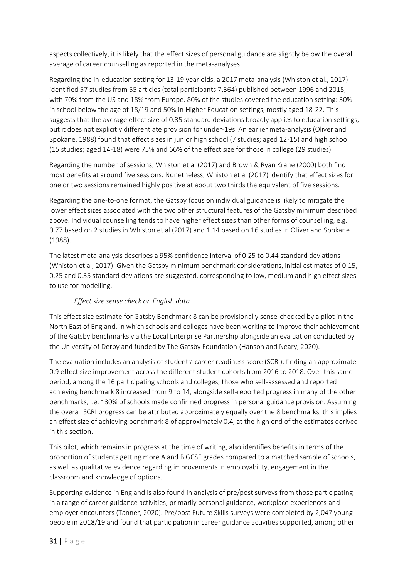aspects collectively, it is likely that the effect sizes of personal guidance are slightly below the overall average of career counselling as reported in the meta-analyses.

Regarding the in-education setting for 13-19 year olds, a 2017 meta-analysis (Whiston et al., 2017) identified 57 studies from 55 articles (total participants 7,364) published between 1996 and 2015, with 70% from the US and 18% from Europe. 80% of the studies covered the education setting: 30% in school below the age of 18/19 and 50% in Higher Education settings, mostly aged 18-22. This suggests that the average effect size of 0.35 standard deviations broadly applies to education settings, but it does not explicitly differentiate provision for under-19s. An earlier meta-analysis (Oliver and Spokane, 1988) found that effect sizes in junior high school (7 studies; aged 12-15) and high school (15 studies; aged 14-18) were 75% and 66% of the effect size for those in college (29 studies).

Regarding the number of sessions, Whiston et al (2017) and Brown & Ryan Krane (2000) both find most benefits at around five sessions. Nonetheless, Whiston et al (2017) identify that effect sizes for one or two sessions remained highly positive at about two thirds the equivalent of five sessions.

Regarding the one-to-one format, the Gatsby focus on individual guidance is likely to mitigate the lower effect sizes associated with the two other structural features of the Gatsby minimum described above. Individual counselling tends to have higher effect sizes than other forms of counselling, e.g. 0.77 based on 2 studies in Whiston et al (2017) and 1.14 based on 16 studies in Oliver and Spokane (1988).

The latest meta-analysis describes a 95% confidence interval of 0.25 to 0.44 standard deviations (Whiston et al, 2017). Given the Gatsby minimum benchmark considerations, initial estimates of 0.15, 0.25 and 0.35 standard deviations are suggested, corresponding to low, medium and high effect sizes to use for modelling.

## *Effect size sense check on English data*

This effect size estimate for Gatsby Benchmark 8 can be provisionally sense-checked by a pilot in the North East of England, in which schools and colleges have been working to improve their achievement of the Gatsby benchmarks via the Local Enterprise Partnership alongside an evaluation conducted by the University of Derby and funded by The Gatsby Foundation (Hanson and Neary, 2020).

The evaluation includes an analysis of students' career readiness score (SCRI), finding an approximate 0.9 effect size improvement across the different student cohorts from 2016 to 2018. Over this same period, among the 16 participating schools and colleges, those who self-assessed and reported achieving benchmark 8 increased from 9 to 14, alongside self-reported progress in many of the other benchmarks, i.e. ~30% of schools made confirmed progress in personal guidance provision. Assuming the overall SCRI progress can be attributed approximately equally over the 8 benchmarks, this implies an effect size of achieving benchmark 8 of approximately 0.4, at the high end of the estimates derived in this section.

This pilot, which remains in progress at the time of writing, also identifies benefits in terms of the proportion of students getting more A and B GCSE grades compared to a matched sample of schools, as well as qualitative evidence regarding improvements in employability, engagement in the classroom and knowledge of options.

Supporting evidence in England is also found in analysis of pre/post surveys from those participating in a range of career guidance activities, primarily personal guidance, workplace experiences and employer encounters (Tanner, 2020). Pre/post Future Skills surveys were completed by 2,047 young people in 2018/19 and found that participation in career guidance activities supported, among other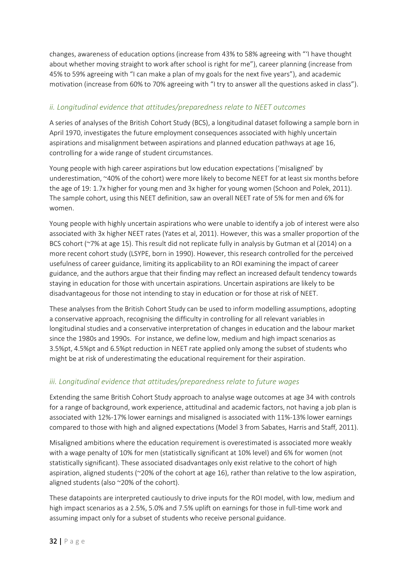changes, awareness of education options (increase from 43% to 58% agreeing with "'I have thought about whether moving straight to work after school is right for me"), career planning (increase from 45% to 59% agreeing with "I can make a plan of my goals for the next five years"), and academic motivation (increase from 60% to 70% agreeing with "I try to answer all the questions asked in class").

## <span id="page-31-0"></span>*ii. Longitudinal evidence that attitudes/preparedness relate to NEET outcomes*

A series of analyses of the British Cohort Study (BCS), a longitudinal dataset following a sample born in April 1970, investigates the future employment consequences associated with highly uncertain aspirations and misalignment between aspirations and planned education pathways at age 16, controlling for a wide range of student circumstances.

Young people with high career aspirations but low education expectations ('misaligned' by underestimation, ~40% of the cohort) were more likely to become NEET for at least six months before the age of 19: 1.7x higher for young men and 3x higher for young women (Schoon and Polek, 2011). The sample cohort, using this NEET definition, saw an overall NEET rate of 5% for men and 6% for women.

Young people with highly uncertain aspirations who were unable to identify a job of interest were also associated with 3x higher NEET rates (Yates et al, 2011). However, this was a smaller proportion of the BCS cohort (~7% at age 15). This result did not replicate fully in analysis by Gutman et al (2014) on a more recent cohort study (LSYPE, born in 1990). However, this research controlled for the perceived usefulness of career guidance, limiting its applicability to an ROI examining the impact of career guidance, and the authors argue that their finding may reflect an increased default tendency towards staying in education for those with uncertain aspirations. Uncertain aspirations are likely to be disadvantageous for those not intending to stay in education or for those at risk of NEET.

These analyses from the British Cohort Study can be used to inform modelling assumptions, adopting a conservative approach, recognising the difficulty in controlling for all relevant variables in longitudinal studies and a conservative interpretation of changes in education and the labour market since the 1980s and 1990s. For instance, we define low, medium and high impact scenarios as 3.5%pt, 4.5%pt and 6.5%pt reduction in NEET rate applied only among the subset of students who might be at risk of underestimating the educational requirement for their aspiration.

## <span id="page-31-1"></span>*iii. Longitudinal evidence that attitudes/preparedness relate to future wages*

Extending the same British Cohort Study approach to analyse wage outcomes at age 34 with controls for a range of background, work experience, attitudinal and academic factors, not having a job plan is associated with 12%-17% lower earnings and misaligned is associated with 11%-13% lower earnings compared to those with high and aligned expectations (Model 3 from Sabates, Harris and Staff, 2011).

Misaligned ambitions where the education requirement is overestimated is associated more weakly with a wage penalty of 10% for men (statistically significant at 10% level) and 6% for women (not statistically significant). These associated disadvantages only exist relative to the cohort of high aspiration, aligned students (~20% of the cohort at age 16), rather than relative to the low aspiration, aligned students (also ~20% of the cohort).

These datapoints are interpreted cautiously to drive inputs for the ROI model, with low, medium and high impact scenarios as a 2.5%, 5.0% and 7.5% uplift on earnings for those in full-time work and assuming impact only for a subset of students who receive personal guidance.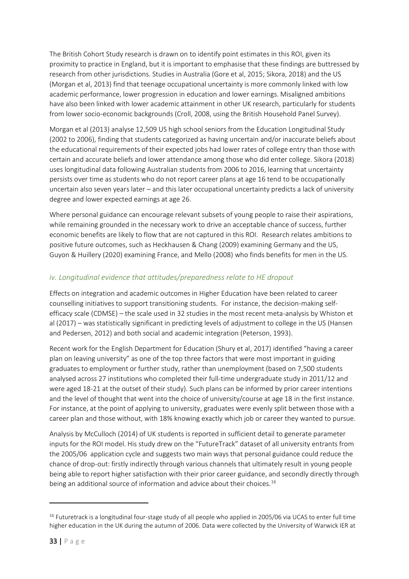The British Cohort Study research is drawn on to identify point estimates in this ROI, given its proximity to practice in England, but it is important to emphasise that these findings are buttressed by research from other jurisdictions. Studies in Australia (Gore et al, 2015; Sikora, 2018) and the US (Morgan et al, 2013) find that teenage occupational uncertainty is more commonly linked with low academic performance, lower progression in education and lower earnings. Misaligned ambitions have also been linked with lower academic attainment in other UK research, particularly for students from lower socio-economic backgrounds (Croll, 2008, using the British Household Panel Survey).

Morgan et al (2013) analyse 12,509 US high school seniors from the Education Longitudinal Study (2002 to 2006), finding that students categorized as having uncertain and/or inaccurate beliefs about the educational requirements of their expected jobs had lower rates of college entry than those with certain and accurate beliefs and lower attendance among those who did enter college. Sikora (2018) uses longitudinal data following Australian students from 2006 to 2016, learning that uncertainty persists over time as students who do not report career plans at age 16 tend to be occupationally uncertain also seven years later – and this later occupational uncertainty predicts a lack of university degree and lower expected earnings at age 26.

Where personal guidance can encourage relevant subsets of young people to raise their aspirations, while remaining grounded in the necessary work to drive an acceptable chance of success, further economic benefits are likely to flow that are not captured in this ROI. Research relates ambitions to positive future outcomes, such as Heckhausen & Chang (2009) examining Germany and the US, Guyon & Huillery (2020) examining France, and Mello (2008) who finds benefits for men in the US.

## <span id="page-32-0"></span>*iv. Longitudinal evidence that attitudes/preparedness relate to HE dropout*

Effects on integration and academic outcomes in Higher Education have been related to career counselling initiatives to support transitioning students. For instance, the decision-making selfefficacy scale (CDMSE) – the scale used in 32 studies in the most recent meta-analysis by Whiston et al (2017) – was statistically significant in predicting levels of adjustment to college in the US (Hansen and Pedersen, 2012) and both social and academic integration (Peterson, 1993).

Recent work for the English Department for Education (Shury et al, 2017) identified "having a career plan on leaving university" as one of the top three factors that were most important in guiding graduates to employment or further study, rather than unemployment (based on 7,500 students analysed across 27 institutions who completed their full-time undergraduate study in 2011/12 and were aged 18-21 at the outset of their study). Such plans can be informed by prior career intentions and the level of thought that went into the choice of university/course at age 18 in the first instance. For instance, at the point of applying to university, graduates were evenly split between those with a career plan and those without, with 18% knowing exactly which job or career they wanted to pursue.

Analysis by McCulloch (2014) of UK students is reported in sufficient detail to generate parameter inputs for the ROI model. His study drew on the "FutureTrack" dataset of all university entrants from the 2005/06 application cycle and suggests two main ways that personal guidance could reduce the chance of drop-out: firstly indirectly through various channels that ultimately result in young people being able to report higher satisfaction with their prior career guidance, and secondly directly through being an additional source of information and advice about their choices.<sup>16</sup>

<sup>&</sup>lt;sup>16</sup> Futuretrack is a longitudinal four-stage study of all people who applied in 2005/06 via UCAS to enter full time higher education in the UK during the autumn of 2006. Data were collected by the University of Warwick IER at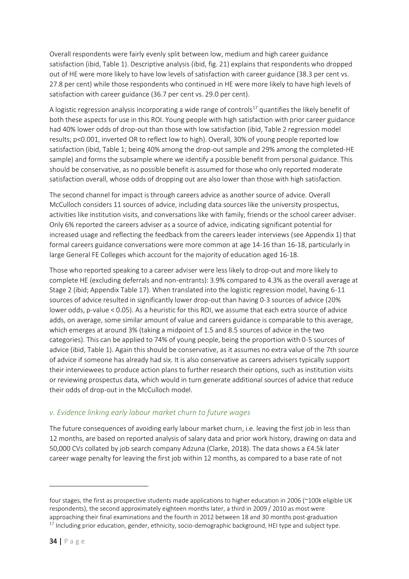Overall respondents were fairly evenly split between low, medium and high career guidance satisfaction (ibid, Table 1). Descriptive analysis (ibid, fig. 21) explains that respondents who dropped out of HE were more likely to have low levels of satisfaction with career guidance (38.3 per cent vs. 27.8 per cent) while those respondents who continued in HE were more likely to have high levels of satisfaction with career guidance (36.7 per cent vs. 29.0 per cent).

A logistic regression analysis incorporating a wide range of controls<sup>17</sup> quantifies the likely benefit of both these aspects for use in this ROI. Young people with high satisfaction with prior career guidance had 40% lower odds of drop-out than those with low satisfaction (ibid, Table 2 regression model results; p<0.001, inverted OR to reflect low to high). Overall, 30% of young people reported low satisfaction (ibid, Table 1; being 40% among the drop-out sample and 29% among the completed-HE sample) and forms the subsample where we identify a possible benefit from personal guidance. This should be conservative, as no possible benefit is assumed for those who only reported moderate satisfaction overall, whose odds of dropping out are also lower than those with high satisfaction.

The second channel for impact is through careers advice as another source of advice. Overall McCulloch considers 11 sources of advice, including data sources like the university prospectus, activities like institution visits, and conversations like with family, friends or the school career adviser. Only 6% reported the careers adviser as a source of advice, indicating significant potential for increased usage and reflecting the feedback from the careers leader interviews (see Appendix 1) that formal careers guidance conversations were more common at age 14-16 than 16-18, particularly in large General FE Colleges which account for the majority of education aged 16-18.

Those who reported speaking to a career adviser were less likely to drop-out and more likely to complete HE (excluding deferrals and non-entrants): 3.9% compared to 4.3% as the overall average at Stage 2 (ibid; Appendix Table 17). When translated into the logistic regression model, having 6-11 sources of advice resulted in significantly lower drop-out than having 0-3 sources of advice (20% lower odds, p-value < 0.05). As a heuristic for this ROI, we assume that each extra source of advice adds, on average, some similar amount of value and careers guidance is comparable to this average, which emerges at around 3% (taking a midpoint of 1.5 and 8.5 sources of advice in the two categories). This can be applied to 74% of young people, being the proportion with 0-5 sources of advice (ibid, Table 1). Again this should be conservative, as it assumes no extra value of the 7th source of advice if someone has already had six. It is also conservative as careers advisers typically support their interviewees to produce action plans to further research their options, such as institution visits or reviewing prospectus data, which would in turn generate additional sources of advice that reduce their odds of drop-out in the McCulloch model.

## <span id="page-33-0"></span>*v. Evidence linking early labour market churn to future wages*

The future consequences of avoiding early labour market churn, i.e. leaving the first job in less than 12 months, are based on reported analysis of salary data and prior work history, drawing on data and 50,000 CVs collated by job search company Adzuna (Clarke, 2018). The data shows a £4.5k later career wage penalty for leaving the first job within 12 months, as compared to a base rate of not

four stages, the first as prospective students made applications to higher education in 2006 (~100k eligible UK respondents), the second approximately eighteen months later, a third in 2009 / 2010 as most were approaching their final examinations and the fourth in 2012 between 18 and 30 months post-graduation  $17$  Including prior education, gender, ethnicity, socio-demographic background, HEI type and subject type.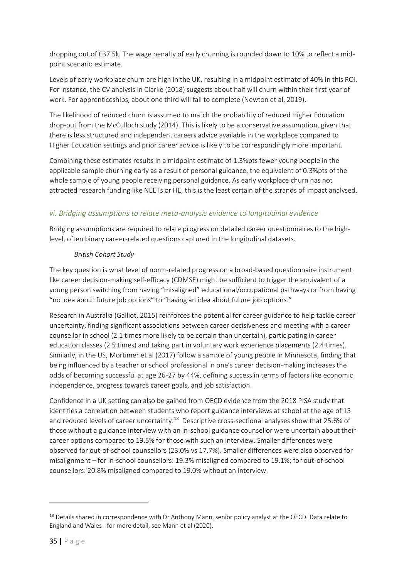dropping out of £37.5k. The wage penalty of early churning is rounded down to 10% to reflect a midpoint scenario estimate.

Levels of early workplace churn are high in the UK, resulting in a midpoint estimate of 40% in this ROI. For instance, the CV analysis in Clarke (2018) suggests about half will churn within their first year of work. For apprenticeships, about one third will fail to complete (Newton et al, 2019).

The likelihood of reduced churn is assumed to match the probability of reduced Higher Education drop-out from the McCulloch study (2014). This is likely to be a conservative assumption, given that there is less structured and independent careers advice available in the workplace compared to Higher Education settings and prior career advice is likely to be correspondingly more important.

Combining these estimates results in a midpoint estimate of 1.3%pts fewer young people in the applicable sample churning early as a result of personal guidance, the equivalent of 0.3%pts of the whole sample of young people receiving personal guidance. As early workplace churn has not attracted research funding like NEETs or HE, this is the least certain of the strands of impact analysed.

## <span id="page-34-0"></span>*vi. Bridging assumptions to relate meta-analysis evidence to longitudinal evidence*

Bridging assumptions are required to relate progress on detailed career questionnaires to the highlevel, often binary career-related questions captured in the longitudinal datasets.

### *British Cohort Study*

The key question is what level of norm-related progress on a broad-based questionnaire instrument like career decision-making self-efficacy (CDMSE) might be sufficient to trigger the equivalent of a young person switching from having "misaligned" educational/occupational pathways or from having "no idea about future job options" to "having an idea about future job options."

Research in Australia (Galliot, 2015) reinforces the potential for career guidance to help tackle career uncertainty, finding significant associations between career decisiveness and meeting with a career counsellor in school (2.1 times more likely to be certain than uncertain), participating in career education classes (2.5 times) and taking part in voluntary work experience placements (2.4 times). Similarly, in the US, Mortimer et al (2017) follow a sample of young people in Minnesota, finding that being influenced by a teacher or school professional in one's career decision-making increases the odds of becoming successful at age 26-27 by 44%, defining success in terms of factors like economic independence, progress towards career goals, and job satisfaction.

Confidence in a UK setting can also be gained from OECD evidence from the 2018 PISA study that identifies a correlation between students who report guidance interviews at school at the age of 15 and reduced levels of career uncertainty.<sup>18</sup> Descriptive cross-sectional analyses show that 25.6% of those without a guidance interview with an in-school guidance counsellor were uncertain about their career options compared to 19.5% for those with such an interview. Smaller differences were observed for out-of-school counsellors (23.0% vs 17.7%). Smaller differences were also observed for misalignment – for in-school counsellors: 19.3% misaligned compared to 19.1%; for out-of-school counsellors: 20.8% misaligned compared to 19.0% without an interview.

<sup>&</sup>lt;sup>18</sup> Details shared in correspondence with Dr Anthony Mann, senior policy analyst at the OECD. Data relate to England and Wales - for more detail, see Mann et al (2020).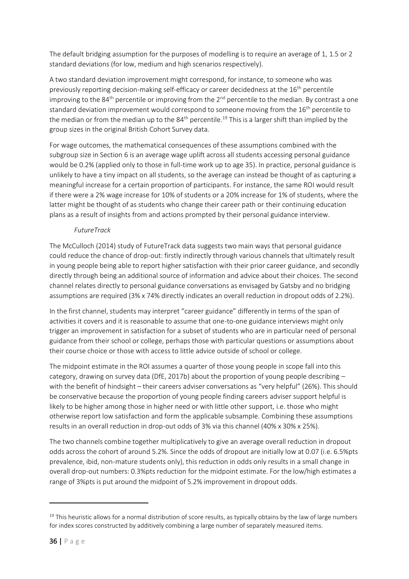The default bridging assumption for the purposes of modelling is to require an average of 1, 1.5 or 2 standard deviations (for low, medium and high scenarios respectively).

A two standard deviation improvement might correspond, for instance, to someone who was previously reporting decision-making self-efficacy or career decidedness at the 16<sup>th</sup> percentile improving to the 84<sup>th</sup> percentile or improving from the 2<sup>nd</sup> percentile to the median. By contrast a one standard deviation improvement would correspond to someone moving from the 16<sup>th</sup> percentile to the median or from the median up to the 84<sup>th</sup> percentile.<sup>19</sup> This is a larger shift than implied by the group sizes in the original British Cohort Survey data.

For wage outcomes, the mathematical consequences of these assumptions combined with the subgroup size in Section 6 is an average wage uplift across all students accessing personal guidance would be 0.2% (applied only to those in full-time work up to age 35). In practice, personal guidance is unlikely to have a tiny impact on all students, so the average can instead be thought of as capturing a meaningful increase for a certain proportion of participants. For instance, the same ROI would result if there were a 2% wage increase for 10% of students or a 20% increase for 1% of students, where the latter might be thought of as students who change their career path or their continuing education plans as a result of insights from and actions prompted by their personal guidance interview.

### *FutureTrack*

The McCulloch (2014) study of FutureTrack data suggests two main ways that personal guidance could reduce the chance of drop-out: firstly indirectly through various channels that ultimately result in young people being able to report higher satisfaction with their prior career guidance, and secondly directly through being an additional source of information and advice about their choices. The second channel relates directly to personal guidance conversations as envisaged by Gatsby and no bridging assumptions are required (3% x 74% directly indicates an overall reduction in dropout odds of 2.2%).

In the first channel, students may interpret "career guidance" differently in terms of the span of activities it covers and it is reasonable to assume that one-to-one guidance interviews might only trigger an improvement in satisfaction for a subset of students who are in particular need of personal guidance from their school or college, perhaps those with particular questions or assumptions about their course choice or those with access to little advice outside of school or college.

The midpoint estimate in the ROI assumes a quarter of those young people in scope fall into this category, drawing on survey data (DfE, 2017b) about the proportion of young people describing – with the benefit of hindsight – their careers adviser conversations as "very helpful" (26%). This should be conservative because the proportion of young people finding careers adviser support helpful is likely to be higher among those in higher need or with little other support, i.e. those who might otherwise report low satisfaction and form the applicable subsample. Combining these assumptions results in an overall reduction in drop-out odds of 3% via this channel (40% x 30% x 25%).

The two channels combine together multiplicatively to give an average overall reduction in dropout odds across the cohort of around 5.2%. Since the odds of dropout are initially low at 0.07 (i.e. 6.5%pts prevalence, ibid, non-mature students only), this reduction in odds only results in a small change in overall drop-out numbers: 0.3%pts reduction for the midpoint estimate. For the low/high estimates a range of 3%pts is put around the midpoint of 5.2% improvement in dropout odds.

 $19$  This heuristic allows for a normal distribution of score results, as typically obtains by the law of large numbers for index scores constructed by additively combining a large number of separately measured items.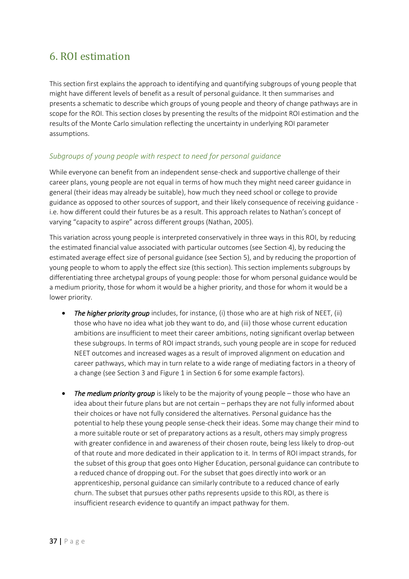## <span id="page-36-0"></span>6. ROI estimation

This section first explains the approach to identifying and quantifying subgroups of young people that might have different levels of benefit as a result of personal guidance. It then summarises and presents a schematic to describe which groups of young people and theory of change pathways are in scope for the ROI. This section closes by presenting the results of the midpoint ROI estimation and the results of the Monte Carlo simulation reflecting the uncertainty in underlying ROI parameter assumptions.

## <span id="page-36-1"></span>*Subgroups of young people with respect to need for personal guidance*

While everyone can benefit from an independent sense-check and supportive challenge of their career plans, young people are not equal in terms of how much they might need career guidance in general (their ideas may already be suitable), how much they need school or college to provide guidance as opposed to other sources of support, and their likely consequence of receiving guidance i.e. how different could their futures be as a result. This approach relates to Nathan's concept of varying "capacity to aspire" across different groups (Nathan, 2005).

This variation across young people is interpreted conservatively in three ways in this ROI, by reducing the estimated financial value associated with particular outcomes (see Section 4), by reducing the estimated average effect size of personal guidance (see Section 5), and by reducing the proportion of young people to whom to apply the effect size (this section). This section implements subgroups by differentiating three archetypal groups of young people: those for whom personal guidance would be a medium priority, those for whom it would be a higher priority, and those for whom it would be a lower priority.

- *The higher priority group* includes, for instance, (i) those who are at high risk of NEET, (ii) those who have no idea what job they want to do, and (iii) those whose current education ambitions are insufficient to meet their career ambitions, noting significant overlap between these subgroups. In terms of ROI impact strands, such young people are in scope for reduced NEET outcomes and increased wages as a result of improved alignment on education and career pathways, which may in turn relate to a wide range of mediating factors in a theory of a change (see Section 3 and Figure 1 in Section 6 for some example factors).
- The medium priority group is likely to be the majority of young people those who have an idea about their future plans but are not certain – perhaps they are not fully informed about their choices or have not fully considered the alternatives. Personal guidance has the potential to help these young people sense-check their ideas. Some may change their mind to a more suitable route or set of preparatory actions as a result, others may simply progress with greater confidence in and awareness of their chosen route, being less likely to drop-out of that route and more dedicated in their application to it. In terms of ROI impact strands, for the subset of this group that goes onto Higher Education, personal guidance can contribute to a reduced chance of dropping out. For the subset that goes directly into work or an apprenticeship, personal guidance can similarly contribute to a reduced chance of early churn. The subset that pursues other paths represents upside to this ROI, as there is insufficient research evidence to quantify an impact pathway for them.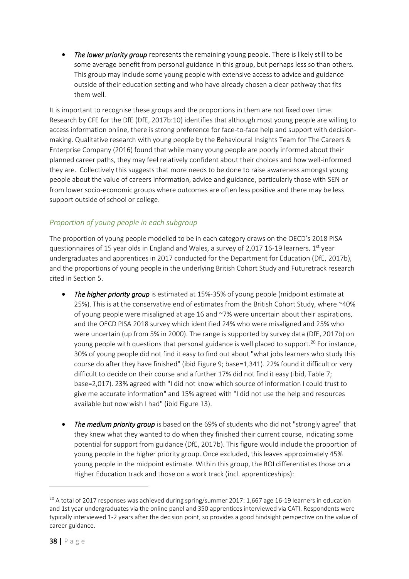The lower priority group represents the remaining young people. There is likely still to be some average benefit from personal guidance in this group, but perhaps less so than others. This group may include some young people with extensive access to advice and guidance outside of their education setting and who have already chosen a clear pathway that fits them well.

It is important to recognise these groups and the proportions in them are not fixed over time. Research by CFE for the DfE (DfE, 2017b:10) identifies that although most young people are willing to access information online, there is strong preference for face-to-face help and support with decisionmaking. Qualitative research with young people by the Behavioural Insights Team for The Careers & Enterprise Company (2016) found that while many young people are poorly informed about their planned career paths, they may feel relatively confident about their choices and how well-informed they are. Collectively this suggests that more needs to be done to raise awareness amongst young people about the value of careers information, advice and guidance, particularly those with SEN or from lower socio-economic groups where outcomes are often less positive and there may be less support outside of school or college.

## <span id="page-37-0"></span>*Proportion of young people in each subgroup*

The proportion of young people modelled to be in each category draws on the OECD's 2018 PISA questionnaires of 15 year olds in England and Wales, a survey of 2,017 16-19 learners,  $1<sup>st</sup>$  year undergraduates and apprentices in 2017 conducted for the Department for Education (DfE, 2017b), and the proportions of young people in the underlying British Cohort Study and Futuretrack research cited in Section 5.

- *The higher priority group* is estimated at 15%-35% of young people (midpoint estimate at 25%). This is at the conservative end of estimates from the British Cohort Study, where ~40% of young people were misaligned at age 16 and  $\gamma$ % were uncertain about their aspirations, and the OECD PISA 2018 survey which identified 24% who were misaligned and 25% who were uncertain (up from 5% in 2000). The range is supported by survey data (DfE, 2017b) on young people with questions that personal guidance is well placed to support.<sup>20</sup> For instance, 30% of young people did not find it easy to find out about "what jobs learners who study this course do after they have finished" (ibid Figure 9; base=1,341). 22% found it difficult or very difficult to decide on their course and a further 17% did not find it easy (ibid, Table 7; base=2,017). 23% agreed with "I did not know which source of information I could trust to give me accurate information" and 15% agreed with "I did not use the help and resources available but now wish I had" (ibid Figure 13).
- *The medium priority group* is based on the 69% of students who did not "strongly agree" that they knew what they wanted to do when they finished their current course, indicating some potential for support from guidance (DfE, 2017b). This figure would include the proportion of young people in the higher priority group. Once excluded, this leaves approximately 45% young people in the midpoint estimate. Within this group, the ROI differentiates those on a Higher Education track and those on a work track (incl. apprenticeships):

<sup>&</sup>lt;sup>20</sup> A total of 2017 responses was achieved during spring/summer 2017: 1,667 age 16-19 learners in education and 1st year undergraduates via the online panel and 350 apprentices interviewed via CATI. Respondents were typically interviewed 1-2 years after the decision point, so provides a good hindsight perspective on the value of career guidance.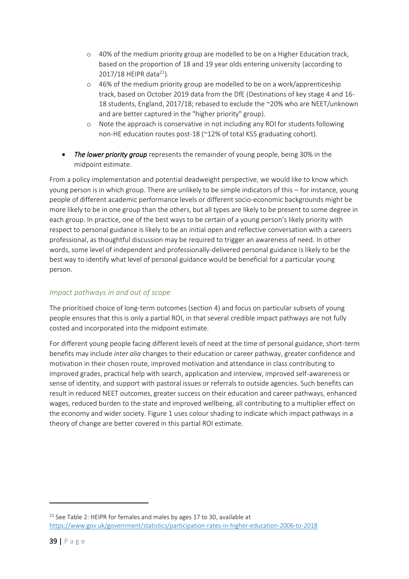- o 40% of the medium priority group are modelled to be on a Higher Education track, based on the proportion of 18 and 19 year olds entering university (according to 2017/18 HEIPR data<sup>21</sup>).
- o 46% of the medium priority group are modelled to be on a work/apprenticeship track, based on October 2019 data from the DfE (Destinations of key stage 4 and 16- 18 students, England, 2017/18; rebased to exclude the ~20% who are NEET/unknown and are better captured in the "higher priority" group).
- o Note the approach is conservative in not including any ROI for students following non-HE education routes post-18 (~12% of total KS5 graduating cohort).
- *The lower priority group* represents the remainder of young people, being 30% in the midpoint estimate.

From a policy implementation and potential deadweight perspective, we would like to know which young person is in which group. There are unlikely to be simple indicators of this – for instance, young people of different academic performance levels or different socio-economic backgrounds might be more likely to be in one group than the others, but all types are likely to be present to some degree in each group. In practice, one of the best ways to be certain of a young person's likely priority with respect to personal guidance is likely to be an initial open and reflective conversation with a careers professional, as thoughtful discussion may be required to trigger an awareness of need. In other words, some level of independent and professionally-delivered personal guidance is likely to be the best way to identify what level of personal guidance would be beneficial for a particular young person.

## <span id="page-38-0"></span>*Impact pathways in and out of scope*

The prioritised choice of long-term outcomes (section 4) and focus on particular subsets of young people ensures that this is only a partial ROI, in that several credible impact pathways are not fully costed and incorporated into the midpoint estimate.

For different young people facing different levels of need at the time of personal guidance, short-term benefits may include *inter alia* changes to their education or career pathway, greater confidence and motivation in their chosen route, improved motivation and attendance in class contributing to improved grades, practical help with search, application and interview, improved self-awareness or sense of identity, and support with pastoral issues or referrals to outside agencies. Such benefits can result in reduced NEET outcomes, greater success on their education and career pathways, enhanced wages, reduced burden to the state and improved wellbeing, all contributing to a multiplier effect on the economy and wider society. Figure 1 uses colour shading to indicate which impact pathways in a theory of change are better covered in this partial ROI estimate.

<sup>&</sup>lt;sup>21</sup> See Table 2: HEIPR for females and males by ages 17 to 30, available at <https://www.gov.uk/government/statistics/participation-rates-in-higher-education-2006-to-2018>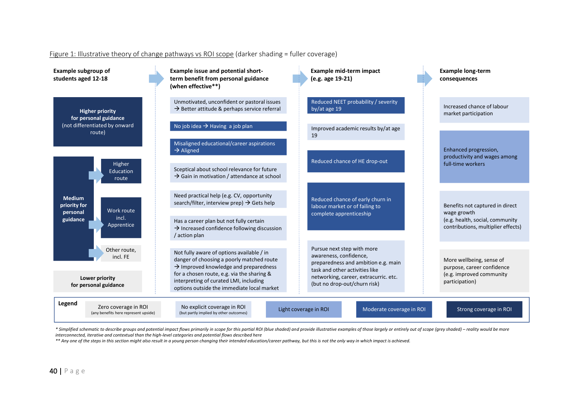#### Figure 1: Illustrative theory of change pathways vs ROI scope (darker shading = fuller coverage)



\* Simplified schematic to describe aroups and potential impact flows primarily in scope for this partial ROI (blue shaded) and provide illustrative examples of those largely or entirely out of scope (arey shaded) – reality *interconnected, iterative and contextual than the high-level categories and potential flows described here*

*\*\* Any one of the steps in this section might also result in a young person changing their intended education/career pathway, but this is not the only way in which impact is achieved.*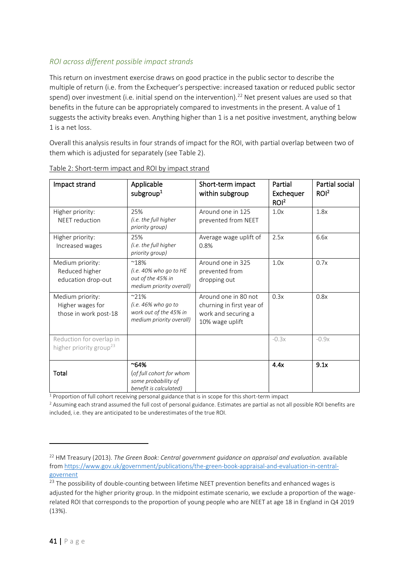## <span id="page-40-0"></span>*ROI across different possible impact strands*

This return on investment exercise draws on good practice in the public sector to describe the multiple of return (i.e. from the Exchequer's perspective: increased taxation or reduced public sector spend) over investment (i.e. initial spend on the intervention).<sup>22</sup> Net present values are used so that benefits in the future can be appropriately compared to investments in the present. A value of 1 suggests the activity breaks even. Anything higher than 1 is a net positive investment, anything below 1 is a net loss.

Overall this analysis results in four strands of impact for the ROI, with partial overlap between two of them which is adjusted for separately (see Table 2).

| Impact strand                                                   | Applicable<br>subgroup <sup>1</sup>                                                           | Short-term impact<br>within subgroup                                                        | Partial<br>Exchequer<br>ROI <sup>2</sup> | <b>Partial social</b><br>ROI <sup>2</sup> |
|-----------------------------------------------------------------|-----------------------------------------------------------------------------------------------|---------------------------------------------------------------------------------------------|------------------------------------------|-------------------------------------------|
| Higher priority:<br><b>NEET</b> reduction                       | 25%<br>(i.e. the full higher<br>priority group)                                               | Around one in 125<br>prevented from NEET                                                    | 1.0x                                     | 1.8x                                      |
| Higher priority:<br>Increased wages                             | 25%<br>(i.e. the full higher<br>priority group)                                               | Average wage uplift of<br>0.8%                                                              | 2.5x                                     | 6.6x                                      |
| Medium priority:<br>Reduced higher<br>education drop-out        | $^{\sim}18\%$<br>(i.e. $40\%$ who go to HE<br>out of the 45% in<br>medium priority overall)   | Around one in 325<br>prevented from<br>dropping out                                         | 1.0x                                     | 0.7x                                      |
| Medium priority:<br>Higher wages for<br>those in work post-18   | $^{\sim}$ 21%<br>(i.e. $46\%$ who go to<br>work out of the 45% in<br>medium priority overall) | Around one in 80 not<br>churning in first year of<br>work and securing a<br>10% wage uplift | 0.3x                                     | 0.8x                                      |
| Reduction for overlap in<br>higher priority group <sup>23</sup> |                                                                                               |                                                                                             | $-0.3x$                                  | $-0.9x$                                   |
| Total                                                           | $^{\sim}64\%$<br>(of full cohort for whom<br>some probability of<br>benefit is calculated)    |                                                                                             | 4.4x                                     | 9.1x                                      |

Table 2: Short-term impact and ROI by impact strand

<sup>1</sup> Proportion of full cohort receiving personal guidance that is in scope for this short-term impact

<sup>2</sup> Assuming each strand assumed the full cost of personal guidance. Estimates are partial as not all possible ROI benefits are included, i.e. they are anticipated to be underestimates of the true ROI.

<sup>22</sup> HM Treasury (2013). *The Green Book: Central government guidance on appraisal and evaluation.* available from [https://www.gov.uk/government/publications/the-green-book-appraisal-and-evaluation-in-central](https://www.gov.uk/government/publications/the-green-book-appraisal-and-evaluation-in-central-governent)[governent](https://www.gov.uk/government/publications/the-green-book-appraisal-and-evaluation-in-central-governent)

<sup>&</sup>lt;sup>23</sup> The possibility of double-counting between lifetime NEET prevention benefits and enhanced wages is adjusted for the higher priority group. In the midpoint estimate scenario, we exclude a proportion of the wagerelated ROI that corresponds to the proportion of young people who are NEET at age 18 in England in Q4 2019 (13%).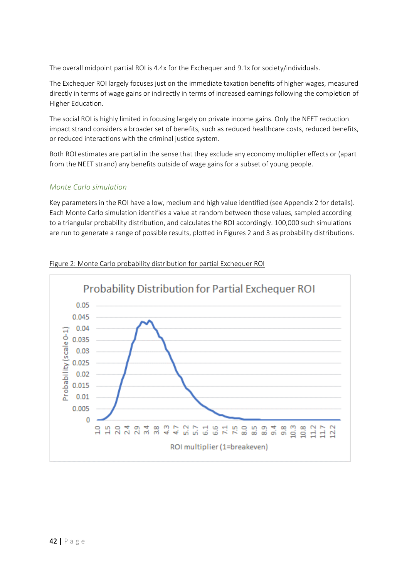The overall midpoint partial ROI is 4.4x for the Exchequer and 9.1x for society/individuals.

The Exchequer ROI largely focuses just on the immediate taxation benefits of higher wages, measured directly in terms of wage gains or indirectly in terms of increased earnings following the completion of Higher Education.

The social ROI is highly limited in focusing largely on private income gains. Only the NEET reduction impact strand considers a broader set of benefits, such as reduced healthcare costs, reduced benefits, or reduced interactions with the criminal justice system.

Both ROI estimates are partial in the sense that they exclude any economy multiplier effects or (apart from the NEET strand) any benefits outside of wage gains for a subset of young people.

#### <span id="page-41-0"></span>*Monte Carlo simulation*

Key parameters in the ROI have a low, medium and high value identified (see Appendix 2 for details). Each Monte Carlo simulation identifies a value at random between those values, sampled according to a triangular probability distribution, and calculates the ROI accordingly. 100,000 such simulations are run to generate a range of possible results, plotted in Figures 2 and 3 as probability distributions.



#### Figure 2: Monte Carlo probability distribution for partial Exchequer ROI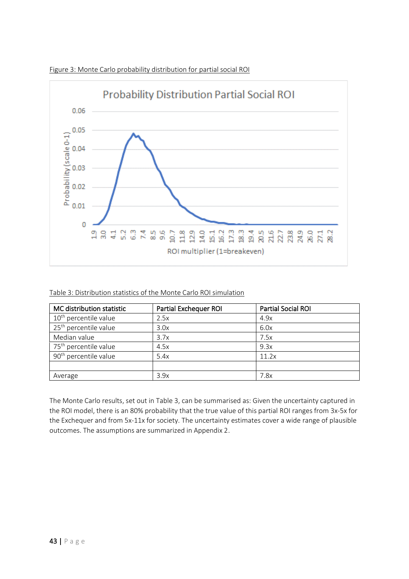

Figure 3: Monte Carlo probability distribution for partial social ROI

Table 3: Distribution statistics of the Monte Carlo ROI simulation

| MC distribution statistic         | Partial Exchequer ROI | Partial Social ROI |
|-----------------------------------|-----------------------|--------------------|
| 10 <sup>th</sup> percentile value | 2.5x                  | 4.9x               |
| 25 <sup>th</sup> percentile value | 3.0x                  | 6.0x               |
| Median value                      | 3.7x                  | 7.5x               |
| 75 <sup>th</sup> percentile value | 4.5x                  | 9.3x               |
| 90 <sup>th</sup> percentile value | 5.4x                  | 11.2x              |
|                                   |                       |                    |
| Average                           | 3.9x                  | 7.8x               |

The Monte Carlo results, set out in Table 3, can be summarised as: Given the uncertainty captured in the ROI model, there is an 80% probability that the true value of this partial ROI ranges from 3x-5x for the Exchequer and from 5x-11x for society. The uncertainty estimates cover a wide range of plausible outcomes. The assumptions are summarized in Appendix 2.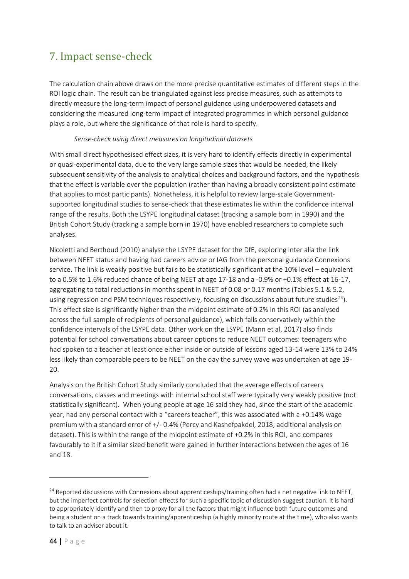## <span id="page-43-0"></span>7. Impact sense-check

The calculation chain above draws on the more precise quantitative estimates of different steps in the ROI logic chain. The result can be triangulated against less precise measures, such as attempts to directly measure the long-term impact of personal guidance using underpowered datasets and considering the measured long-term impact of integrated programmes in which personal guidance plays a role, but where the significance of that role is hard to specify.

#### *Sense-check using direct measures on longitudinal datasets*

With small direct hypothesised effect sizes, it is very hard to identify effects directly in experimental or quasi-experimental data, due to the very large sample sizes that would be needed, the likely subsequent sensitivity of the analysis to analytical choices and background factors, and the hypothesis that the effect is variable over the population (rather than having a broadly consistent point estimate that applies to most participants). Nonetheless, it is helpful to review large-scale Governmentsupported longitudinal studies to sense-check that these estimates lie within the confidence interval range of the results. Both the LSYPE longitudinal dataset (tracking a sample born in 1990) and the British Cohort Study (tracking a sample born in 1970) have enabled researchers to complete such analyses.

Nicoletti and Berthoud (2010) analyse the LSYPE dataset for the DfE, exploring inter alia the link between NEET status and having had careers advice or IAG from the personal guidance Connexions service. The link is weakly positive but fails to be statistically significant at the 10% level – equivalent to a 0.5% to 1.6% reduced chance of being NEET at age 17-18 and a -0.9% or +0.1% effect at 16-17, aggregating to total reductions in months spent in NEET of 0.08 or 0.17 months (Tables 5.1 & 5.2, using regression and PSM techniques respectively, focusing on discussions about future studies<sup>24</sup>). This effect size is significantly higher than the midpoint estimate of 0.2% in this ROI (as analysed across the full sample of recipients of personal guidance), which falls conservatively within the confidence intervals of the LSYPE data. Other work on the LSYPE (Mann et al, 2017) also finds potential for school conversations about career options to reduce NEET outcomes: teenagers who had spoken to a teacher at least once either inside or outside of lessons aged 13-14 were 13% to 24% less likely than comparable peers to be NEET on the day the survey wave was undertaken at age 19- 20.

Analysis on the British Cohort Study similarly concluded that the average effects of careers conversations, classes and meetings with internal school staff were typically very weakly positive (not statistically significant). When young people at age 16 said they had, since the start of the academic year, had any personal contact with a "careers teacher", this was associated with a +0.14% wage premium with a standard error of +/- 0.4% (Percy and Kashefpakdel, 2018; additional analysis on dataset). This is within the range of the midpoint estimate of +0.2% in this ROI, and compares favourably to it if a similar sized benefit were gained in further interactions between the ages of 16 and 18.

<sup>&</sup>lt;sup>24</sup> Reported discussions with Connexions about apprenticeships/training often had a net negative link to NEET, but the imperfect controls for selection effects for such a specific topic of discussion suggest caution. It is hard to appropriately identify and then to proxy for all the factors that might influence both future outcomes and being a student on a track towards training/apprenticeship (a highly minority route at the time), who also wants to talk to an adviser about it.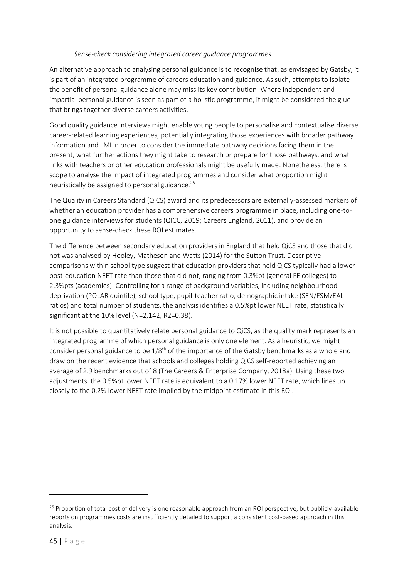#### *Sense-check considering integrated career guidance programmes*

An alternative approach to analysing personal guidance is to recognise that, as envisaged by Gatsby, it is part of an integrated programme of careers education and guidance. As such, attempts to isolate the benefit of personal guidance alone may miss its key contribution. Where independent and impartial personal guidance is seen as part of a holistic programme, it might be considered the glue that brings together diverse careers activities.

Good quality guidance interviews might enable young people to personalise and contextualise diverse career-related learning experiences, potentially integrating those experiences with broader pathway information and LMI in order to consider the immediate pathway decisions facing them in the present, what further actions they might take to research or prepare for those pathways, and what links with teachers or other education professionals might be usefully made. Nonetheless, there is scope to analyse the impact of integrated programmes and consider what proportion might heuristically be assigned to personal guidance.<sup>25</sup>

The Quality in Careers Standard (QiCS) award and its predecessors are externally-assessed markers of whether an education provider has a comprehensive careers programme in place, including one-toone guidance interviews for students (QICC, 2019; Careers England, 2011), and provide an opportunity to sense-check these ROI estimates.

The difference between secondary education providers in England that held QiCS and those that did not was analysed by Hooley, Matheson and Watts (2014) for the Sutton Trust. Descriptive comparisons within school type suggest that education providers that held QiCS typically had a lower post-education NEET rate than those that did not, ranging from 0.3%pt (general FE colleges) to 2.3%pts (academies). Controlling for a range of background variables, including neighbourhood deprivation (POLAR quintile), school type, pupil-teacher ratio, demographic intake (SEN/FSM/EAL ratios) and total number of students, the analysis identifies a 0.5%pt lower NEET rate, statistically significant at the 10% level (N=2,142, R2=0.38).

It is not possible to quantitatively relate personal guidance to QiCS, as the quality mark represents an integrated programme of which personal guidance is only one element. As a heuristic, we might consider personal guidance to be  $1/8<sup>th</sup>$  of the importance of the Gatsby benchmarks as a whole and draw on the recent evidence that schools and colleges holding QiCS self-reported achieving an average of 2.9 benchmarks out of 8 (The Careers & Enterprise Company, 2018a). Using these two adjustments, the 0.5%pt lower NEET rate is equivalent to a 0.17% lower NEET rate, which lines up closely to the 0.2% lower NEET rate implied by the midpoint estimate in this ROI.

<sup>&</sup>lt;sup>25</sup> Proportion of total cost of delivery is one reasonable approach from an ROI perspective, but publicly-available reports on programmes costs are insufficiently detailed to support a consistent cost-based approach in this analysis.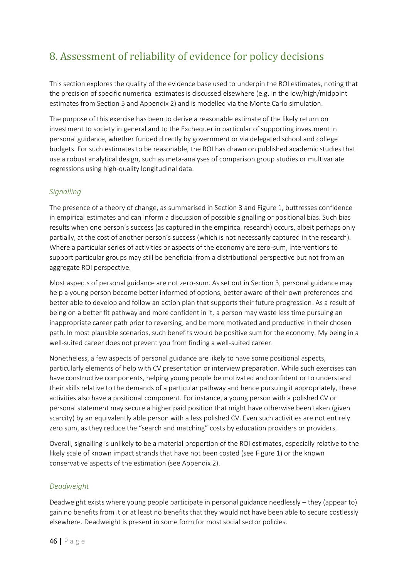## <span id="page-45-0"></span>8. Assessment of reliability of evidence for policy decisions

This section explores the quality of the evidence base used to underpin the ROI estimates, noting that the precision of specific numerical estimates is discussed elsewhere (e.g. in the low/high/midpoint estimates from Section 5 and Appendix 2) and is modelled via the Monte Carlo simulation.

The purpose of this exercise has been to derive a reasonable estimate of the likely return on investment to society in general and to the Exchequer in particular of supporting investment in personal guidance, whether funded directly by government or via delegated school and college budgets. For such estimates to be reasonable, the ROI has drawn on published academic studies that use a robust analytical design, such as meta-analyses of comparison group studies or multivariate regressions using high-quality longitudinal data.

### <span id="page-45-1"></span>*Signalling*

The presence of a theory of change, as summarised in Section 3 and Figure 1, buttresses confidence in empirical estimates and can inform a discussion of possible signalling or positional bias. Such bias results when one person's success (as captured in the empirical research) occurs, albeit perhaps only partially, at the cost of another person's success (which is not necessarily captured in the research). Where a particular series of activities or aspects of the economy are zero-sum, interventions to support particular groups may still be beneficial from a distributional perspective but not from an aggregate ROI perspective.

Most aspects of personal guidance are not zero-sum. As set out in Section 3, personal guidance may help a young person become better informed of options, better aware of their own preferences and better able to develop and follow an action plan that supports their future progression. As a result of being on a better fit pathway and more confident in it, a person may waste less time pursuing an inappropriate career path prior to reversing, and be more motivated and productive in their chosen path. In most plausible scenarios, such benefits would be positive sum for the economy. My being in a well-suited career does not prevent you from finding a well-suited career.

Nonetheless, a few aspects of personal guidance are likely to have some positional aspects, particularly elements of help with CV presentation or interview preparation. While such exercises can have constructive components, helping young people be motivated and confident or to understand their skills relative to the demands of a particular pathway and hence pursuing it appropriately, these activities also have a positional component. For instance, a young person with a polished CV or personal statement may secure a higher paid position that might have otherwise been taken (given scarcity) by an equivalently able person with a less polished CV. Even such activities are not entirely zero sum, as they reduce the "search and matching" costs by education providers or providers.

Overall, signalling is unlikely to be a material proportion of the ROI estimates, especially relative to the likely scale of known impact strands that have not been costed (see Figure 1) or the known conservative aspects of the estimation (see Appendix 2).

#### <span id="page-45-2"></span>*Deadweight*

Deadweight exists where young people participate in personal guidance needlessly – they (appear to) gain no benefits from it or at least no benefits that they would not have been able to secure costlessly elsewhere. Deadweight is present in some form for most social sector policies.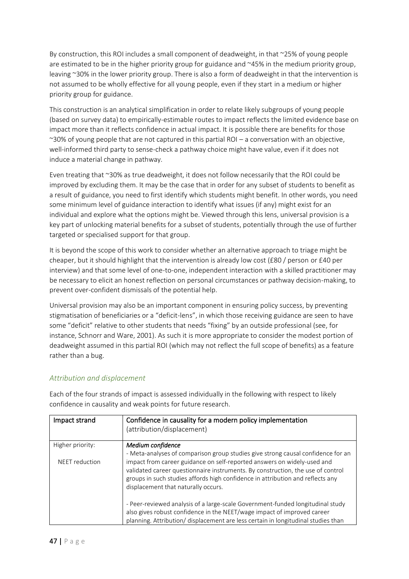By construction, this ROI includes a small component of deadweight, in that ~25% of young people are estimated to be in the higher priority group for guidance and ~45% in the medium priority group, leaving ~30% in the lower priority group. There is also a form of deadweight in that the intervention is not assumed to be wholly effective for all young people, even if they start in a medium or higher priority group for guidance.

This construction is an analytical simplification in order to relate likely subgroups of young people (based on survey data) to empirically-estimable routes to impact reflects the limited evidence base on impact more than it reflects confidence in actual impact. It is possible there are benefits for those ~30% of young people that are not captured in this partial ROI – a conversation with an objective, well-informed third party to sense-check a pathway choice might have value, even if it does not induce a material change in pathway.

Even treating that ~30% as true deadweight, it does not follow necessarily that the ROI could be improved by excluding them. It may be the case that in order for any subset of students to benefit as a result of guidance, you need to first identify which students might benefit. In other words, you need some minimum level of guidance interaction to identify what issues (if any) might exist for an individual and explore what the options might be. Viewed through this lens, universal provision is a key part of unlocking material benefits for a subset of students, potentially through the use of further targeted or specialised support for that group.

It is beyond the scope of this work to consider whether an alternative approach to triage might be cheaper, but it should highlight that the intervention is already low cost (£80 / person or £40 per interview) and that some level of one-to-one, independent interaction with a skilled practitioner may be necessary to elicit an honest reflection on personal circumstances or pathway decision-making, to prevent over-confident dismissals of the potential help.

Universal provision may also be an important component in ensuring policy success, by preventing stigmatisation of beneficiaries or a "deficit-lens", in which those receiving guidance are seen to have some "deficit" relative to other students that needs "fixing" by an outside professional (see, for instance, Schnorr and Ware, 2001). As such it is more appropriate to consider the modest portion of deadweight assumed in this partial ROI (which may not reflect the full scope of benefits) as a feature rather than a bug.

#### <span id="page-46-0"></span>*Attribution and displacement*

Each of the four strands of impact is assessed individually in the following with respect to likely confidence in causality and weak points for future research.

| Impact strand    | Confidence in causality for a modern policy implementation<br>(attribution/displacement)                                                                                                                                                                                                                                                                                |
|------------------|-------------------------------------------------------------------------------------------------------------------------------------------------------------------------------------------------------------------------------------------------------------------------------------------------------------------------------------------------------------------------|
| Higher priority: | Medium confidence                                                                                                                                                                                                                                                                                                                                                       |
| NEET reduction   | - Meta-analyses of comparison group studies give strong causal confidence for an<br>impact from career guidance on self-reported answers on widely-used and<br>validated career questionnaire instruments. By construction, the use of control<br>groups in such studies affords high confidence in attribution and reflects any<br>displacement that naturally occurs. |
|                  | - Peer-reviewed analysis of a large-scale Government-funded longitudinal study<br>also gives robust confidence in the NEET/wage impact of improved career<br>planning. Attribution/ displacement are less certain in longitudinal studies than                                                                                                                          |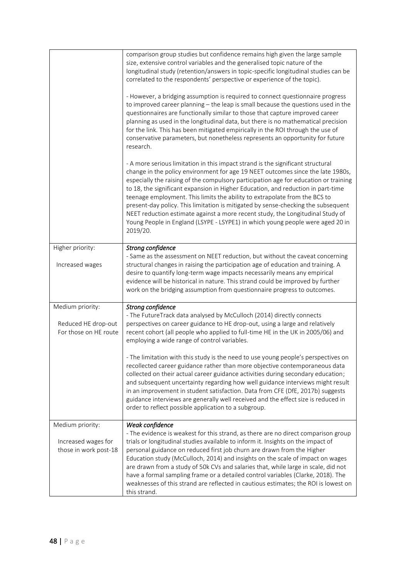|                                              | comparison group studies but confidence remains high given the large sample<br>size, extensive control variables and the generalised topic nature of the<br>longitudinal study (retention/answers in topic-specific longitudinal studies can be<br>correlated to the respondents' perspective or experience of the topic).<br>- However, a bridging assumption is required to connect questionnaire progress<br>to improved career planning - the leap is small because the questions used in the<br>questionnaires are functionally similar to those that capture improved career<br>planning as used in the longitudinal data, but there is no mathematical precision<br>for the link. This has been mitigated empirically in the ROI through the use of<br>conservative parameters, but nonetheless represents an opportunity for future<br>research.<br>- A more serious limitation in this impact strand is the significant structural<br>change in the policy environment for age 19 NEET outcomes since the late 1980s,<br>especially the raising of the compulsory participation age for education or training<br>to 18, the significant expansion in Higher Education, and reduction in part-time<br>teenage employment. This limits the ability to extrapolate from the BCS to<br>present-day policy. This limitation is mitigated by sense-checking the subsequent<br>NEET reduction estimate against a more recent study, the Longitudinal Study of<br>Young People in England (LSYPE - LSYPE1) in which young people were aged 20 in<br>2019/20. |
|----------------------------------------------|---------------------------------------------------------------------------------------------------------------------------------------------------------------------------------------------------------------------------------------------------------------------------------------------------------------------------------------------------------------------------------------------------------------------------------------------------------------------------------------------------------------------------------------------------------------------------------------------------------------------------------------------------------------------------------------------------------------------------------------------------------------------------------------------------------------------------------------------------------------------------------------------------------------------------------------------------------------------------------------------------------------------------------------------------------------------------------------------------------------------------------------------------------------------------------------------------------------------------------------------------------------------------------------------------------------------------------------------------------------------------------------------------------------------------------------------------------------------------------------------------------------------------------------------------------------|
| Higher priority:                             | Strong confidence                                                                                                                                                                                                                                                                                                                                                                                                                                                                                                                                                                                                                                                                                                                                                                                                                                                                                                                                                                                                                                                                                                                                                                                                                                                                                                                                                                                                                                                                                                                                             |
| Increased wages                              | - Same as the assessment on NEET reduction, but without the caveat concerning<br>structural changes in raising the participation age of education and training. A<br>desire to quantify long-term wage impacts necessarily means any empirical<br>evidence will be historical in nature. This strand could be improved by further<br>work on the bridging assumption from questionnaire progress to outcomes.                                                                                                                                                                                                                                                                                                                                                                                                                                                                                                                                                                                                                                                                                                                                                                                                                                                                                                                                                                                                                                                                                                                                                 |
| Medium priority:                             | Strong confidence                                                                                                                                                                                                                                                                                                                                                                                                                                                                                                                                                                                                                                                                                                                                                                                                                                                                                                                                                                                                                                                                                                                                                                                                                                                                                                                                                                                                                                                                                                                                             |
| Reduced HE drop-out<br>For those on HE route | - The FutureTrack data analysed by McCulloch (2014) directly connects<br>perspectives on career guidance to HE drop-out, using a large and relatively<br>recent cohort (all people who applied to full-time HE in the UK in 2005/06) and<br>employing a wide range of control variables.                                                                                                                                                                                                                                                                                                                                                                                                                                                                                                                                                                                                                                                                                                                                                                                                                                                                                                                                                                                                                                                                                                                                                                                                                                                                      |
|                                              | - The limitation with this study is the need to use young people's perspectives on<br>recollected career guidance rather than more objective contemporaneous data<br>collected on their actual career guidance activities during secondary education;<br>and subsequent uncertainty regarding how well guidance interviews might result<br>in an improvement in student satisfaction. Data from CFE (DfE, 2017b) suggests<br>guidance interviews are generally well received and the effect size is reduced in<br>order to reflect possible application to a subgroup.                                                                                                                                                                                                                                                                                                                                                                                                                                                                                                                                                                                                                                                                                                                                                                                                                                                                                                                                                                                        |
| Medium priority:                             | Weak confidence                                                                                                                                                                                                                                                                                                                                                                                                                                                                                                                                                                                                                                                                                                                                                                                                                                                                                                                                                                                                                                                                                                                                                                                                                                                                                                                                                                                                                                                                                                                                               |
| Increased wages for<br>those in work post-18 | - The evidence is weakest for this strand, as there are no direct comparison group<br>trials or longitudinal studies available to inform it. Insights on the impact of<br>personal guidance on reduced first job churn are drawn from the Higher<br>Education study (McCulloch, 2014) and insights on the scale of impact on wages<br>are drawn from a study of 50k CVs and salaries that, while large in scale, did not<br>have a formal sampling frame or a detailed control variables (Clarke, 2018). The<br>weaknesses of this strand are reflected in cautious estimates; the ROI is lowest on<br>this strand.                                                                                                                                                                                                                                                                                                                                                                                                                                                                                                                                                                                                                                                                                                                                                                                                                                                                                                                                           |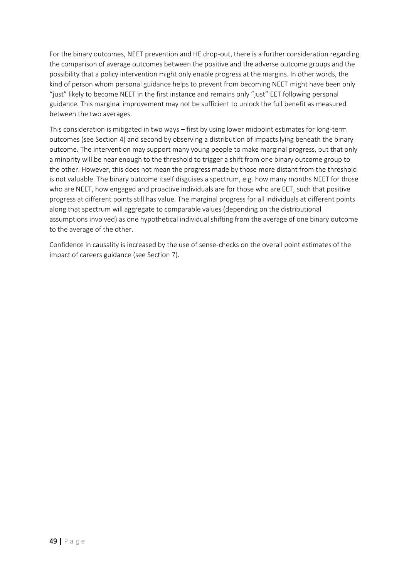For the binary outcomes, NEET prevention and HE drop-out, there is a further consideration regarding the comparison of average outcomes between the positive and the adverse outcome groups and the possibility that a policy intervention might only enable progress at the margins. In other words, the kind of person whom personal guidance helps to prevent from becoming NEET might have been only "just" likely to become NEET in the first instance and remains only "just" EET following personal guidance. This marginal improvement may not be sufficient to unlock the full benefit as measured between the two averages.

This consideration is mitigated in two ways – first by using lower midpoint estimates for long-term outcomes (see Section 4) and second by observing a distribution of impacts lying beneath the binary outcome. The intervention may support many young people to make marginal progress, but that only a minority will be near enough to the threshold to trigger a shift from one binary outcome group to the other. However, this does not mean the progress made by those more distant from the threshold is not valuable. The binary outcome itself disguises a spectrum, e.g. how many months NEET for those who are NEET, how engaged and proactive individuals are for those who are EET, such that positive progress at different points still has value. The marginal progress for all individuals at different points along that spectrum will aggregate to comparable values (depending on the distributional assumptions involved) as one hypothetical individual shifting from the average of one binary outcome to the average of the other.

Confidence in causality is increased by the use of sense-checks on the overall point estimates of the impact of careers guidance (see Section 7).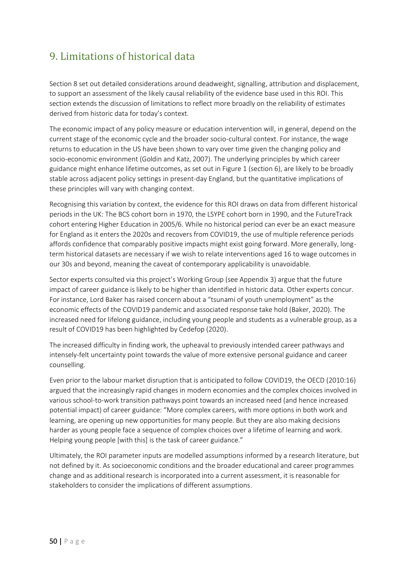## <span id="page-49-0"></span>9. Limitations of historical data

Section 8 set out detailed considerations around deadweight, signalling, attribution and displacement, to support an assessment of the likely causal reliability of the evidence base used in this ROI. This section extends the discussion of limitations to reflect more broadly on the reliability of estimates derived from historic data for today's context.

The economic impact of any policy measure or education intervention will, in general, depend on the current stage of the economic cycle and the broader socio-cultural context. For instance, the wage returns to education in the US have been shown to vary over time given the changing policy and socio-economic environment (Goldin and Katz, 2007). The underlying principles by which career guidance might enhance lifetime outcomes, as set out in Figure 1 (section 6), are likely to be broadly stable across adjacent policy settings in present-day England, but the quantitative implications of these principles will vary with changing context.

Recognising this variation by context, the evidence for this ROI draws on data from different historical periods in the UK: The BCS cohort born in 1970, the LSYPE cohort born in 1990, and the FutureTrack cohort entering Higher Education in 2005/6. While no historical period can ever be an exact measure for England as it enters the 2020s and recovers from COVID19, the use of multiple reference periods affords confidence that comparably positive impacts might exist going forward. More generally, longterm historical datasets are necessary if we wish to relate interventions aged 16 to wage outcomes in our 30s and beyond, meaning the caveat of contemporary applicability is unavoidable.

Sector experts consulted via this project's Working Group (see Appendix 3) argue that the future impact of career guidance is likely to be higher than identified in historic data. Other experts concur. For instance, Lord Baker has raised concern about a "tsunami of youth unemployment" as the economic effects of the COVID19 pandemic and associated response take hold (Baker, 2020). The increased need for lifelong guidance, including young people and students as a vulnerable group, as a result of COVID19 has been highlighted by Cedefop (2020).

The increased difficulty in finding work, the upheaval to previously intended career pathways and intensely-felt uncertainty point towards the value of more extensive personal guidance and career counselling.

Even prior to the labour market disruption that is anticipated to follow COVID19, the OECD (2010:16) argued that the increasingly rapid changes in modern economies and the complex choices involved in various school-to-work transition pathways point towards an increased need (and hence increased potential impact) of career guidance: "More complex careers, with more options in both work and learning, are opening up new opportunities for many people. But they are also making decisions harder as young people face a sequence of complex choices over a lifetime of learning and work. Helping young people [with this] is the task of career guidance."

Ultimately, the ROI parameter inputs are modelled assumptions informed by a research literature, but not defined by it. As socioeconomic conditions and the broader educational and career programmes change and as additional research is incorporated into a current assessment, it is reasonable for stakeholders to consider the implications of different assumptions.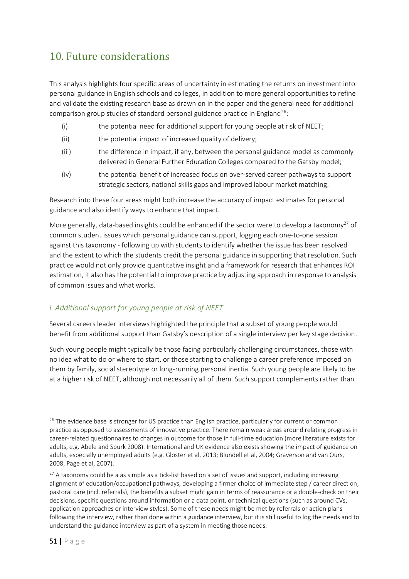## <span id="page-50-0"></span>10. Future considerations

This analysis highlights four specific areas of uncertainty in estimating the returns on investment into personal guidance in English schools and colleges, in addition to more general opportunities to refine and validate the existing research base as drawn on in the paper and the general need for additional comparison group studies of standard personal guidance practice in England<sup>26</sup>:

- (i) the potential need for additional support for young people at risk of NEET;
- (ii) the potential impact of increased quality of delivery;
- (iii) the difference in impact, if any, between the personal guidance model as commonly delivered in General Further Education Colleges compared to the Gatsby model;
- (iv) the potential benefit of increased focus on over-served career pathways to support strategic sectors, national skills gaps and improved labour market matching.

Research into these four areas might both increase the accuracy of impact estimates for personal guidance and also identify ways to enhance that impact.

More generally, data-based insights could be enhanced if the sector were to develop a taxonomy<sup>27</sup> of common student issues which personal guidance can support, logging each one-to-one session against this taxonomy - following up with students to identify whether the issue has been resolved and the extent to which the students credit the personal guidance in supporting that resolution. Such practice would not only provide quantitative insight and a framework for research that enhances ROI estimation, it also has the potential to improve practice by adjusting approach in response to analysis of common issues and what works.

## <span id="page-50-1"></span>*i. Additional support for young people at risk of NEET*

Several careers leader interviews highlighted the principle that a subset of young people would benefit from additional support than Gatsby's description of a single interview per key stage decision.

Such young people might typically be those facing particularly challenging circumstances, those with no idea what to do or where to start, or those starting to challenge a career preference imposed on them by family, social stereotype or long-running personal inertia. Such young people are likely to be at a higher risk of NEET, although not necessarily all of them. Such support complements rather than

<sup>&</sup>lt;sup>26</sup> The evidence base is stronger for US practice than English practice, particularly for current or common practice as opposed to assessments of innovative practice. There remain weak areas around relating progress in career-related questionnaires to changes in outcome for those in full-time education (more literature exists for adults, e.g. Abele and Spurk 2008). International and UK evidence also exists showing the impact of guidance on adults, especially unemployed adults (e.g. Gloster et al, 2013; Blundell et al, 2004; Graverson and van Ours, 2008, Page et al, 2007).

 $27$  A taxonomy could be a as simple as a tick-list based on a set of issues and support, including increasing alignment of education/occupational pathways, developing a firmer choice of immediate step / career direction, pastoral care (incl. referrals), the benefits a subset might gain in terms of reassurance or a double-check on their decisions, specific questions around information or a data point, or technical questions (such as around CVs, application approaches or interview styles). Some of these needs might be met by referrals or action plans following the interview, rather than done within a guidance interview, but it is still useful to log the needs and to understand the guidance interview as part of a system in meeting those needs.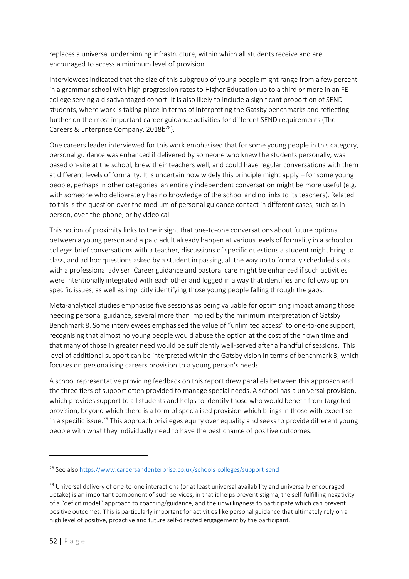replaces a universal underpinning infrastructure, within which all students receive and are encouraged to access a minimum level of provision.

Interviewees indicated that the size of this subgroup of young people might range from a few percent in a grammar school with high progression rates to Higher Education up to a third or more in an FE college serving a disadvantaged cohort. It is also likely to include a significant proportion of SEND students, where work is taking place in terms of interpreting the Gatsby benchmarks and reflecting further on the most important career guidance activities for different SEND requirements (The Careers & Enterprise Company, 2018b<sup>28</sup>).

One careers leader interviewed for this work emphasised that for some young people in this category, personal guidance was enhanced if delivered by someone who knew the students personally, was based on-site at the school, knew their teachers well, and could have regular conversations with them at different levels of formality. It is uncertain how widely this principle might apply – for some young people, perhaps in other categories, an entirely independent conversation might be more useful (e.g. with someone who deliberately has no knowledge of the school and no links to its teachers). Related to this is the question over the medium of personal guidance contact in different cases, such as inperson, over-the-phone, or by video call.

This notion of proximity links to the insight that one-to-one conversations about future options between a young person and a paid adult already happen at various levels of formality in a school or college: brief conversations with a teacher, discussions of specific questions a student might bring to class, and ad hoc questions asked by a student in passing, all the way up to formally scheduled slots with a professional adviser. Career guidance and pastoral care might be enhanced if such activities were intentionally integrated with each other and logged in a way that identifies and follows up on specific issues, as well as implicitly identifying those young people falling through the gaps.

Meta-analytical studies emphasise five sessions as being valuable for optimising impact among those needing personal guidance, several more than implied by the minimum interpretation of Gatsby Benchmark 8. Some interviewees emphasised the value of "unlimited access" to one-to-one support, recognising that almost no young people would abuse the option at the cost of their own time and that many of those in greater need would be sufficiently well-served after a handful of sessions. This level of additional support can be interpreted within the Gatsby vision in terms of benchmark 3, which focuses on personalising careers provision to a young person's needs.

A school representative providing feedback on this report drew parallels between this approach and the three tiers of support often provided to manage special needs. A school has a universal provision, which provides support to all students and helps to identify those who would benefit from targeted provision, beyond which there is a form of specialised provision which brings in those with expertise in a specific issue.<sup>29</sup> This approach privileges equity over equality and seeks to provide different young people with what they individually need to have the best chance of positive outcomes.

<sup>28</sup> See also<https://www.careersandenterprise.co.uk/schools-colleges/support-send>

<sup>&</sup>lt;sup>29</sup> Universal delivery of one-to-one interactions (or at least universal availability and universally encouraged uptake) is an important component of such services, in that it helps prevent stigma, the self-fulfilling negativity of a "deficit model" approach to coaching/guidance, and the unwillingness to participate which can prevent positive outcomes. This is particularly important for activities like personal guidance that ultimately rely on a high level of positive, proactive and future self-directed engagement by the participant.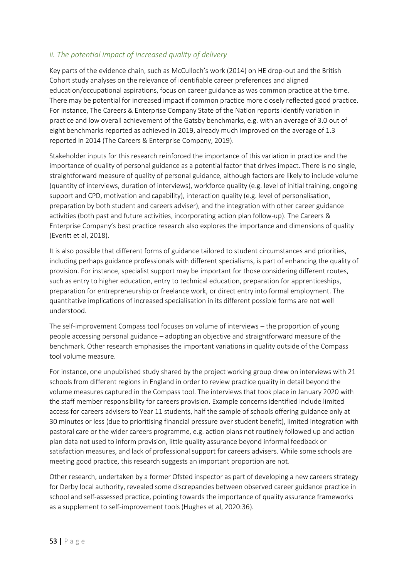## <span id="page-52-0"></span>*ii. The potential impact of increased quality of delivery*

Key parts of the evidence chain, such as McCulloch's work (2014) on HE drop-out and the British Cohort study analyses on the relevance of identifiable career preferences and aligned education/occupational aspirations, focus on career guidance as was common practice at the time. There may be potential for increased impact if common practice more closely reflected good practice. For instance, The Careers & Enterprise Company State of the Nation reports identify variation in practice and low overall achievement of the Gatsby benchmarks, e.g. with an average of 3.0 out of eight benchmarks reported as achieved in 2019, already much improved on the average of 1.3 reported in 2014 (The Careers & Enterprise Company, 2019).

Stakeholder inputs for this research reinforced the importance of this variation in practice and the importance of quality of personal guidance as a potential factor that drives impact. There is no single, straightforward measure of quality of personal guidance, although factors are likely to include volume (quantity of interviews, duration of interviews), workforce quality (e.g. level of initial training, ongoing support and CPD, motivation and capability), interaction quality (e.g. level of personalisation, preparation by both student and careers adviser), and the integration with other career guidance activities (both past and future activities, incorporating action plan follow-up). The Careers & Enterprise Company's best practice research also explores the importance and dimensions of quality (Everitt et al, 2018).

It is also possible that different forms of guidance tailored to student circumstances and priorities, including perhaps guidance professionals with different specialisms, is part of enhancing the quality of provision. For instance, specialist support may be important for those considering different routes, such as entry to higher education, entry to technical education, preparation for apprenticeships, preparation for entrepreneurship or freelance work, or direct entry into formal employment. The quantitative implications of increased specialisation in its different possible forms are not well understood.

The self-improvement Compass tool focuses on volume of interviews – the proportion of young people accessing personal guidance – adopting an objective and straightforward measure of the benchmark. Other research emphasises the important variations in quality outside of the Compass tool volume measure.

For instance, one unpublished study shared by the project working group drew on interviews with 21 schools from different regions in England in order to review practice quality in detail beyond the volume measures captured in the Compass tool. The interviews that took place in January 2020 with the staff member responsibility for careers provision. Example concerns identified include limited access for careers advisers to Year 11 students, half the sample of schools offering guidance only at 30 minutes or less (due to prioritising financial pressure over student benefit), limited integration with pastoral care or the wider careers programme, e.g. action plans not routinely followed up and action plan data not used to inform provision, little quality assurance beyond informal feedback or satisfaction measures, and lack of professional support for careers advisers. While some schools are meeting good practice, this research suggests an important proportion are not.

Other research, undertaken by a former Ofsted inspector as part of developing a new careers strategy for Derby local authority, revealed some discrepancies between observed career guidance practice in school and self-assessed practice, pointing towards the importance of quality assurance frameworks as a supplement to self-improvement tools (Hughes et al, 2020:36).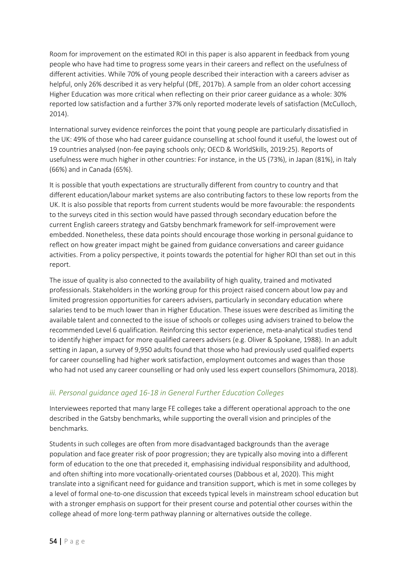Room for improvement on the estimated ROI in this paper is also apparent in feedback from young people who have had time to progress some years in their careers and reflect on the usefulness of different activities. While 70% of young people described their interaction with a careers adviser as helpful, only 26% described it as very helpful (DfE, 2017b). A sample from an older cohort accessing Higher Education was more critical when reflecting on their prior career guidance as a whole: 30% reported low satisfaction and a further 37% only reported moderate levels of satisfaction (McCulloch, 2014).

International survey evidence reinforces the point that young people are particularly dissatisfied in the UK: 49% of those who had career guidance counselling at school found it useful, the lowest out of 19 countries analysed (non-fee paying schools only; OECD & WorldSkills, 2019:25). Reports of usefulness were much higher in other countries: For instance, in the US (73%), in Japan (81%), in Italy (66%) and in Canada (65%).

It is possible that youth expectations are structurally different from country to country and that different education/labour market systems are also contributing factors to these low reports from the UK. It is also possible that reports from current students would be more favourable: the respondents to the surveys cited in this section would have passed through secondary education before the current English careers strategy and Gatsby benchmark framework for self-improvement were embedded. Nonetheless, these data points should encourage those working in personal guidance to reflect on how greater impact might be gained from guidance conversations and career guidance activities. From a policy perspective, it points towards the potential for higher ROI than set out in this report.

The issue of quality is also connected to the availability of high quality, trained and motivated professionals. Stakeholders in the working group for this project raised concern about low pay and limited progression opportunities for careers advisers, particularly in secondary education where salaries tend to be much lower than in Higher Education. These issues were described as limiting the available talent and connected to the issue of schools or colleges using advisers trained to below the recommended Level 6 qualification.Reinforcing this sector experience, meta-analytical studies tend to identify higher impact for more qualified careers advisers (e.g. Oliver & Spokane, 1988). In an adult setting in Japan, a survey of 9,950 adults found that those who had previously used qualified experts for career counselling had higher work satisfaction, employment outcomes and wages than those who had not used any career counselling or had only used less expert counsellors (Shimomura, 2018).

## <span id="page-53-0"></span>*iii. Personal guidance aged 16-18 in General Further Education Colleges*

Interviewees reported that many large FE colleges take a different operational approach to the one described in the Gatsby benchmarks, while supporting the overall vision and principles of the benchmarks.

Students in such colleges are often from more disadvantaged backgrounds than the average population and face greater risk of poor progression; they are typically also moving into a different form of education to the one that preceded it, emphasising individual responsibility and adulthood, and often shifting into more vocationally-orientated courses (Dabbous et al, 2020). This might translate into a significant need for guidance and transition support, which is met in some colleges by a level of formal one-to-one discussion that exceeds typical levels in mainstream school education but with a stronger emphasis on support for their present course and potential other courses within the college ahead of more long-term pathway planning or alternatives outside the college.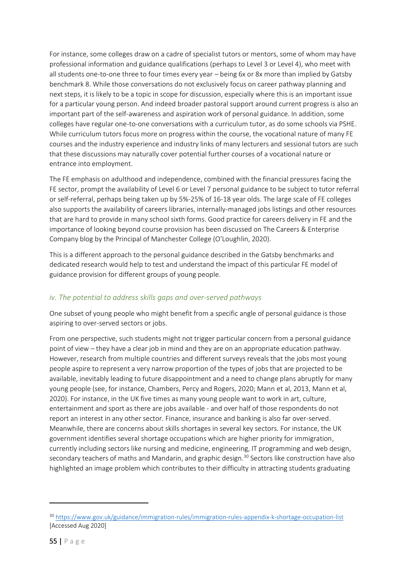For instance, some colleges draw on a cadre of specialist tutors or mentors, some of whom may have professional information and guidance qualifications (perhaps to Level 3 or Level 4), who meet with all students one-to-one three to four times every year – being 6x or 8x more than implied by Gatsby benchmark 8. While those conversations do not exclusively focus on career pathway planning and next steps, it is likely to be a topic in scope for discussion, especially where this is an important issue for a particular young person. And indeed broader pastoral support around current progress is also an important part of the self-awareness and aspiration work of personal guidance. In addition, some colleges have regular one-to-one conversations with a curriculum tutor, as do some schools via PSHE. While curriculum tutors focus more on progress within the course, the vocational nature of many FE courses and the industry experience and industry links of many lecturers and sessional tutors are such that these discussions may naturally cover potential further courses of a vocational nature or entrance into employment.

The FE emphasis on adulthood and independence, combined with the financial pressures facing the FE sector, prompt the availability of Level 6 or Level 7 personal guidance to be subject to tutor referral or self-referral, perhaps being taken up by 5%-25% of 16-18 year olds. The large scale of FE colleges also supports the availability of careers libraries, internally-managed jobs listings and other resources that are hard to provide in many school sixth forms. Good practice for careers delivery in FE and the importance of looking beyond course provision has been discussed on The Careers & Enterprise Company blog by the Principal of Manchester College (O'Loughlin, 2020).

This is a different approach to the personal guidance described in the Gatsby benchmarks and dedicated research would help to test and understand the impact of this particular FE model of guidance provision for different groups of young people.

## <span id="page-54-0"></span>*iv. The potential to address skills gaps and over-served pathways*

One subset of young people who might benefit from a specific angle of personal guidance is those aspiring to over-served sectors or jobs.

From one perspective, such students might not trigger particular concern from a personal guidance point of view – they have a clear job in mind and they are on an appropriate education pathway. However, research from multiple countries and different surveys reveals that the jobs most young people aspire to represent a very narrow proportion of the types of jobs that are projected to be available, inevitably leading to future disappointment and a need to change plans abruptly for many young people (see, for instance, Chambers, Percy and Rogers, 2020; Mann et al, 2013, Mann et al, 2020). For instance, in the UK five times as many young people want to work in art, culture, entertainment and sport as there are jobs available - and over half of those respondents do not report an interest in any other sector. Finance, insurance and banking is also far over-served. Meanwhile, there are concerns about skills shortages in several key sectors. For instance, the UK government identifies several shortage occupations which are higher priority for immigration, currently including sectors like nursing and medicine, engineering, IT programming and web design, secondary teachers of maths and Mandarin, and graphic design.<sup>30</sup> Sectors like construction have also highlighted an image problem which contributes to their difficulty in attracting students graduating

<sup>30</sup> <https://www.gov.uk/guidance/immigration-rules/immigration-rules-appendix-k-shortage-occupation-list> [Accessed Aug 2020]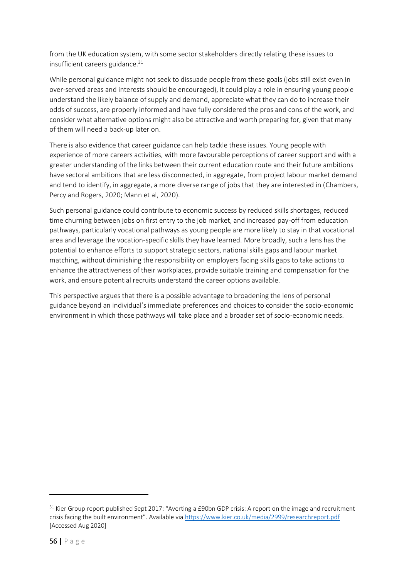from the UK education system, with some sector stakeholders directly relating these issues to insufficient careers guidance.<sup>31</sup>

While personal guidance might not seek to dissuade people from these goals (jobs still exist even in over-served areas and interests should be encouraged), it could play a role in ensuring young people understand the likely balance of supply and demand, appreciate what they can do to increase their odds of success, are properly informed and have fully considered the pros and cons of the work, and consider what alternative options might also be attractive and worth preparing for, given that many of them will need a back-up later on.

There is also evidence that career guidance can help tackle these issues. Young people with experience of more careers activities, with more favourable perceptions of career support and with a greater understanding of the links between their current education route and their future ambitions have sectoral ambitions that are less disconnected, in aggregate, from project labour market demand and tend to identify, in aggregate, a more diverse range of jobs that they are interested in (Chambers, Percy and Rogers, 2020; Mann et al, 2020).

Such personal guidance could contribute to economic success by reduced skills shortages, reduced time churning between jobs on first entry to the job market, and increased pay-off from education pathways, particularly vocational pathways as young people are more likely to stay in that vocational area and leverage the vocation-specific skills they have learned. More broadly, such a lens has the potential to enhance efforts to support strategic sectors, national skills gaps and labour market matching, without diminishing the responsibility on employers facing skills gaps to take actions to enhance the attractiveness of their workplaces, provide suitable training and compensation for the work, and ensure potential recruits understand the career options available.

This perspective argues that there is a possible advantage to broadening the lens of personal guidance beyond an individual's immediate preferences and choices to consider the socio-economic environment in which those pathways will take place and a broader set of socio-economic needs.

<sup>&</sup>lt;sup>31</sup> Kier Group report published Sept 2017: "Averting a £90bn GDP crisis: A report on the image and recruitment crisis facing the built environment". Available via <https://www.kier.co.uk/media/2999/researchreport.pdf> [Accessed Aug 2020]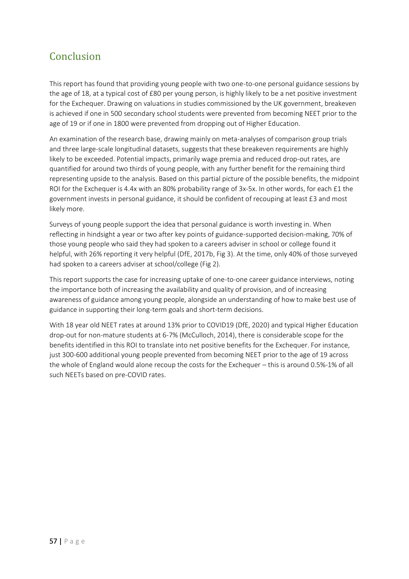## <span id="page-56-0"></span>Conclusion

This report has found that providing young people with two one-to-one personal guidance sessions by the age of 18, at a typical cost of £80 per young person, is highly likely to be a net positive investment for the Exchequer. Drawing on valuations in studies commissioned by the UK government, breakeven is achieved if one in 500 secondary school students were prevented from becoming NEET prior to the age of 19 or if one in 1800 were prevented from dropping out of Higher Education.

An examination of the research base, drawing mainly on meta-analyses of comparison group trials and three large-scale longitudinal datasets, suggests that these breakeven requirements are highly likely to be exceeded. Potential impacts, primarily wage premia and reduced drop-out rates, are quantified for around two thirds of young people, with any further benefit for the remaining third representing upside to the analysis. Based on this partial picture of the possible benefits, the midpoint ROI for the Exchequer is 4.4x with an 80% probability range of 3x-5x. In other words, for each £1 the government invests in personal guidance, it should be confident of recouping at least £3 and most likely more.

Surveys of young people support the idea that personal guidance is worth investing in. When reflecting in hindsight a year or two after key points of guidance-supported decision-making, 70% of those young people who said they had spoken to a careers adviser in school or college found it helpful, with 26% reporting it very helpful (DfE, 2017b, Fig 3). At the time, only 40% of those surveyed had spoken to a careers adviser at school/college (Fig 2).

This report supports the case for increasing uptake of one-to-one career guidance interviews, noting the importance both of increasing the availability and quality of provision, and of increasing awareness of guidance among young people, alongside an understanding of how to make best use of guidance in supporting their long-term goals and short-term decisions.

With 18 year old NEET rates at around 13% prior to COVID19 (DfE, 2020) and typical Higher Education drop-out for non-mature students at 6-7% (McCulloch, 2014), there is considerable scope for the benefits identified in this ROI to translate into net positive benefits for the Exchequer. For instance, just 300-600 additional young people prevented from becoming NEET prior to the age of 19 across the whole of England would alone recoup the costs for the Exchequer – this is around 0.5%-1% of all such NEETs based on pre-COVID rates.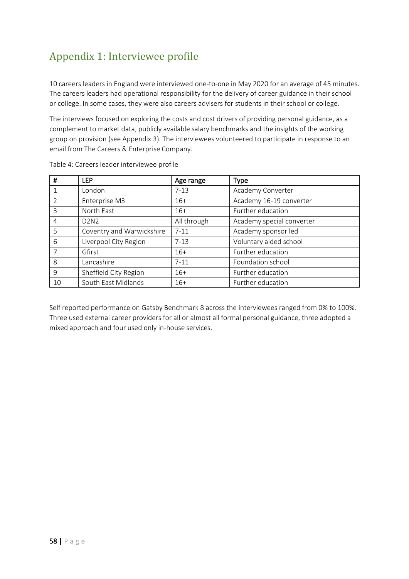# <span id="page-57-0"></span>Appendix 1: Interviewee profile

10 careers leaders in England were interviewed one-to-one in May 2020 for an average of 45 minutes. The careers leaders had operational responsibility for the delivery of career guidance in their school or college. In some cases, they were also careers advisers for students in their school or college.

The interviews focused on exploring the costs and cost drivers of providing personal guidance, as a complement to market data, publicly available salary benchmarks and the insights of the working group on provision (see Appendix 3). The interviewees volunteered to participate in response to an email from The Careers & Enterprise Company.

| #              | <b>LEP</b>                    | Age range   | <b>Type</b>               |
|----------------|-------------------------------|-------------|---------------------------|
|                | London                        | $7 - 13$    | Academy Converter         |
| $\overline{2}$ | Enterprise M3                 | $16+$       | Academy 16-19 converter   |
| 3              | North East                    | $16+$       | Further education         |
| 4              | D <sub>2</sub> N <sub>2</sub> | All through | Academy special converter |
| 5              | Coventry and Warwickshire     | $7 - 11$    | Academy sponsor led       |
| 6              | Liverpool City Region         | $7 - 13$    | Voluntary aided school    |
| 7              | Gfirst                        | $16+$       | Further education         |
| 8              | Lancashire                    | $7 - 11$    | Foundation school         |
| 9              | Sheffield City Region         | $16+$       | Further education         |
| 10             | South East Midlands           | $16+$       | Further education         |

#### Table 4: Careers leader interviewee profile

Self reported performance on Gatsby Benchmark 8 across the interviewees ranged from 0% to 100%. Three used external career providers for all or almost all formal personal guidance, three adopted a mixed approach and four used only in-house services.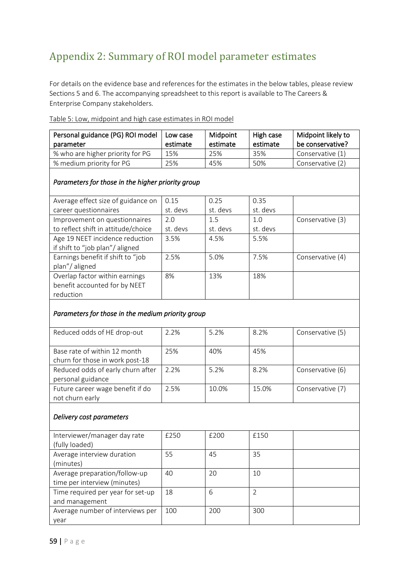# <span id="page-58-0"></span>Appendix 2: Summary of ROI model parameter estimates

For details on the evidence base and references for the estimates in the below tables, please review Sections 5 and 6. The accompanying spreadsheet to this report is available to The Careers & Enterprise Company stakeholders.

| Personal guidance (PG) ROI model<br>parameter | Low case<br>estimate | Midpoint<br>estimate | High case<br>estimate | Midpoint likely to<br>be conservative? |
|-----------------------------------------------|----------------------|----------------------|-----------------------|----------------------------------------|
| % who are higher priority for PG              | 15%                  | 25%                  | 35%                   | Conservative (1)                       |
| % medium priority for PG                      | 25%                  | 45%                  | 50%                   | Conservative (2)                       |

Table 5: Low, midpoint and high case estimates in ROI model

#### *Parameters for those in the higher priority group*

| Average effect size of guidance on  | 0.15     | 0.25     | 0.35     |                  |
|-------------------------------------|----------|----------|----------|------------------|
| career questionnaires               | st. devs | st. devs | st. devs |                  |
| Improvement on questionnaires       | 2.0      | 1.5      | 1.0      | Conservative (3) |
| to reflect shift in attitude/choice | st. devs | st. devs | st. devs |                  |
| Age 19 NEET incidence reduction     | 3.5%     | 4.5%     | 5.5%     |                  |
| if shift to "job plan"/aligned      |          |          |          |                  |
| Earnings benefit if shift to "job   | 2.5%     | 5.0%     | 7.5%     | Conservative (4) |
| plan"/aligned                       |          |          |          |                  |
| Overlap factor within earnings      | 8%       | 13%      | 18%      |                  |
| benefit accounted for by NEET       |          |          |          |                  |
| reduction                           |          |          |          |                  |

## *Parameters for those in the medium priority group*

| Reduced odds of HE drop-out       | 2.2% | 5.2%  | 8.2%  | Conservative (5) |
|-----------------------------------|------|-------|-------|------------------|
|                                   |      |       |       |                  |
| Base rate of within 12 month      | 25%  | 40%   | 45%   |                  |
| churn for those in work post-18   |      |       |       |                  |
| Reduced odds of early churn after | 2.2% | 5.2%  | 8.2%  | Conservative (6) |
| personal guidance                 |      |       |       |                  |
| Future career wage benefit if do  | 2.5% | 10.0% | 15.0% | Conservative (7) |
| not churn early                   |      |       |       |                  |
| Delivery cost parameters          |      |       |       |                  |
| Interviewer/manager day rate      |      | f300  | f150  |                  |

| Interviewer/manager day rate      | £250 | £200 | £150 |  |
|-----------------------------------|------|------|------|--|
| (fully loaded)                    |      |      |      |  |
| Average interview duration        | 55   | 45   | 35   |  |
| (minutes)                         |      |      |      |  |
| Average preparation/follow-up     | 40   | 20   | 10   |  |
| time per interview (minutes)      |      |      |      |  |
| Time required per year for set-up | 18   | 6    |      |  |
| and management                    |      |      |      |  |
| Average number of interviews per  | 100  | 200  | 300  |  |
| vear                              |      |      |      |  |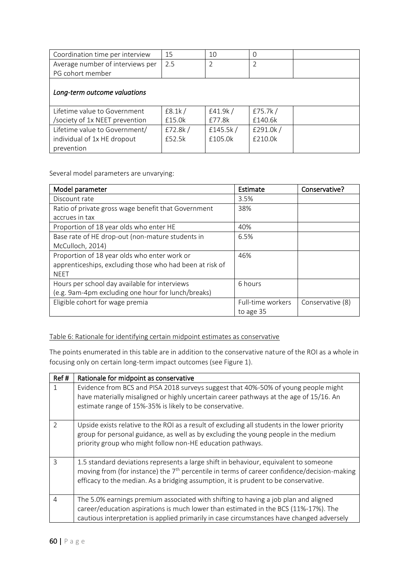| Coordination time per interview  | 15      | 10          | $\Omega$       |  |
|----------------------------------|---------|-------------|----------------|--|
| Average number of interviews per | 2.5     | C           | $\overline{2}$ |  |
| PG cohort member                 |         |             |                |  |
| Long-term outcome valuations     |         |             |                |  |
| Lifetime value to Government     | E8.1k/  | £41.9k/     | £75.7 $k/$     |  |
| /society of 1x NEET prevention   | £15.0k  | £77.8k      | £140.6k        |  |
| Lifetime value to Government/    | £72.8k/ | £145.5 $k/$ | £291.0k/       |  |
| individual of 1x HE dropout      | £52.5k  | £105.0k     | £210.0k        |  |
| prevention                       |         |             |                |  |

Several model parameters are unvarying:

| Model parameter                                          | Estimate          | Conservative?    |
|----------------------------------------------------------|-------------------|------------------|
| Discount rate                                            | 3.5%              |                  |
| Ratio of private gross wage benefit that Government      | 38%               |                  |
| accrues in tax                                           |                   |                  |
| Proportion of 18 year olds who enter HE                  | 40%               |                  |
| Base rate of HE drop-out (non-mature students in         | 6.5%              |                  |
| McCulloch, 2014)                                         |                   |                  |
| Proportion of 18 year olds who enter work or             | 46%               |                  |
| apprenticeships, excluding those who had been at risk of |                   |                  |
| <b>NEET</b>                                              |                   |                  |
| Hours per school day available for interviews            | 6 hours           |                  |
| (e.g. 9am-4pm excluding one hour for lunch/breaks)       |                   |                  |
| Eligible cohort for wage premia                          | Full-time workers | Conservative (8) |
|                                                          | to age 35         |                  |

#### Table 6: Rationale for identifying certain midpoint estimates as conservative

The points enumerated in this table are in addition to the conservative nature of the ROI as a whole in focusing only on certain long-term impact outcomes (see Figure 1).

| Ref#           | Rationale for midpoint as conservative                                                                                                                                                                                                                                       |
|----------------|------------------------------------------------------------------------------------------------------------------------------------------------------------------------------------------------------------------------------------------------------------------------------|
|                | Evidence from BCS and PISA 2018 surveys suggest that 40%-50% of young people might<br>have materially misaligned or highly uncertain career pathways at the age of 15/16. An<br>estimate range of 15%-35% is likely to be conservative.                                      |
| $\mathcal{P}$  | Upside exists relative to the ROI as a result of excluding all students in the lower priority<br>group for personal guidance, as well as by excluding the young people in the medium<br>priority group who might follow non-HE education pathways.                           |
| $\mathcal{R}$  | 1.5 standard deviations represents a large shift in behaviour, equivalent to someone<br>moving from (for instance) the $7th$ percentile in terms of career confidence/decision-making<br>efficacy to the median. As a bridging assumption, it is prudent to be conservative. |
| $\overline{4}$ | The 5.0% earnings premium associated with shifting to having a job plan and aligned<br>career/education aspirations is much lower than estimated in the BCS (11%-17%). The<br>cautious interpretation is applied primarily in case circumstances have changed adversely      |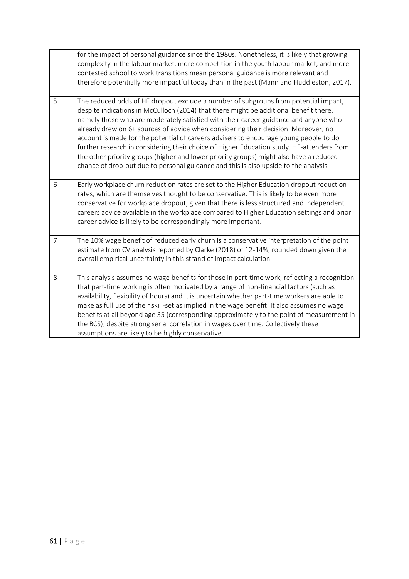|                | for the impact of personal guidance since the 1980s. Nonetheless, it is likely that growing<br>complexity in the labour market, more competition in the youth labour market, and more<br>contested school to work transitions mean personal guidance is more relevant and<br>therefore potentially more impactful today than in the past (Mann and Huddleston, 2017).                                                                                                                                                                                                                                                                                                                                                             |
|----------------|-----------------------------------------------------------------------------------------------------------------------------------------------------------------------------------------------------------------------------------------------------------------------------------------------------------------------------------------------------------------------------------------------------------------------------------------------------------------------------------------------------------------------------------------------------------------------------------------------------------------------------------------------------------------------------------------------------------------------------------|
| 5              | The reduced odds of HE dropout exclude a number of subgroups from potential impact,<br>despite indications in McCulloch (2014) that there might be additional benefit there,<br>namely those who are moderately satisfied with their career guidance and anyone who<br>already drew on 6+ sources of advice when considering their decision. Moreover, no<br>account is made for the potential of careers advisers to encourage young people to do<br>further research in considering their choice of Higher Education study. HE-attenders from<br>the other priority groups (higher and lower priority groups) might also have a reduced<br>chance of drop-out due to personal guidance and this is also upside to the analysis. |
| 6              | Early workplace churn reduction rates are set to the Higher Education dropout reduction<br>rates, which are themselves thought to be conservative. This is likely to be even more<br>conservative for workplace dropout, given that there is less structured and independent<br>careers advice available in the workplace compared to Higher Education settings and prior<br>career advice is likely to be correspondingly more important.                                                                                                                                                                                                                                                                                        |
| $\overline{7}$ | The 10% wage benefit of reduced early churn is a conservative interpretation of the point<br>estimate from CV analysis reported by Clarke (2018) of 12-14%, rounded down given the<br>overall empirical uncertainty in this strand of impact calculation.                                                                                                                                                                                                                                                                                                                                                                                                                                                                         |
| 8              | This analysis assumes no wage benefits for those in part-time work, reflecting a recognition<br>that part-time working is often motivated by a range of non-financial factors (such as<br>availability, flexibility of hours) and it is uncertain whether part-time workers are able to<br>make as full use of their skill-set as implied in the wage benefit. It also assumes no wage<br>benefits at all beyond age 35 (corresponding approximately to the point of measurement in<br>the BCS), despite strong serial correlation in wages over time. Collectively these<br>assumptions are likely to be highly conservative.                                                                                                    |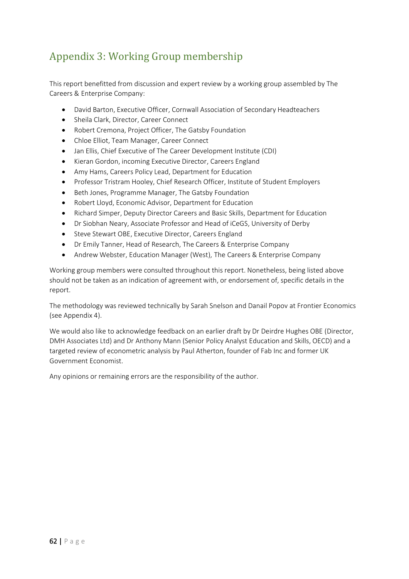# <span id="page-61-0"></span>Appendix 3: Working Group membership

This report benefitted from discussion and expert review by a working group assembled by The Careers & Enterprise Company:

- David Barton, Executive Officer, Cornwall Association of Secondary Headteachers
- Sheila Clark, Director, Career Connect
- Robert Cremona, Project Officer, The Gatsby Foundation
- Chloe Elliot, Team Manager, Career Connect
- Jan Ellis, Chief Executive of The Career Development Institute (CDI)
- Kieran Gordon, incoming Executive Director, Careers England
- Amy Hams, Careers Policy Lead, Department for Education
- Professor Tristram Hooley, Chief Research Officer, Institute of Student Employers
- Beth Jones, Programme Manager, The Gatsby Foundation
- Robert Lloyd, Economic Advisor, Department for Education
- Richard Simper, Deputy Director Careers and Basic Skills, Department for Education
- Dr Siobhan Neary, Associate Professor and Head of iCeGS, University of Derby
- Steve Stewart OBE, Executive Director, Careers England
- Dr Emily Tanner, Head of Research, The Careers & Enterprise Company
- Andrew Webster, Education Manager (West), The Careers & Enterprise Company

Working group members were consulted throughout this report. Nonetheless, being listed above should not be taken as an indication of agreement with, or endorsement of, specific details in the report.

The methodology was reviewed technically by Sarah Snelson and Danail Popov at Frontier Economics (see Appendix 4).

We would also like to acknowledge feedback on an earlier draft by Dr Deirdre Hughes OBE (Director, DMH Associates Ltd) and Dr Anthony Mann (Senior Policy Analyst Education and Skills, OECD) and a targeted review of econometric analysis by Paul Atherton, founder of Fab Inc and former UK Government Economist.

Any opinions or remaining errors are the responsibility of the author.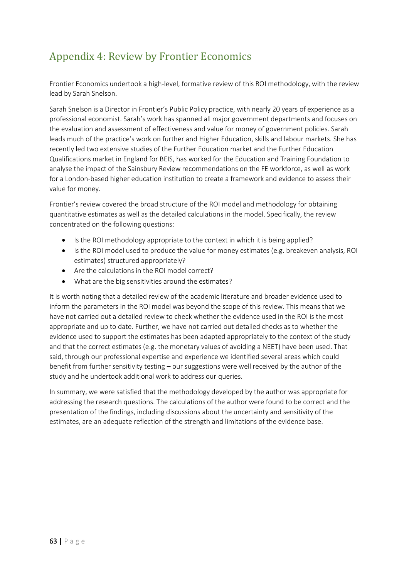# <span id="page-62-0"></span>Appendix 4: Review by Frontier Economics

Frontier Economics undertook a high-level, formative review of this ROI methodology, with the review lead by Sarah Snelson.

Sarah Snelson is a Director in Frontier's Public Policy practice, with nearly 20 years of experience as a professional economist. Sarah's work has spanned all major government departments and focuses on the evaluation and assessment of effectiveness and value for money of government policies. Sarah leads much of the practice's work on further and Higher Education, skills and labour markets. She has recently led two extensive studies of the Further Education market and the Further Education Qualifications market in England for BEIS, has worked for the Education and Training Foundation to analyse the impact of the Sainsbury Review recommendations on the FE workforce, as well as work for a London-based higher education institution to create a framework and evidence to assess their value for money.

Frontier's review covered the broad structure of the ROI model and methodology for obtaining quantitative estimates as well as the detailed calculations in the model. Specifically, the review concentrated on the following questions:

- Is the ROI methodology appropriate to the context in which it is being applied?
- Is the ROI model used to produce the value for money estimates (e.g. breakeven analysis, ROI estimates) structured appropriately?
- Are the calculations in the ROI model correct?
- What are the big sensitivities around the estimates?

It is worth noting that a detailed review of the academic literature and broader evidence used to inform the parameters in the ROI model was beyond the scope of this review. This means that we have not carried out a detailed review to check whether the evidence used in the ROI is the most appropriate and up to date. Further, we have not carried out detailed checks as to whether the evidence used to support the estimates has been adapted appropriately to the context of the study and that the correct estimates (e.g. the monetary values of avoiding a NEET) have been used. That said, through our professional expertise and experience we identified several areas which could benefit from further sensitivity testing – our suggestions were well received by the author of the study and he undertook additional work to address our queries.

In summary, we were satisfied that the methodology developed by the author was appropriate for addressing the research questions. The calculations of the author were found to be correct and the presentation of the findings, including discussions about the uncertainty and sensitivity of the estimates, are an adequate reflection of the strength and limitations of the evidence base.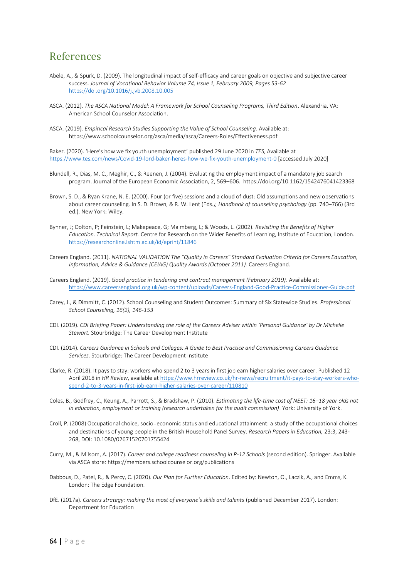## <span id="page-63-0"></span>References

- Abele, A., & Spurk, D. (2009). The longitudinal impact of self-efficacy and career goals on objective and subjective career success. *Journal of Vocational Behavior Volume 74, Issue 1, February 2009, Pages 53-62* <https://doi.org/10.1016/j.jvb.2008.10.005>
- ASCA. (2012). *The ASCA National Model: A Framework for School Counseling Programs, Third Edition*. Alexandria, VA: American School Counselor Association.
- ASCA. (2019). *Empirical Research Studies Supporting the Value of School Counseling*. Available at: https://www.schoolcounselor.org/asca/media/asca/Careers-Roles/Effectiveness.pdf

Baker. (2020). 'Here's how we fix youth unemployment' published 29 June 2020 in *TES*, Available at <https://www.tes.com/news/Covid-19-lord-baker-heres-how-we-fix-youth-unemployment-0> [accessed July 2020]

- Blundell, R., Dias, M. C., Meghir, C., & Reenen, J. (2004). Evaluating the employment impact of a mandatory job search program. Journal of the European Economic Association, 2, 569–606. https://doi.org/10.1162/1542476041423368
- Brown, S. D., & Ryan Krane, N. E. (2000). Four (or five) sessions and a cloud of dust: Old assumptions and new observations about career counseling. In S. D. Brown, & R. W. Lent (Eds*.), Handbook of counseling psychology* (pp. 740–766) (3rd ed.). New York: Wiley.
- Bynner, J; Dolton, P; Feinstein, L; Makepeace, G; Malmberg, L; & Woods, L. (2002). *Revisiting the Benefits of Higher Education. Technical Report.* Centre for Research on the Wider Benefits of Learning, Institute of Education, London. <https://researchonline.lshtm.ac.uk/id/eprint/11846>
- Careers England. (2011). *NATIONAL VALIDATION The "Quality in Careers" Standard Evaluation Criteria for Careers Education, Information, Advice & Guidance (CEIAG) Quality Awards (October 2011).* Careers England.
- Careers England. (2019). *Good practice in tendering and contract management (February 2019)*. Available at: <https://www.careersengland.org.uk/wp-content/uploads/Careers-England-Good-Practice-Commissioner-Guide.pdf>
- Carey, J., & Dimmitt, C. (2012). School Counseling and Student Outcomes: Summary of Six Statewide Studies. *Professional School Counseling, 16(2), 146-153*
- CDI. (2019). *CDI Briefing Paper: Understanding the role of the Careers Adviser within 'Personal Guidance' by Dr Michelle Stewart.* Stourbridge: The Career Development Institute
- CDI. (2014). *Careers Guidance in Schools and Colleges: A Guide to Best Practice and Commissioning Careers Guidance Services*. Stourbridge: The Career Development Institute
- Clarke, R. (2018). It pays to stay: workers who spend 2 to 3 years in first job earn higher salaries over career. Published 12 April 2018 in *HR Review*, available a[t https://www.hrreview.co.uk/hr-news/recruitment/it-pays-to-stay-workers-who](https://www.hrreview.co.uk/hr-news/recruitment/it-pays-to-stay-workers-who-spend-2-to-3-years-in-first-job-earn-higher-salaries-over-career/110810)[spend-2-to-3-years-in-first-job-earn-higher-salaries-over-career/110810](https://www.hrreview.co.uk/hr-news/recruitment/it-pays-to-stay-workers-who-spend-2-to-3-years-in-first-job-earn-higher-salaries-over-career/110810)
- Coles, B., Godfrey, C., Keung, A., Parrott, S., & Bradshaw, P. (2010). *Estimating the life-time cost of NEET: 16–18 year olds not in education, employment or training (research undertaken for the audit commission)*. York: University of York.
- Croll, P. (2008) Occupational choice, socio‐economic status and educational attainment: a study of the occupational choices and destinations of young people in the British Household Panel Survey. *Research Papers in Education,* 23:3, 243- 268, DOI: 10.1080/02671520701755424
- Curry, M., & Milsom, A. (2017). *Career and college readiness counseling in P-12 Schools* (second edition). Springer. Available via ASCA store: https://members.schoolcounselor.org/publications
- Dabbous, D., Patel, R., & Percy, C. (2020). *Our Plan for Further Education*. Edited by: Newton, O., Laczik, A., and Emms, K. London: The Edge Foundation.
- DfE. (2017a). *Careers strategy: making the most of everyone's skills and talents* (published December 2017). London: Department for Education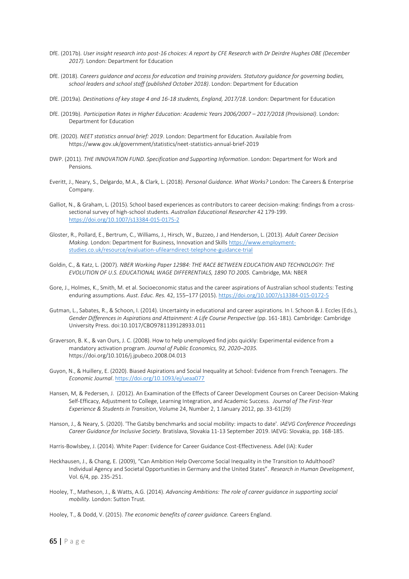- DfE. (2017b). *User insight research into post-16 choices: A report by CFE Research with Dr Deirdre Hughes OBE (December 2017).* London: Department for Education
- DfE. (2018). *Careers guidance and access for education and training providers. Statutory guidance for governing bodies, school leaders and school staff (published October 2018)*. London: Department for Education
- DfE. (2019a). *Destinations of key stage 4 and 16-18 students, England, 2017/18*. London: Department for Education
- DfE. (2019b). *Participation Rates in Higher Education: Academic Years 2006/2007 – 2017/2018 (Provisional)*. London: Department for Education
- DfE. (2020). *NEET statistics annual brief: 2019*. London: Department for Education. Available from https://www.gov.uk/government/statistics/neet-statistics-annual-brief-2019
- DWP. (2011). *THE INNOVATION FUND. Specification and Supporting Information*. London: Department for Work and Pensions.
- Everitt, J., Neary, S., Delgardo, M.A., & Clark, L. (2018). *Personal Guidance. What Works?* London: The Careers & Enterprise Company.
- Galliot, N., & Graham, L. (2015). School based experiences as contributors to career decision-making: findings from a crosssectional survey of high-school students. *Australian Educational Researcher* 42 179-199. <https://doi.org/10.1007/s13384-015-0175-2>
- Gloster, R., Pollard, E., Bertrum, C., Williams, J., Hirsch, W., Buzzeo, J and Henderson, L. (2013). *Adult Career Decision Making.* London: Department for Business, Innovation and Skills [https://www.employment](https://www.employment-studies.co.uk/resource/evaluation-ufilearndirect-telephone-guidance-trial)[studies.co.uk/resource/evaluation-ufilearndirect-telephone-guidance-trial](https://www.employment-studies.co.uk/resource/evaluation-ufilearndirect-telephone-guidance-trial)
- Goldin, C., & Katz, L. (2007). *NBER Working Paper 12984: THE RACE BETWEEN EDUCATION AND TECHNOLOGY: THE EVOLUTION OF U.S. EDUCATIONAL WAGE DIFFERENTIALS, 1890 TO 2005.* Cambridge, MA: NBER
- Gore, J., Holmes, K., Smith, M. et al. Socioeconomic status and the career aspirations of Australian school students: Testing enduring assumptions. *Aust. Educ. Res.* 42, 155–177 (2015)[. https://doi.org/10.1007/s13384-015-0172-5](https://doi.org/10.1007/s13384-015-0172-5)
- Gutman, L., Sabates, R., & Schoon, I. (2014). Uncertainty in educational and career aspirations. In I. Schoon & J. Eccles (Eds.), *Gender Differences in Aspirations and Attainment: A Life Course Perspective* (pp. 161-181). Cambridge: Cambridge University Press. doi:10.1017/CBO9781139128933.011
- Graverson, B. K., & van Ours, J. C. (2008). How to help unemployed find jobs quickly: Experimental evidence from a mandatory activation program. *Journal of Public Economics, 92, 2020–2035.* https://doi.org/10.1016/j.jpubeco.2008.04.013
- Guyon, N., & Huillery, E. (2020). Biased Aspirations and Social Inequality at School: Evidence from French Teenagers. *The Economic Journal*[. https://doi.org/10.1093/ej/ueaa077](https://doi.org/10.1093/ej/ueaa077)
- Hansen, M, & Pedersen, J. (2012). An Examination of the Effects of Career Development Courses on Career Decision-Making Self-Efficacy, Adjustment to College, Learning Integration, and Academic Success. *Journal of The First-Year Experience & Students in Transition*, Volume 24, Number 2, 1 January 2012, pp. 33-61(29)
- Hanson, J., & Neary, S. (2020). 'The Gatsby benchmarks and social mobility: impacts to date'. *IAEVG Conference Proceedings Career Guidance for Inclusive Society*. Bratislava, Slovakia 11-13 September 2019. IAEVG: Slovakia, pp. 168-185.

Harris-Bowlsbey, J. (2014). White Paper: Evidence for Career Guidance Cost-Effectiveness. Adel (IA): Kuder

- Heckhausen, J., & Chang, E. (2009), "Can Ambition Help Overcome Social Inequality in the Transition to Adulthood? Individual Agency and Societal Opportunities in Germany and the United States". *Research in Human Development*, Vol. 6/4, pp. 235-251.
- Hooley, T., Matheson, J., & Watts, A.G. (2014). *Advancing Ambitions: The role of career guidance in supporting social mobility.* London: Sutton Trust.
- Hooley, T., & Dodd, V. (2015). *The economic benefits of career guidance.* Careers England.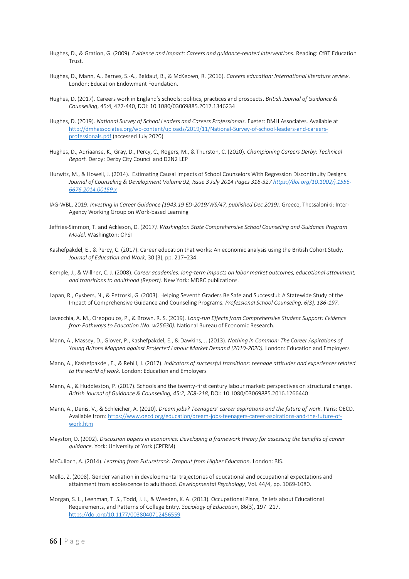- Hughes, D., & Gration, G. (2009). *Evidence and Impact: Careers and guidance-related interventions.* Reading: CfBT Education Trust.
- Hughes, D., Mann, A., Barnes, S.-A., Baldauf, B., & McKeown, R. (2016). *Careers education: International literature review*. London: Education Endowment Foundation.
- Hughes, D. (2017). Careers work in England's schools: politics, practices and prospects. *British Journal of Guidance & Counselling*, 45:4, 427-440, DOI: 10.1080/03069885.2017.1346234
- Hughes, D. (2019). *National Survey of School Leaders and Careers Professionals.* Exeter: DMH Associates. Available at [http://dmhassociates.org/wp-content/uploads/2019/11/National-Survey-of-school-leaders-and-careers](http://dmhassociates.org/wp-content/uploads/2019/11/National-Survey-of-school-leaders-and-careers-professionals.pdf)[professionals.pdf](http://dmhassociates.org/wp-content/uploads/2019/11/National-Survey-of-school-leaders-and-careers-professionals.pdf) (accessed July 2020).
- Hughes, D., Adriaanse, K., Gray, D., Percy, C., Rogers, M., & Thurston, C. (2020). *Championing Careers Derby: Technical Report.* Derby: Derby City Council and D2N2 LEP
- Hurwitz, M., & Howell, J. (2014). Estimating Causal Impacts of School Counselors With Regression Discontinuity Designs. *Journal of Counseling & Development Volume 92, Issue 3 July 2014 Pages 316-327 [https://doi.org/10.1002/j.1556-](https://doi.org/10.1002/j.1556-6676.2014.00159.x) [6676.2014.00159.x](https://doi.org/10.1002/j.1556-6676.2014.00159.x)*
- IAG-WBL, 2019. *Investing in Career Guidance (1943.19 ED-2019/WS/47, published Dec 2019).* Greece, Thessaloniki: Inter-Agency Working Group on Work-based Learning
- Jeffries-Simmon, T. and Ackleson, D. (2017*). Washington State Comprehensive School Counseling and Guidance Program Model*. Washington: OPSI
- Kashefpakdel, E., & Percy, C. (2017). Career education that works: An economic analysis using the British Cohort Study. *Journal of Education and Work*, 30 (3), pp. 217–234.
- Kemple, J., & Willner, C. J. (2008). *Career academies: long-term impacts on labor market outcomes, educational attainment, and transitions to adulthood (Report)*. New York: MDRC publications.
- Lapan, R., Gysbers, N., & Petroski, G. (2003). Helping Seventh Graders Be Safe and Successful: A Statewide Study of the Impact of Comprehensive Guidance and Counseling Programs. *Professional School Counseling, 6(3), 186-197.*
- Lavecchia, A. M., Oreopoulos, P., & Brown, R. S. (2019). *Long-run Effects from Comprehensive Student Support: Evidence from Pathways to Education (No. w25630).* National Bureau of Economic Research.
- Mann, A., Massey, D., Glover, P., Kashefpakdel, E., & Dawkins, J. (2013). *Nothing in Common: The Career Aspirations of Young Britons Mapped against Projected Labour Market Demand (2010-2020).* London: Education and Employers
- Mann, A., Kashefpakdel, E., & Rehill, J. (2017). *Indicators of successful transitions: teenage attitudes and experiences related to the world of work*. London: Education and Employers
- Mann, A., & Huddleston, P. (2017). Schools and the twenty-first century labour market: perspectives on structural change. *British Journal of Guidance & Counselling, 45:2, 208-218*, DOI: 10.1080/03069885.2016.1266440
- Mann, A., Denis, V., & Schleicher, A. (2020). *Dream jobs? Teenagers' career aspirations and the future of work.* Paris: OECD. Available from[: https://www.oecd.org/education/dream-jobs-teenagers-career-aspirations-and-the-future-of](https://www.oecd.org/education/dream-jobs-teenagers-career-aspirations-and-the-future-of-work.htm)[work.htm](https://www.oecd.org/education/dream-jobs-teenagers-career-aspirations-and-the-future-of-work.htm)
- Mayston, D. (2002). *Discussion papers in economics: Developing a framework theory for assessing the benefits of career guidance.* York: University of York (CPERM)
- McCulloch, A. (2014). *Learning from Futuretrack: Dropout from Higher Education*. London: BIS.
- Mello, Z. (2008). Gender variation in developmental trajectories of educational and occupational expectations and attainment from adolescence to adulthood. *Developmental Psychology*, Vol. 44/4, pp. 1069-1080.
- Morgan, S. L., Leenman, T. S., Todd, J. J., & Weeden, K. A. (2013). Occupational Plans, Beliefs about Educational Requirements, and Patterns of College Entry. *Sociology of Education*, 86(3), 197–217. <https://doi.org/10.1177/0038040712456559>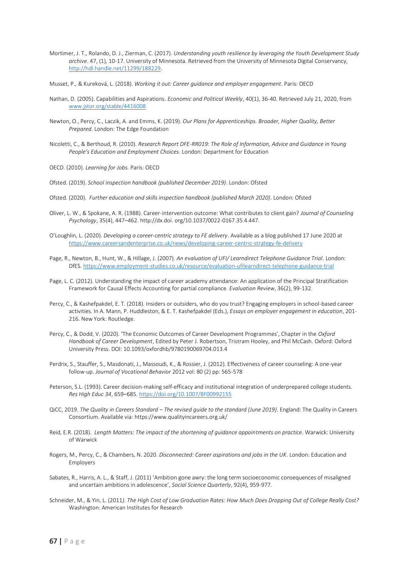- Mortimer, J. T., Rolando, D. J., Zierman, C. (2017). *Understanding youth resilience by leveraging the Youth Development Study archive*. 47, (1), 10-17. University of Minnesota. Retrieved from the University of Minnesota Digital Conservancy, [http://hdl.handle.net/11299/188229.](http://hdl.handle.net/11299/188229)
- Musset, P., & Kureková, L. (2018). *Working it out: Career guidance and employer engagement*. Paris: OECD
- Nathan, D. (2005). Capabilities and Aspirations. *Economic and Political Weekly*, 40(1), 36-40. Retrieved July 21, 2020, from [www.jstor.org/stable/4416008](http://www.jstor.org/stable/4416008)
- Newton, O., Percy, C., Laczik, A. and Emms, K. (2019). *Our Plans for Apprenticeships. Broader, Higher Quality, Better Prepared*. London: The Edge Foundation
- Nicoletti, C., & Berthoud, R. (2010). *Research Report DFE-RR019: The Role of Information, Advice and Guidance in Young People's Education and Employment Choices*. London: Department for Education
- OECD. (2010). *Learning for Jobs.* Paris: OECD
- Ofsted. (2019). *School inspection handbook (published December 2019)*. London: Ofsted
- Ofsted. (2020). *Further education and skills inspection handbook (published March 2020)*. London: Ofsted
- Oliver, L. W., & Spokane, A. R. (1988). Career-intervention outcome: What contributes to client gain? *Journal of Counseling Psychology*, 35(4), 447–462. http://dx.doi. org/10.1037/0022-0167.35.4.447.
- O'Loughlin, L. (2020). *Developing a career-centric strategy to FE delivery*. Available as a blog published 17 June 2020 at <https://www.careersandenterprise.co.uk/news/developing-career-centric-strategy-fe-delivery>
- Page, R., Newton, B., Hunt, W., & Hillage, J. (2007). *An evaluation of UFI/ Learndirect Telephone Guidance Trial*. London: DfES[. https://www.employment-studies.co.uk/resource/evaluation-ufilearndirect-telephone-guidance-trial](https://www.employment-studies.co.uk/resource/evaluation-ufilearndirect-telephone-guidance-trial)
- Page, L. C. (2012). Understanding the impact of career academy attendance: An application of the Principal Stratification Framework for Causal Effects Accounting for partial compliance. *Evaluation Review*, 36(2), 99-132.
- Percy, C., & Kashefpakdel, E. T. (2018). Insiders or outsiders, who do you trust? Engaging employers in school-based career activities. In A. Mann, P. Huddleston, & E. T. Kashefpakdel (Eds.), *Essays on employer engagement in education*, 201- 216. New York: Routledge.
- Percy, C., & Dodd, V. (2020). 'The Economic Outcomes of Career Development Programmes', Chapter in the *Oxford Handbook of Career Development*, Edited by Peter J. Robertson, Tristram Hooley, and Phil McCash. Oxford: Oxford University Press. DOI: 10.1093/oxfordhb/9780190069704.013.4
- Perdrix, S., Stauffer, S., Masdonati, J., Massoudi, K., & Rossier, J. (2012). Effectiveness of career counseling: A one-year follow-up. *Journal of Vocational Behavior* 2012 vol: 80 (2) pp: 565-578
- Peterson, S.L. (1993). Career decision-making self-efficacy and institutional integration of underprepared college students. *Res High Educ 34*, 659–685[. https://doi.org/10.1007/BF00992155](https://doi.org/10.1007/BF00992155)
- QiCC, 2019. *The Quality in Careers Standard – The revised guide to the standard (June 2019)*. England: The Quality in Careers Consortium. Available via: https://www.qualityincareers.org.uk/
- Reid, E.R. (2018). *Length Matters: The impact of the shortening of guidance appointments on practice*. Warwick: University of Warwick
- Rogers, M., Percy, C., & Chambers, N. 2020. *Disconnected: Career aspirations and jobs in the UK*. London: Education and Employers
- Sabates, R., Harris, A. L., & Staff, J. (2011) 'Ambition gone awry: the long term socioeconomic consequences of misaligned and uncertain ambitions in adolescence', *Social Science Quarterly*, 92(4), 959-977.
- Schneider, M., & Yin, L. (2011*). The High Cost of Low Graduation Rates: How Much Does Dropping Out of College Really Cost?* Washington: American Institutes for Research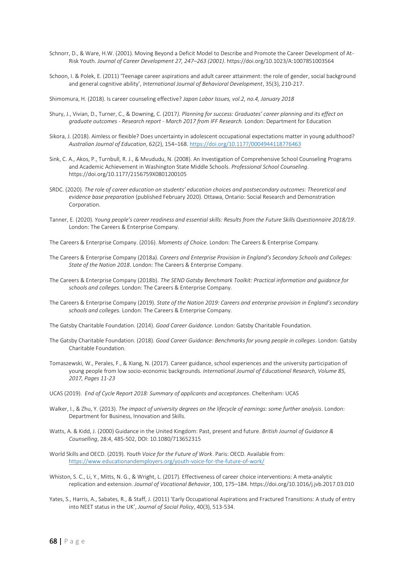- Schnorr, D., & Ware, H.W. (2001). Moving Beyond a Deficit Model to Describe and Promote the Career Development of At-Risk Youth. *Journal of Career Development 27, 247–263 (2001)*. https://doi.org/10.1023/A:1007851003564
- Schoon, I. & Polek, E. (2011) 'Teenage career aspirations and adult career attainment: the role of gender, social background and general cognitive ability', *International Journal of Behavioral Development*, 35(3), 210-217.

Shimomura, H. (2018). Is career counseling effective? *Japan Labor Issues, vol.2, no.4, January 2018*

- Shury, J., Vivian, D., Turner, C., & Downing, C. (2017*). Planning for success: Graduates' career planning and its effect on graduate outcomes - Research report - March 2017 from IFF Research.* London: Department for Education
- Sikora, J. (2018). Aimless or flexible? Does uncertainty in adolescent occupational expectations matter in young adulthood? *Australian Journal of Education*, 62(2), 154–168[. https://doi.org/10.1177/0004944118776463](https://doi.org/10.1177/0004944118776463)
- Sink, C. A., Akos, P., Turnbull, R. J., & Mvududu, N. (2008). An Investigation of Comprehensive School Counseling Programs and Academic Achievement in Washington State Middle Schools. *Professional School Counseling*. https://doi.org/10.1177/2156759X0801200105
- SRDC. (2020). *The role of career education on students' education choices and postsecondary outcomes: Theoretical and evidence base preparation* (published February 2020). Ottawa, Ontario: Social Research and Demonstration Corporation.
- Tanner, E. (2020). *Young people's career readiness and essential skills: Results from the Future Skills Questionnaire 2018/19*. London: The Careers & Enterprise Company.
- The Careers & Enterprise Company. (2016). *Moments of Choice*. London: The Careers & Enterprise Company.
- The Careers & Enterprise Company (2018a). *Careers and Enterprise Provision in England's Secondary Schools and Colleges: State of the Nation 2018*. London: The Careers & Enterprise Company.
- The Careers & Enterprise Company (2018b). *The SEND Gatsby Benchmark Toolkit: Practical information and guidance for schools and colleges.* London: The Careers & Enterprise Company.
- The Careers & Enterprise Company (2019). *State of the Nation 2019: Careers and enterprise provision in England's secondary schools and colleges.* London: The Careers & Enterprise Company.
- The Gatsby Charitable Foundation. (2014). *Good Career Guidance*. London: Gatsby Charitable Foundation.
- The Gatsby Charitable Foundation. (2018). *Good Career Guidance: Benchmarks for young people in colleges*. London: Gatsby Charitable Foundation.
- Tomaszewski, W., Perales, F., & Xiang, N. (2017). Career guidance, school experiences and the university participation of young people from low socio-economic backgrounds. *International Journal of Educational Research, Volume 85, 2017, Pages 11-23*
- UCAS (2019). *End of Cycle Report 2018: Summary of applicants and acceptances*. Cheltenham: UCAS
- Walker, I., & Zhu, Y. (2013). *The impact of university degrees on the lifecycle of earnings: some further analysis*. London: Department for Business, Innovation and Skills.
- Watts, A. & Kidd, J. (2000) Guidance in the United Kingdom: Past, present and future. *British Journal of Guidance & Counselling*, 28:4, 485-502, DOI: 10.1080/713652315
- World Skills and OECD. (2019). *Youth Voice for the Future of Work*. Paris: OECD. Available from: <https://www.educationandemployers.org/youth-voice-for-the-future-of-work/>
- Whiston, S. C., Li, Y., Mitts, N. G., & Wright, L. (2017). Effectiveness of career choice interventions: A meta-analytic replication and extension. *Journal of Vocational Behavior*, 100, 175–184. https://doi.org/10.1016/j.jvb.2017.03.010
- Yates, S., Harris, A., Sabates, R., & Staff, J. (2011) 'Early Occupational Aspirations and Fractured Transitions: A study of entry into NEET status in the UK', *Journal of Social Policy*, 40(3), 513-534.